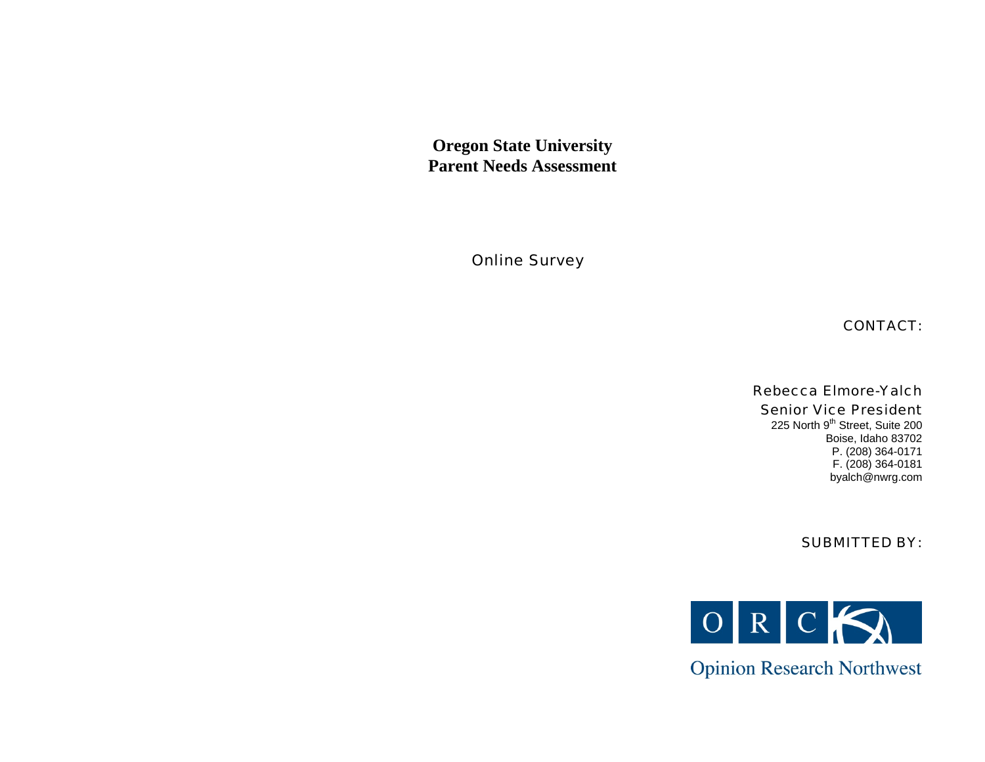**Oregon State University Parent Needs Assessment** 

Online Survey

CONTACT:

Rebecca Elmore-Yalch

#### Senior Vice President

225 North 9<sup>th</sup> Street, Suite 200 Boise, Idaho 83702 P. (208) 364-0171 F. (208) 364-0181 byalch@nwrg.com

SUBMITTED BY:

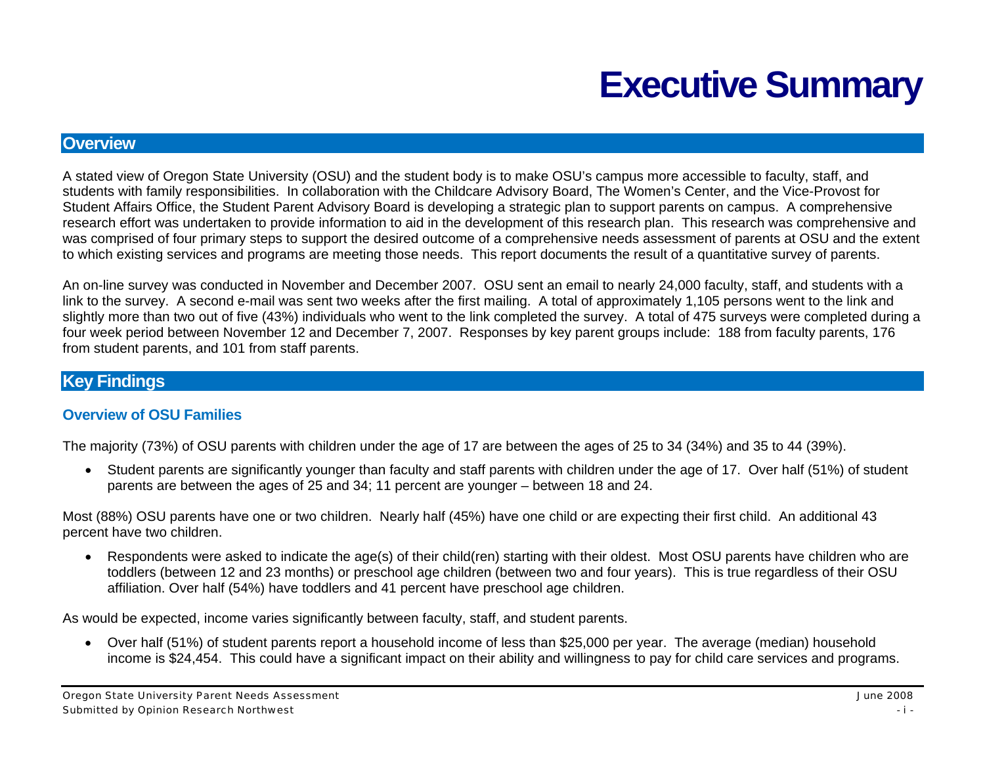# **Executive Summary**

# <span id="page-2-2"></span><span id="page-2-1"></span><span id="page-2-0"></span>**Overview**

A stated view of Oregon State University (OSU) and the student body is to make OSU's campus more accessible to faculty, staff, and students with family responsibilities. In collaboration with the Childcare Advisory Board, The Women's Center, and the Vice-Provost for Student Affairs Office, the Student Parent Advisory Board is developing a strategic plan to support parents on campus. A comprehensive research effort was undertaken to provide information to aid in the development of this research plan. This research was comprehensive and was comprised of four primary steps to support the desired outcome of a comprehensive needs assessment of parents at OSU and the extent to which existing services and programs are meeting those needs. This report documents the result of a quantitative survey of parents.

An on-line survey was conducted in November and December 2007. OSU sent an email to nearly 24,000 faculty, staff, and students with a link to the survey. A second e-mail was sent two weeks after the first mailing. A total of approximately 1,105 persons went to the link and slightly more than two out of five (43%) individuals who went to the link completed the survey. A total of 475 surveys were completed during a four week period between November 12 and December 7, 2007. Responses by key parent groups include: 188 from faculty parents, 176 from student parents, and 101 from staff parents.

# <span id="page-2-3"></span>**Key Findings**

# <span id="page-2-4"></span>**Overview of OSU Families**

The majority (73%) of OSU parents with children under the age of 17 are between the ages of 25 to 34 (34%) and 35 to 44 (39%).

• Student parents are significantly younger than faculty and staff parents with children under the age of 17. Over half (51%) of student parents are between the ages of 25 and 34; 11 percent are younger – between 18 and 24.

Most (88%) OSU parents have one or two children. Nearly half (45%) have one child or are expecting their first child. An additional 43 percent have two children.

• Respondents were asked to indicate the age(s) of their child(ren) starting with their oldest. Most OSU parents have children who are toddlers (between 12 and 23 months) or preschool age children (between two and four years). This is true regardless of their OSU affiliation. Over half (54%) have toddlers and 41 percent have preschool age children.

As would be expected, income varies significantly between faculty, staff, and student parents.

• Over half (51%) of student parents report a household income of less than \$25,000 per year. The average (median) household income is \$24,454. This could have a significant impact on their ability and willingness to pay for child care services and programs.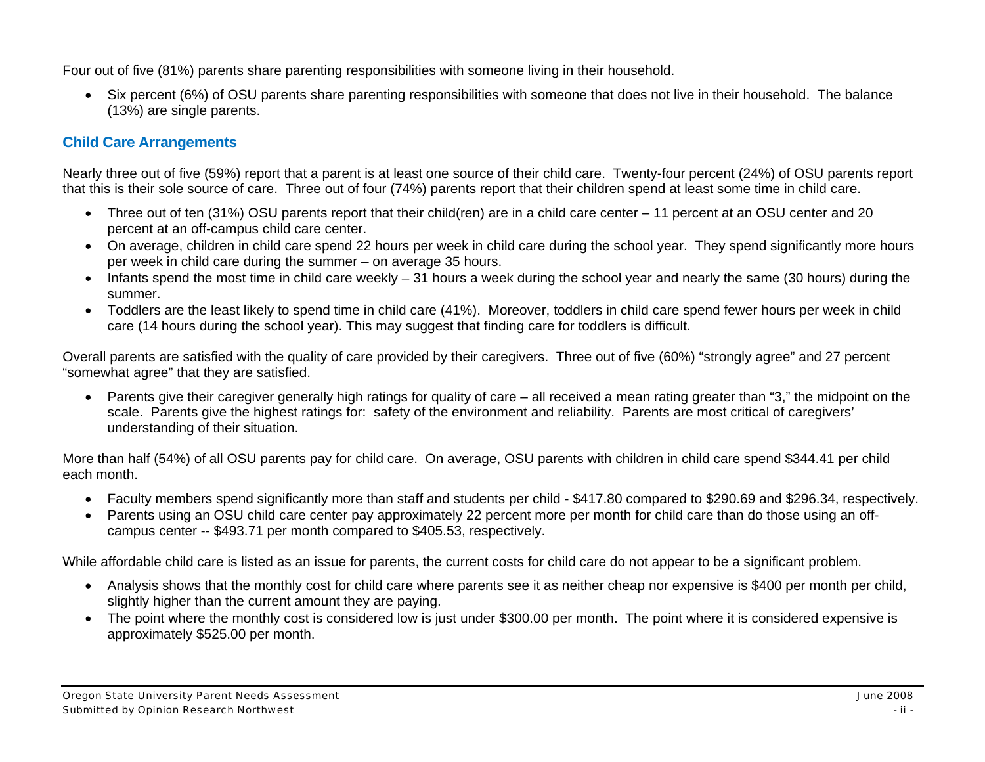<span id="page-3-0"></span>Four out of five (81%) parents share parenting responsibilities with someone living in their household.

• Six percent (6%) of OSU parents share parenting responsibilities with someone that does not live in their household. The balance (13%) are single parents.

# <span id="page-3-1"></span>**Child Care Arrangements**

Nearly three out of five (59%) report that a parent is at least one source of their child care. Twenty-four percent (24%) of OSU parents report that this is their sole source of care. Three out of four (74%) parents report that their children spend at least some time in child care.

- Three out of ten (31%) OSU parents report that their child(ren) are in a child care center 11 percent at an OSU center and 20 percent at an off-campus child care center.
- On average, children in child care spend 22 hours per week in child care during the school year. They spend significantly more hours per week in child care during the summer – on average 35 hours.
- Infants spend the most time in child care weekly 31 hours a week during the school year and nearly the same (30 hours) during the summer.
- Toddlers are the least likely to spend time in child care (41%). Moreover, toddlers in child care spend fewer hours per week in child care (14 hours during the school year). This may suggest that finding care for toddlers is difficult.

Overall parents are satisfied with the quality of care provided by their caregivers. Three out of five (60%) "strongly agree" and 27 percent "somewhat agree" that they are satisfied.

• Parents give their caregiver generally high ratings for quality of care – all received a mean rating greater than "3," the midpoint on the scale. Parents give the highest ratings for: safety of the environment and reliability. Parents are most critical of caregivers' understanding of their situation.

More than half (54%) of all OSU parents pay for child care. On average, OSU parents with children in child care spend \$344.41 per child each month.

- Faculty members spend significantly more than staff and students per child \$417.80 compared to \$290.69 and \$296.34, respectively.
- Parents using an OSU child care center pay approximately 22 percent more per month for child care than do those using an offcampus center -- \$493.71 per month compared to \$405.53, respectively.

While affordable child care is listed as an issue for parents, the current costs for child care do not appear to be a significant problem.

- Analysis shows that the monthly cost for child care where parents see it as neither cheap nor expensive is \$400 per month per child, slightly higher than the current amount they are paying.
- The point where the monthly cost is considered low is just under \$300.00 per month. The point where it is considered expensive is approximately \$525.00 per month.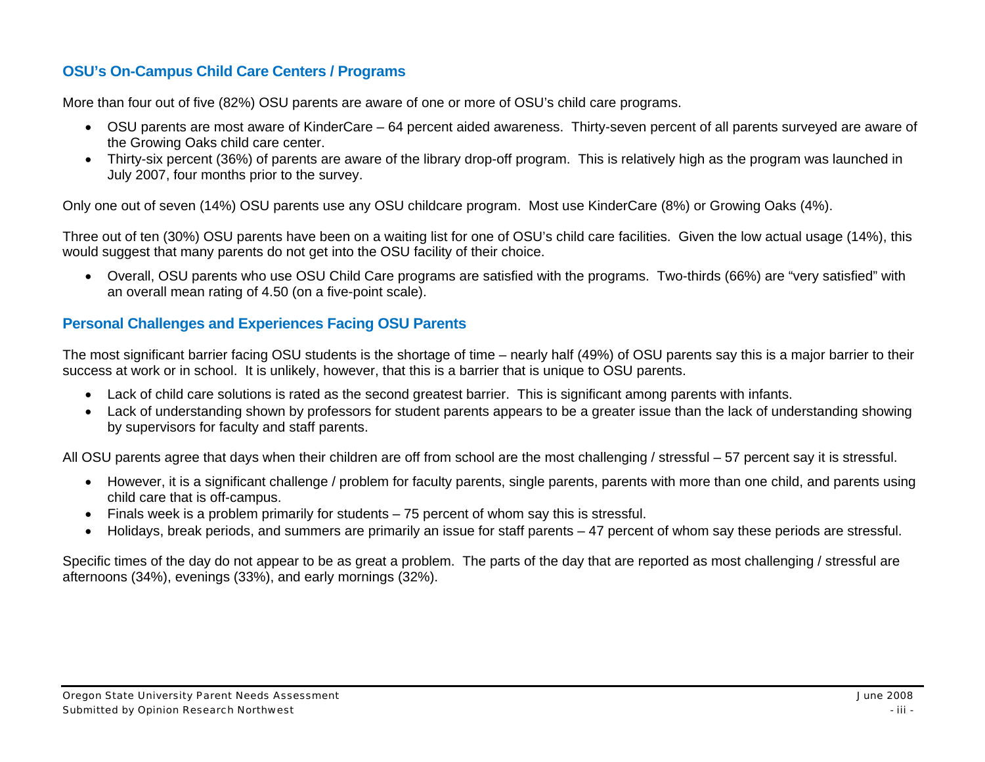# <span id="page-4-1"></span><span id="page-4-0"></span>**OSU's On-Campus Child Care Centers / Programs**

More than four out of five (82%) OSU parents are aware of one or more of OSU's child care programs.

- OSU parents are most aware of KinderCare 64 percent aided awareness. Thirty-seven percent of all parents surveyed are aware of the Growing Oaks child care center.
- Thirty-six percent (36%) of parents are aware of the library drop-off program. This is relatively high as the program was launched in July 2007, four months prior to the survey.

Only one out of seven (14%) OSU parents use any OSU childcare program. Most use KinderCare (8%) or Growing Oaks (4%).

Three out of ten (30%) OSU parents have been on a waiting list for one of OSU's child care facilities. Given the low actual usage (14%), this would suggest that many parents do not get into the OSU facility of their choice.

• Overall, OSU parents who use OSU Child Care programs are satisfied with the programs. Two-thirds (66%) are "very satisfied" with an overall mean rating of 4.50 (on a five-point scale).

# <span id="page-4-2"></span>**Personal Challenges and Experiences Facing OSU Parents**

The most significant barrier facing OSU students is the shortage of time – nearly half (49%) of OSU parents say this is a major barrier to their success at work or in school. It is unlikely, however, that this is a barrier that is unique to OSU parents.

- Lack of child care solutions is rated as the second greatest barrier. This is significant among parents with infants.
- Lack of understanding shown by professors for student parents appears to be a greater issue than the lack of understanding showing by supervisors for faculty and staff parents.

All OSU parents agree that days when their children are off from school are the most challenging / stressful – 57 percent say it is stressful.

- However, it is a significant challenge / problem for faculty parents, single parents, parents with more than one child, and parents using child care that is off-campus.
- Finals week is a problem primarily for students 75 percent of whom say this is stressful.
- Holidays, break periods, and summers are primarily an issue for staff parents 47 percent of whom say these periods are stressful.

Specific times of the day do not appear to be as great a problem. The parts of the day that are reported as most challenging / stressful are afternoons (34%), evenings (33%), and early mornings (32%).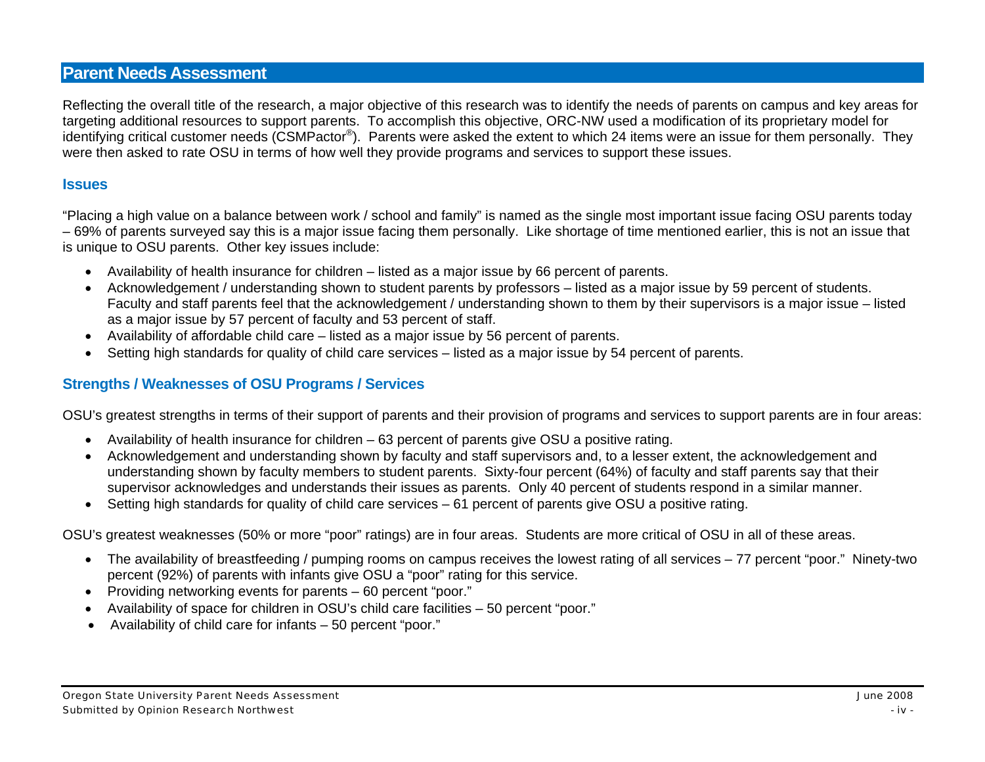# <span id="page-5-1"></span><span id="page-5-0"></span>**Parent Needs Assessment**

Reflecting the overall title of the research, a major objective of this research was to identify the needs of parents on campus and key areas for targeting additional resources to support parents. To accomplish this objective, ORC-NW used a modification of its proprietary model for identifying critical customer needs (CSMPactor®). Parents were asked the extent to which 24 items were an issue for them personally. They were then asked to rate OSU in terms of how well they provide programs and services to support these issues.

#### <span id="page-5-2"></span>**Issues**

"Placing a high value on a balance between work / school and family" is named as the single most important issue facing OSU parents today – 69% of parents surveyed say this is a major issue facing them personally. Like shortage of time mentioned earlier, this is not an issue that is unique to OSU parents. Other key issues include:

- Availability of health insurance for children listed as a major issue by 66 percent of parents.
- Acknowledgement / understanding shown to student parents by professors listed as a major issue by 59 percent of students. Faculty and staff parents feel that the acknowledgement / understanding shown to them by their supervisors is a major issue – listed as a major issue by 57 percent of faculty and 53 percent of staff.
- Availability of affordable child care listed as a major issue by 56 percent of parents.
- Setting high standards for quality of child care services listed as a major issue by 54 percent of parents.

# <span id="page-5-3"></span>**Strengths / Weaknesses of OSU Programs / Services**

OSU's greatest strengths in terms of their support of parents and their provision of programs and services to support parents are in four areas:

- Availability of health insurance for children 63 percent of parents give OSU a positive rating.
- Acknowledgement and understanding shown by faculty and staff supervisors and, to a lesser extent, the acknowledgement and understanding shown by faculty members to student parents. Sixty-four percent (64%) of faculty and staff parents say that their supervisor acknowledges and understands their issues as parents. Only 40 percent of students respond in a similar manner.
- Setting high standards for quality of child care services 61 percent of parents give OSU a positive rating.

OSU's greatest weaknesses (50% or more "poor" ratings) are in four areas. Students are more critical of OSU in all of these areas.

- The availability of breastfeeding / pumping rooms on campus receives the lowest rating of all services 77 percent "poor." Ninety-two percent (92%) of parents with infants give OSU a "poor" rating for this service.
- Providing networking events for parents 60 percent "poor."
- Availability of space for children in OSU's child care facilities 50 percent "poor."
- Availability of child care for infants 50 percent "poor."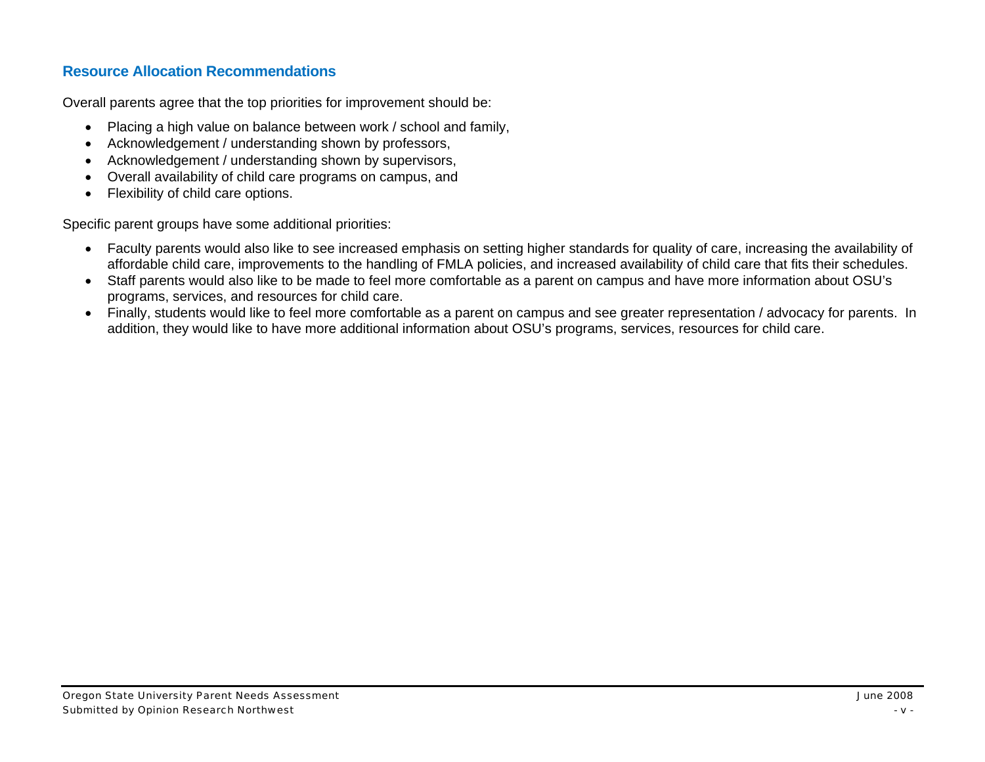# <span id="page-6-1"></span><span id="page-6-0"></span>**Resource Allocation Recommendations**

Overall parents agree that the top priorities for improvement should be:

- Placing a high value on balance between work / school and family,
- Acknowledgement / understanding shown by professors,
- Acknowledgement / understanding shown by supervisors,
- Overall availability of child care programs on campus, and
- Flexibility of child care options.

Specific parent groups have some additional priorities:

- Faculty parents would also like to see increased emphasis on setting higher standards for quality of care, increasing the availability of affordable child care, improvements to the handling of FMLA policies, and increased availability of child care that fits their schedules.
- Staff parents would also like to be made to feel more comfortable as a parent on campus and have more information about OSU's programs, services, and resources for child care.
- Finally, students would like to feel more comfortable as a parent on campus and see greater representation / advocacy for parents. In addition, they would like to have more additional information about OSU's programs, services, resources for child care.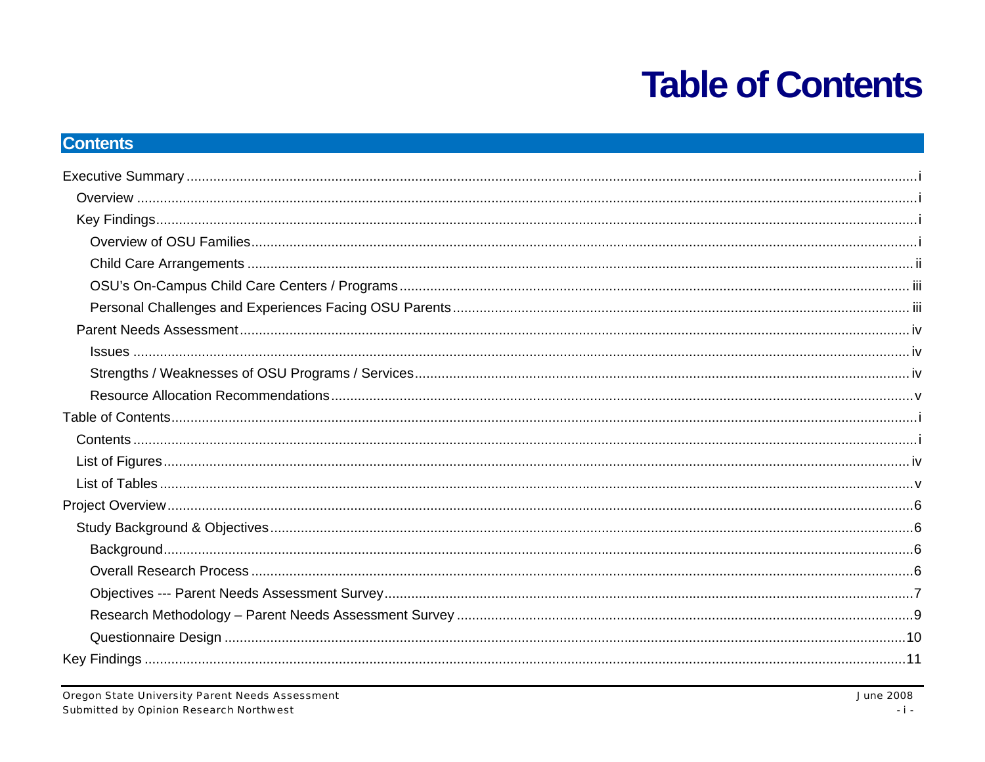# **Table of Contents**

# <span id="page-7-2"></span><span id="page-7-1"></span><span id="page-7-0"></span>**Contents**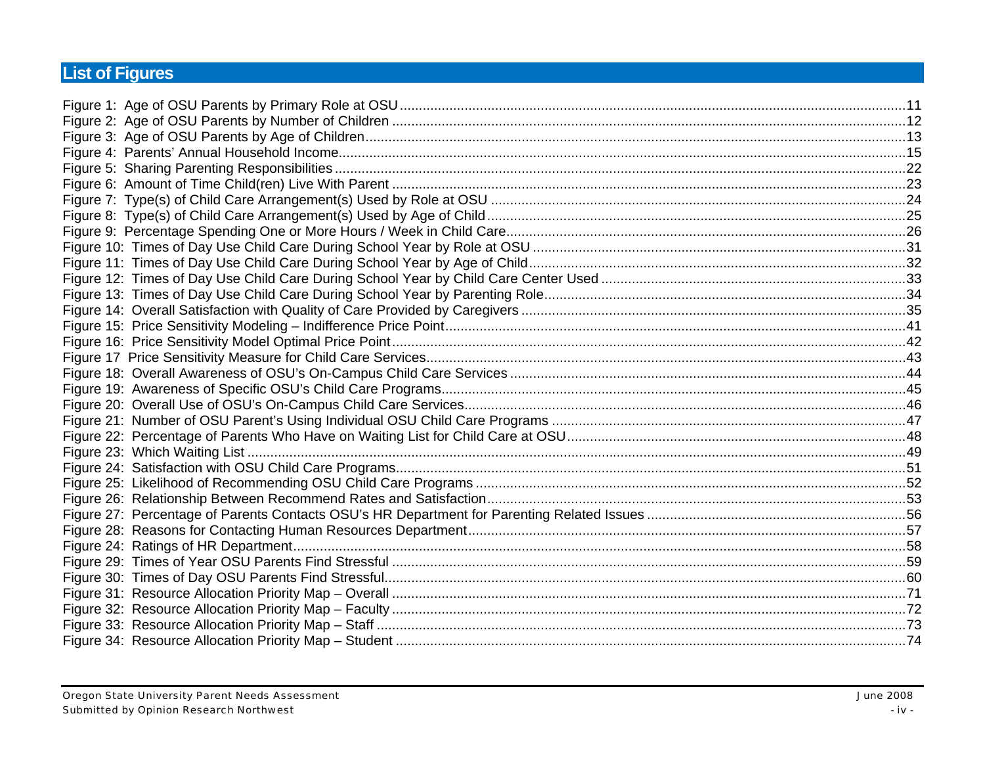# <span id="page-10-1"></span><span id="page-10-0"></span>**List of Figures**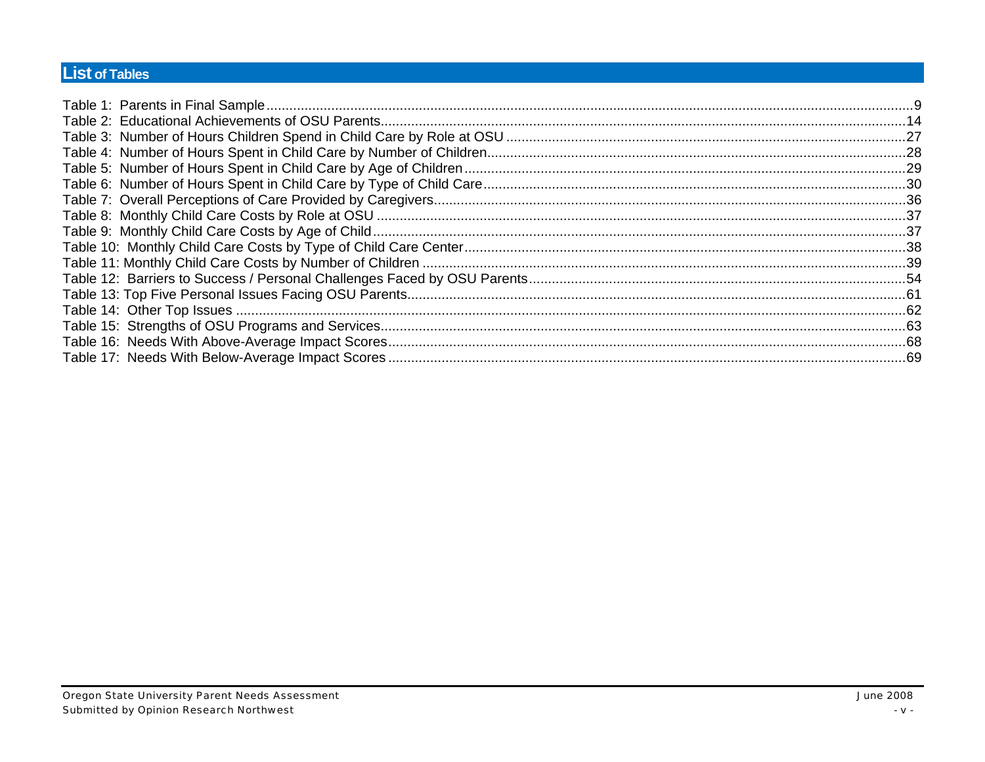# <span id="page-11-1"></span><span id="page-11-0"></span>**List of Tables**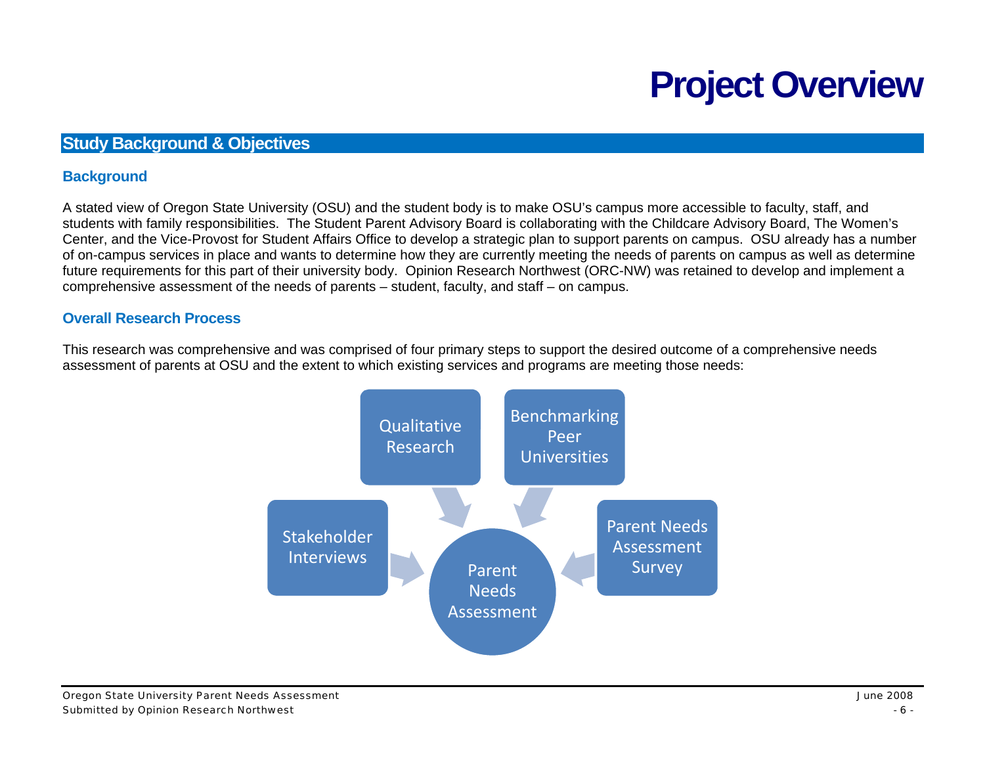# **Project Overview**

# <span id="page-12-2"></span><span id="page-12-1"></span><span id="page-12-0"></span>**Study Background & Objectives**

#### <span id="page-12-3"></span>**Background**

A stated view of Oregon State University (OSU) and the student body is to make OSU's campus more accessible to faculty, staff, and students with family responsibilities. The Student Parent Advisory Board is collaborating with the Childcare Advisory Board, The Women's Center, and the Vice-Provost for Student Affairs Office to develop a strategic plan to support parents on campus. OSU already has a number of on-campus services in place and wants to determine how they are currently meeting the needs of parents on campus as well as determine future requirements for this part of their university body. Opinion Research Northwest (ORC-NW) was retained to develop and implement a comprehensive assessment of the needs of parents – student, faculty, and staff – on campus.

#### <span id="page-12-4"></span>**Overall Research Process**

This research was comprehensive and was comprised of four primary steps to support the desired outcome of a comprehensive needs assessment of parents at OSU and the extent to which existing services and programs are meeting those needs:

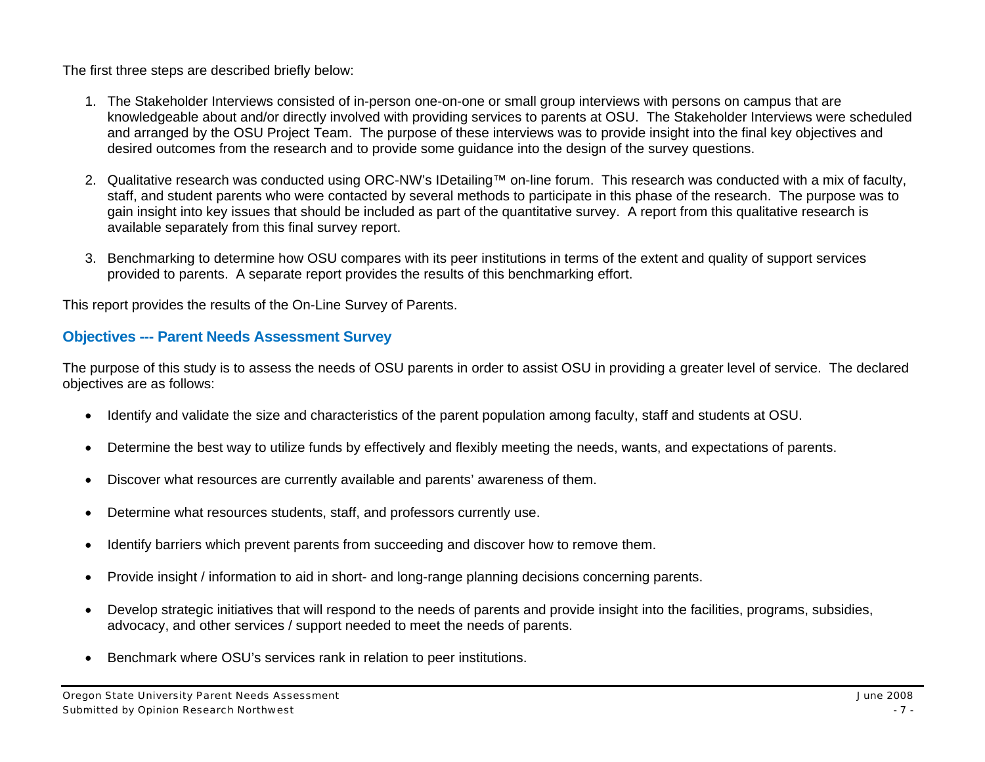<span id="page-13-0"></span>The first three steps are described briefly below:

- 1. The Stakeholder Interviews consisted of in-person one-on-one or small group interviews with persons on campus that are knowledgeable about and/or directly involved with providing services to parents at OSU. The Stakeholder Interviews were scheduled and arranged by the OSU Project Team. The purpose of these interviews was to provide insight into the final key objectives and desired outcomes from the research and to provide some guidance into the design of the survey questions.
- 2. Qualitative research was conducted using ORC-NW's IDetailing™ on-line forum. This research was conducted with a mix of faculty, staff, and student parents who were contacted by several methods to participate in this phase of the research. The purpose was to gain insight into key issues that should be included as part of the quantitative survey. A report from this qualitative research is available separately from this final survey report.
- 3. Benchmarking to determine how OSU compares with its peer institutions in terms of the extent and quality of support services provided to parents. A separate report provides the results of this benchmarking effort.

This report provides the results of the On-Line Survey of Parents.

# <span id="page-13-1"></span>**Objectives --- Parent Needs Assessment Survey**

The purpose of this study is to assess the needs of OSU parents in order to assist OSU in providing a greater level of service. The declared objectives are as follows:

- Identify and validate the size and characteristics of the parent population among faculty, staff and students at OSU.
- Determine the best way to utilize funds by effectively and flexibly meeting the needs, wants, and expectations of parents.
- Discover what resources are currently available and parents' awareness of them.
- Determine what resources students, staff, and professors currently use.
- Identify barriers which prevent parents from succeeding and discover how to remove them.
- Provide insight / information to aid in short- and long-range planning decisions concerning parents.
- Develop strategic initiatives that will respond to the needs of parents and provide insight into the facilities, programs, subsidies, advocacy, and other services / support needed to meet the needs of parents.
- Benchmark where OSU's services rank in relation to peer institutions.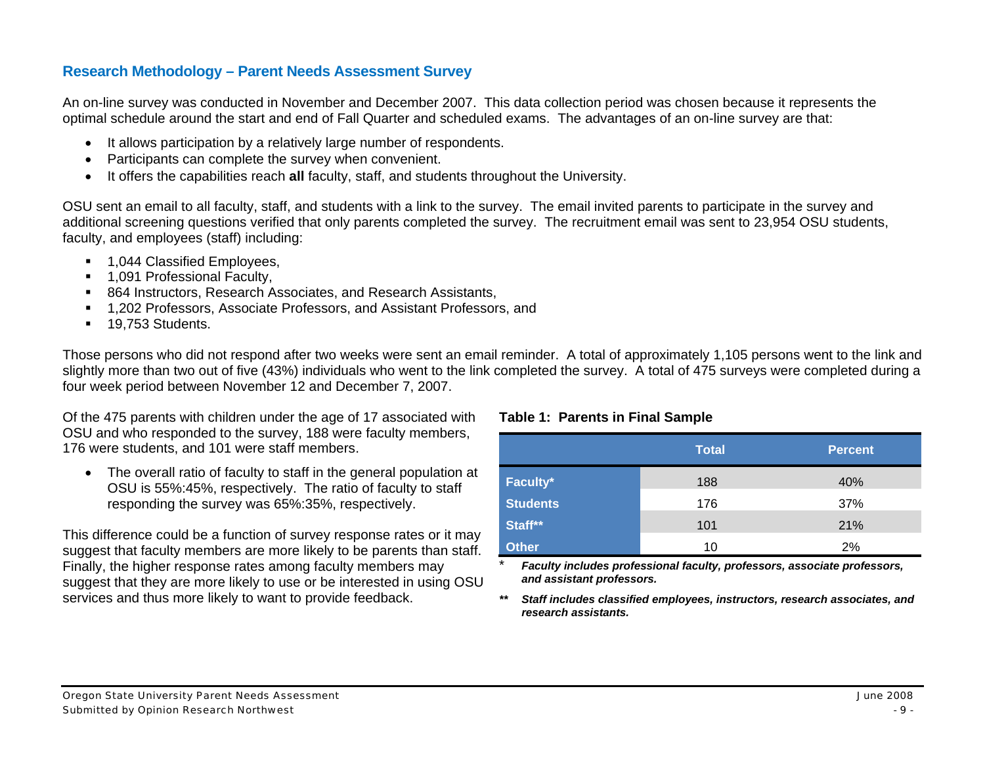# <span id="page-15-1"></span><span id="page-15-0"></span>**Research Methodology – Parent Needs Assessment Survey**

An on-line survey was conducted in November and December 2007. This data collection period was chosen because it represents the optimal schedule around the start and end of Fall Quarter and scheduled exams. The advantages of an on-line survey are that:

- It allows participation by a relatively large number of respondents.
- Participants can complete the survey when convenient.
- It offers the capabilities reach **all** faculty, staff, and students throughout the University.

OSU sent an email to all faculty, staff, and students with a link to the survey. The email invited parents to participate in the survey and additional screening questions verified that only parents completed the survey. The recruitment email was sent to 23,954 OSU students, faculty, and employees (staff) including:

- 1,044 Classified Employees,
- 1,091 Professional Faculty,
- 864 Instructors, Research Associates, and Research Assistants,
- 1,202 Professors, Associate Professors, and Assistant Professors, and
- **19,753 Students.**

Those persons who did not respond after two weeks were sent an email reminder. A total of approximately 1,105 persons went to the link and slightly more than two out of five (43%) individuals who went to the link completed the survey. A total of 475 surveys were completed during a four week period between November 12 and December 7, 2007.

<span id="page-15-2"></span>Of the 475 parents with children under the age of 17 associated with OSU and who responded to the survey, 188 were faculty members, 176 were students, and 101 were staff members.

• The overall ratio of faculty to staff in the general population at OSU is 55%:45%, respectively. The ratio of faculty to staff responding the survey was 65%:35%, respectively.

This difference could be a function of survey response rates or it may suggest that faculty members are more likely to be parents than staff. Finally, the higher response rates among faculty members may suggest that they are more likely to use or be interested in using OSU services and thus more likely to want to provide feedback.

#### **Table 1: Parents in Final Sample**

|                 | <b>Total</b> | <b>Percent</b> |
|-----------------|--------------|----------------|
| Faculty*        | 188          | 40%            |
| <b>Students</b> | 176          | 37%            |
| Staff**         | 101          | 21%            |
| <b>Other</b>    | 10           | 2%             |

\* *Faculty includes professional faculty, professors, associate professors, and assistant professors.* 

*\*\* Staff includes classified employees, instructors, research associates, and research assistants.*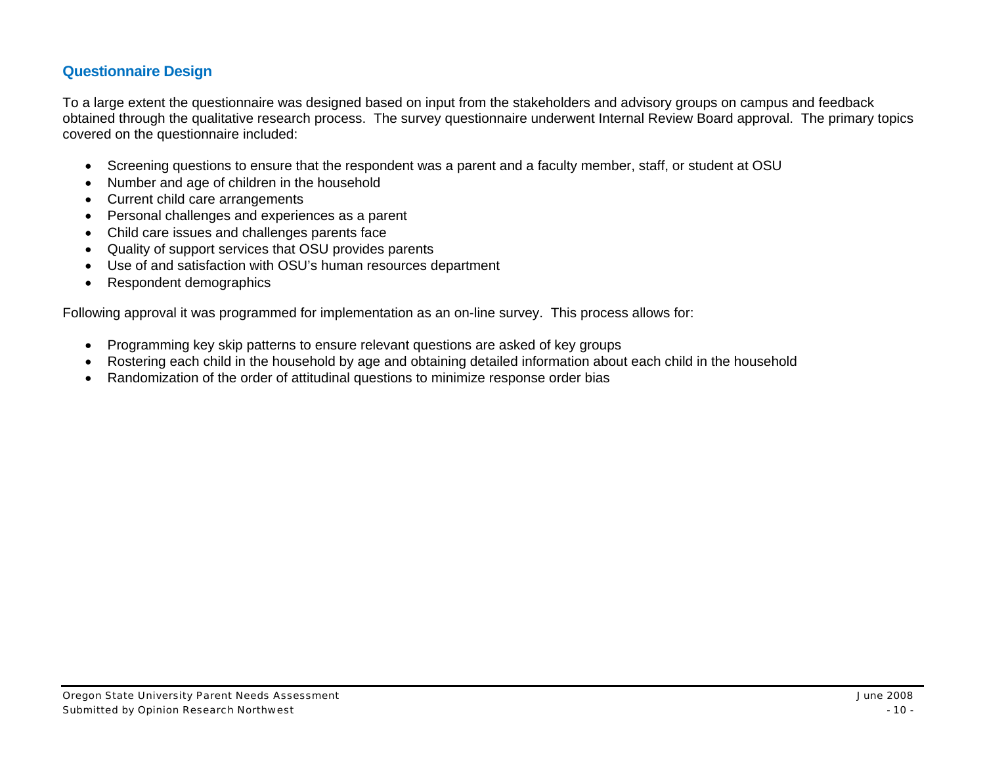### <span id="page-16-1"></span><span id="page-16-0"></span>**Questionnaire Design**

To a large extent the questionnaire was designed based on input from the stakeholders and advisory groups on campus and feedback obtained through the qualitative research process. The survey questionnaire underwent Internal Review Board approval. The primary topics covered on the questionnaire included:

- Screening questions to ensure that the respondent was a parent and a faculty member, staff, or student at OSU
- Number and age of children in the household
- Current child care arrangements
- Personal challenges and experiences as a parent
- Child care issues and challenges parents face
- Quality of support services that OSU provides parents
- Use of and satisfaction with OSU's human resources department
- Respondent demographics

Following approval it was programmed for implementation as an on-line survey. This process allows for:

- Programming key skip patterns to ensure relevant questions are asked of key groups
- Rostering each child in the household by age and obtaining detailed information about each child in the household
- Randomization of the order of attitudinal questions to minimize response order bias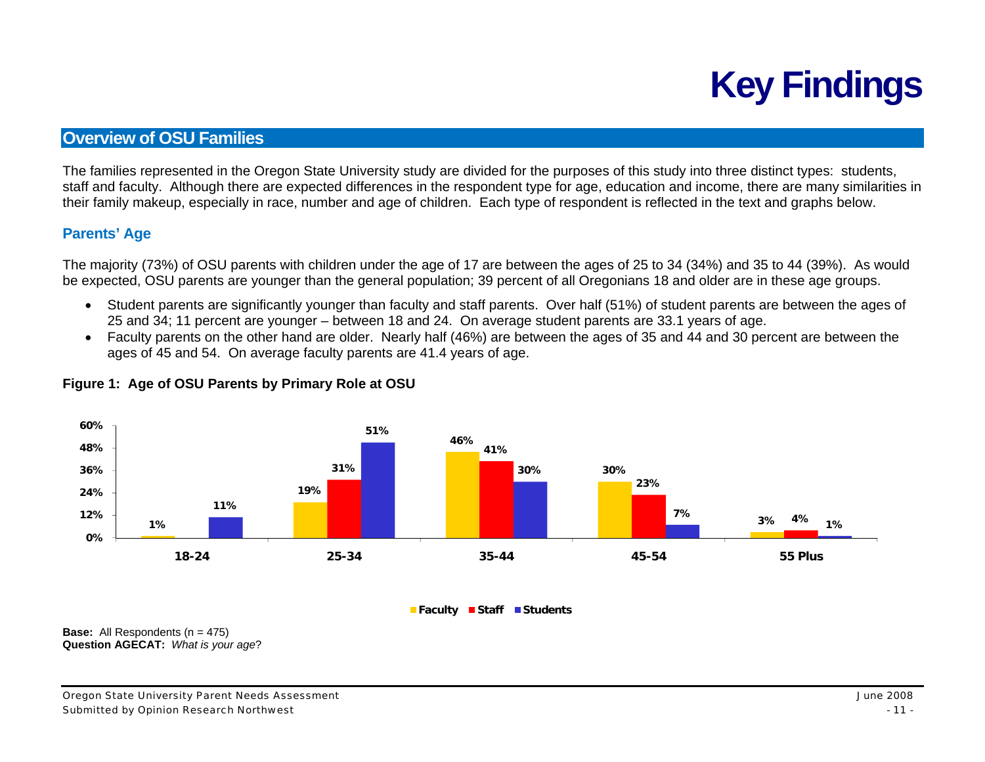# **Key Findings**

# <span id="page-17-2"></span><span id="page-17-1"></span><span id="page-17-0"></span>**Overview of OSU Families**

The families represented in the Oregon State University study are divided for the purposes of this study into three distinct types: students, staff and faculty. Although there are expected differences in the respondent type for age, education and income, there are many similarities in their family makeup, especially in race, number and age of children. Each type of respondent is reflected in the text and graphs below.

#### <span id="page-17-3"></span>**Parents' Age**

The majority (73%) of OSU parents with children under the age of 17 are between the ages of 25 to 34 (34%) and 35 to 44 (39%). As would be expected, OSU parents are younger than the general population; 39 percent of all Oregonians 18 and older are in these age groups.

- Student parents are significantly younger than faculty and staff parents. Over half (51%) of student parents are between the ages of 25 and 34; 11 percent are younger – between 18 and 24. On average student parents are 33.1 years of age.
- Faculty parents on the other hand are older. Nearly half (46%) are between the ages of 35 and 44 and 30 percent are between the ages of 45 and 54. On average faculty parents are 41.4 years of age.

<span id="page-17-4"></span>

#### **Figure 1: Age of OSU Parents by Primary Role at OSU**

**Faculty Staff Students**

**Base:** All Respondents (n = 475) **Question AGECAT:** *What is your age*?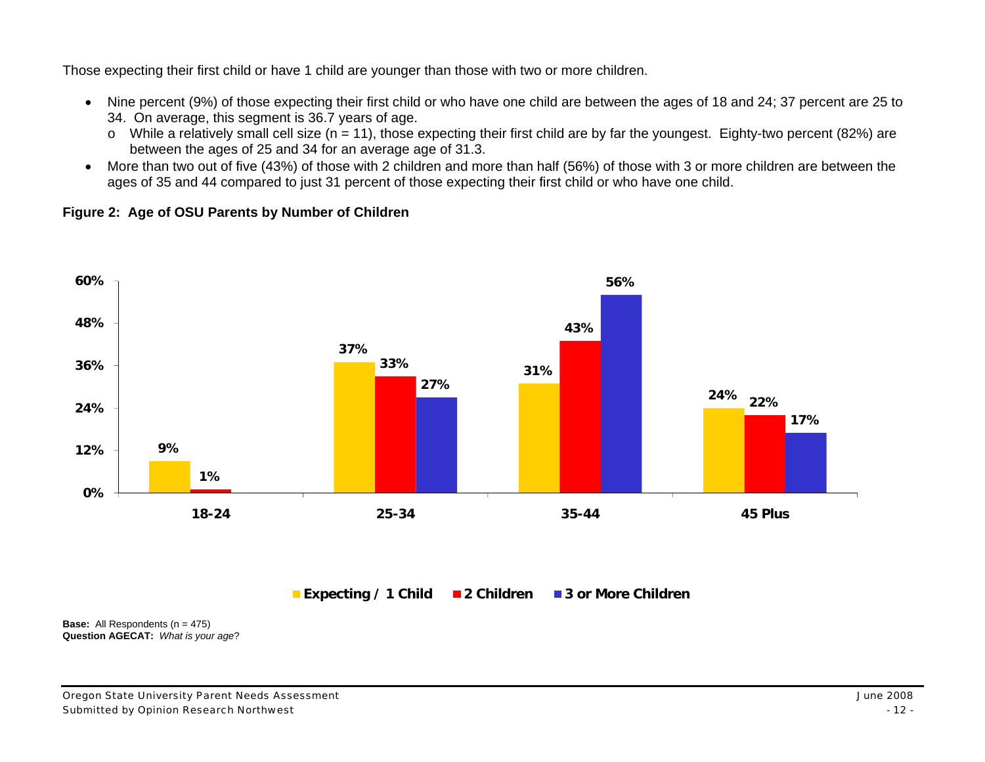<span id="page-18-0"></span>Those expecting their first child or have 1 child are younger than those with two or more children.

- Nine percent (9%) of those expecting their first child or who have one child are between the ages of 18 and 24; 37 percent are 25 to 34. On average, this segment is 36.7 years of age.
	- $\circ$  While a relatively small cell size (n = 11), those expecting their first child are by far the youngest. Eighty-two percent (82%) are between the ages of 25 and 34 for an average age of 31.3.
- More than two out of five (43%) of those with 2 children and more than half (56%) of those with 3 or more children are between the ages of 35 and 44 compared to just 31 percent of those expecting their first child or who have one child.

**Figure 2: Age of OSU Parents by Number of Children** 

<span id="page-18-1"></span>

Oregon State University Parent Needs Assessment June 2008 Submitted by Opinion Research Northwest - 12 -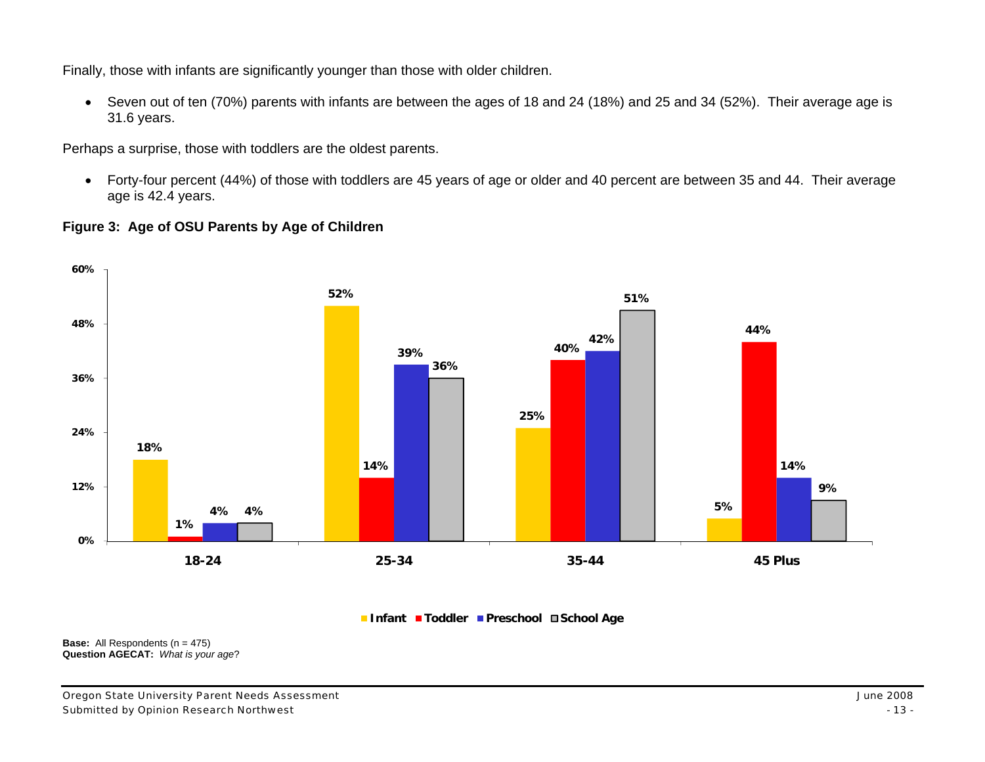<span id="page-19-0"></span>Finally, those with infants are significantly younger than those with older children.

• Seven out of ten (70%) parents with infants are between the ages of 18 and 24 (18%) and 25 and 34 (52%). Their average age is 31.6 years.

Perhaps a surprise, those with toddlers are the oldest parents.

• Forty-four percent (44%) of those with toddlers are 45 years of age or older and 40 percent are between 35 and 44. Their average age is 42.4 years.

<span id="page-19-1"></span>





**Base:** All Respondents (n = 475) **Question AGECAT:** *What is your age*?

Oregon State University Parent Needs Assessment June 2008 Submitted by Opinion Research Northwest - 13 -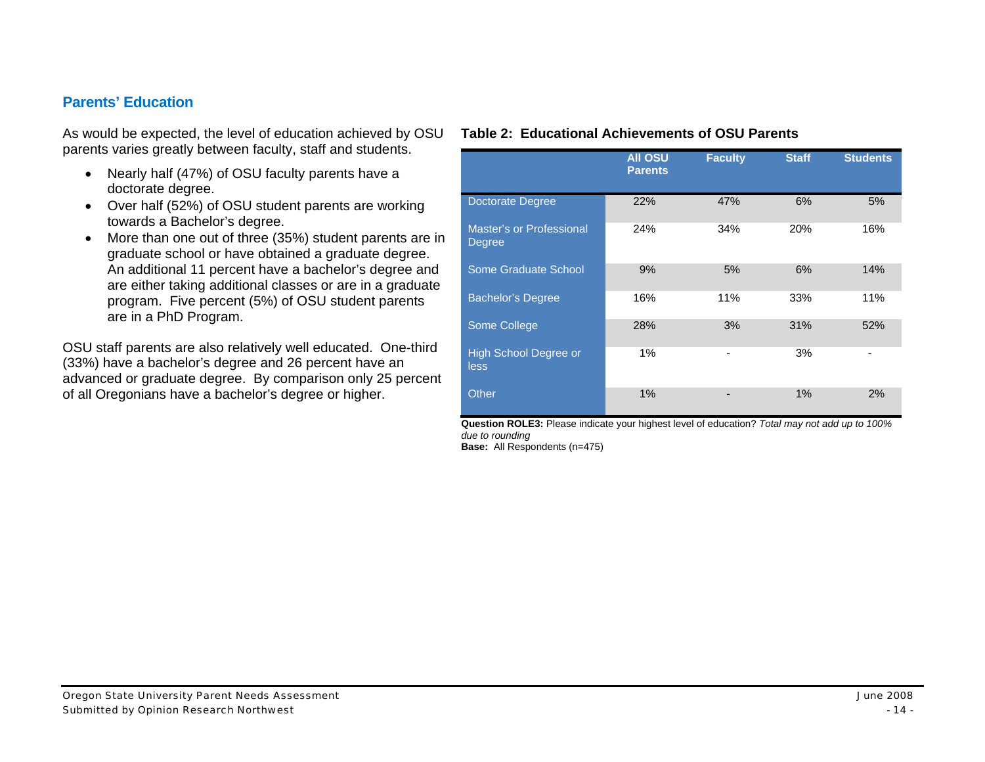### <span id="page-20-1"></span><span id="page-20-0"></span>**Parents' Education**

<span id="page-20-2"></span>As would be expected, the level of education achieved by OSU **Table 2: Educational Achievements of OSU Parents**  parents varies greatly between faculty, staff and students.

- Nearly half (47%) of OSU faculty parents have a doctorate degree.
- Over half (52%) of OSU student parents are working towards a Bachelor's degree.
- More than one out of three (35%) student parents are in graduate school or have obtained a graduate degree. An additional 11 percent have a bachelor's degree and are either taking additional classes or are in a graduate program. Five percent (5%) of OSU student parents are in a PhD Program.

OSU staff parents are also relatively well educated. One-third (33%) have a bachelor's degree and 26 percent have an advanced or graduate degree. By comparison only 25 percent of all Oregonians have a bachelor's degree or higher.

|                                            | <b>AII OSU</b><br><b>Parents</b> | <b>Faculty</b> | <b>Staff</b> | <b>Students</b> |
|--------------------------------------------|----------------------------------|----------------|--------------|-----------------|
| <b>Doctorate Degree</b>                    | 22%                              | 47%            | 6%           | 5%              |
| Master's or Professional<br>Degree         | 24%                              | 34%            | 20%          | 16%             |
| <b>Some Graduate School</b>                | 9%                               | 5%             | 6%           | 14%             |
| <b>Bachelor's Degree</b>                   | 16%                              | 11%            | 33%          | 11%             |
| Some College                               | 28%                              | 3%             | 31%          | 52%             |
| High School Degree or<br>less <sup>'</sup> | 1%                               |                | 3%           | ۰               |
| <b>Other</b>                               | 1%                               |                | 1%           | 2%              |

**Question ROLE3:** Please indicate your highest level of education? *Total may not add up to 100% due to rounding* 

**Base:** All Respondents (n=475)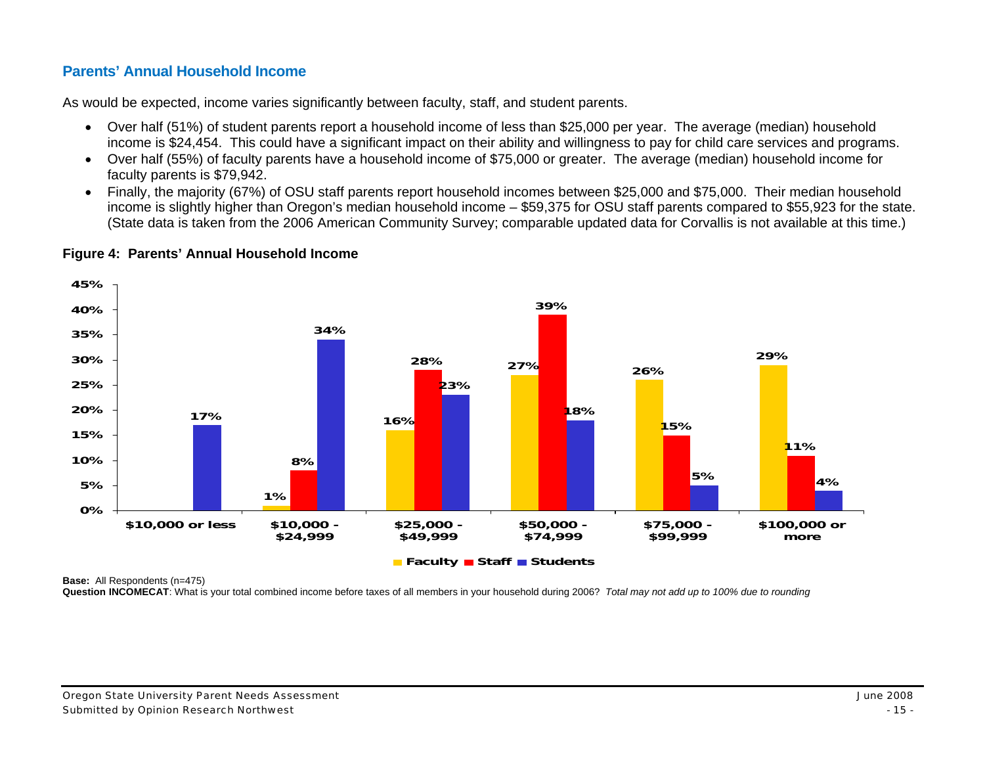# <span id="page-21-1"></span><span id="page-21-0"></span>**Parents' Annual Household Income**

As would be expected, income varies significantly between faculty, staff, and student parents.

- Over half (51%) of student parents report a household income of less than \$25,000 per year. The average (median) household income is \$24,454. This could have a significant impact on their ability and willingness to pay for child care services and programs.
- Over half (55%) of faculty parents have a household income of \$75,000 or greater. The average (median) household income for faculty parents is \$79,942.
- Finally, the majority (67%) of OSU staff parents report household incomes between \$25,000 and \$75,000. Their median household income is slightly higher than Oregon's median household income – \$59,375 for OSU staff parents compared to \$55,923 for the state. (State data is taken from the 2006 American Community Survey; comparable updated data for Corvallis is not available at this time.)

<span id="page-21-2"></span>

#### **Figure 4: Parents' Annual Household Income**

**Base:** All Respondents (n=475)

**Question INCOMECAT**: What is your total combined income before taxes of all members in your household during 2006? *Total may not add up to 100% due to rounding*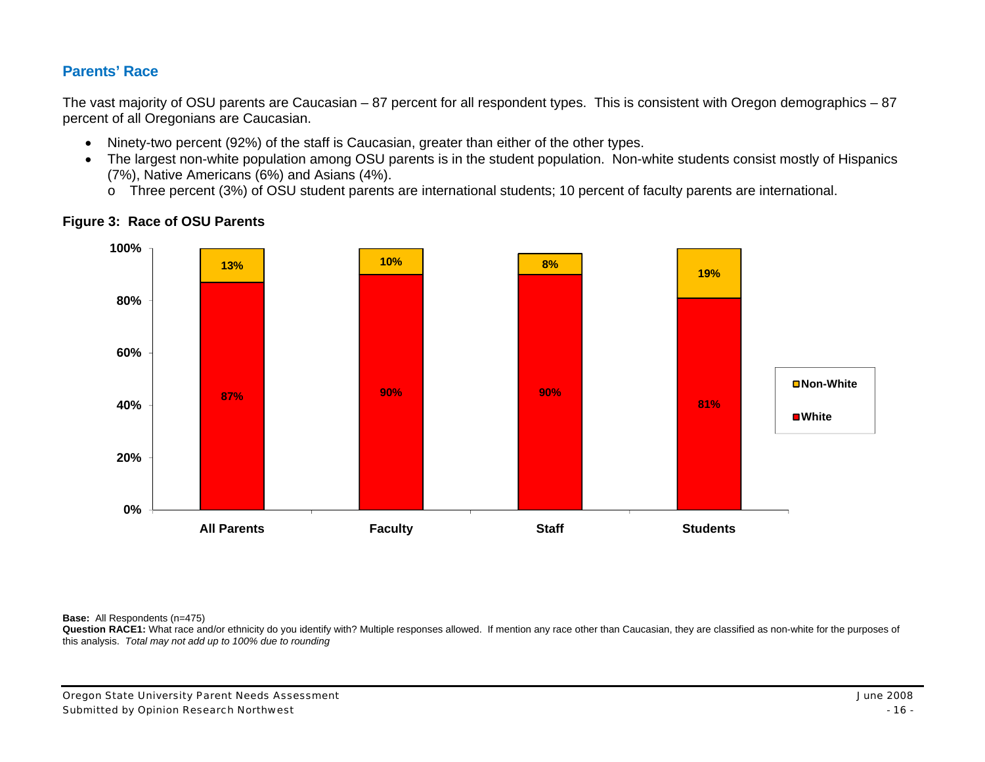# <span id="page-22-1"></span><span id="page-22-0"></span>**Parents' Race**

The vast majority of OSU parents are Caucasian – 87 percent for all respondent types. This is consistent with Oregon demographics – 87 percent of all Oregonians are Caucasian.

- Ninety-two percent (92%) of the staff is Caucasian, greater than either of the other types.
- The largest non-white population among OSU parents is in the student population. Non-white students consist mostly of Hispanics (7%), Native Americans (6%) and Asians (4%).
	- <sup>o</sup> Three percent (3%) of OSU student parents are international students; 10 percent of faculty parents are international.



#### **Figure 3: Race of OSU Parents**

#### **Base:** All Respondents (n=475)

**Question RACE1:** What race and/or ethnicity do you identify with? Multiple responses allowed. If mention any race other than Caucasian, they are classified as non-white for the purposes of this analysis. *Total may not add up to 100% due to rounding*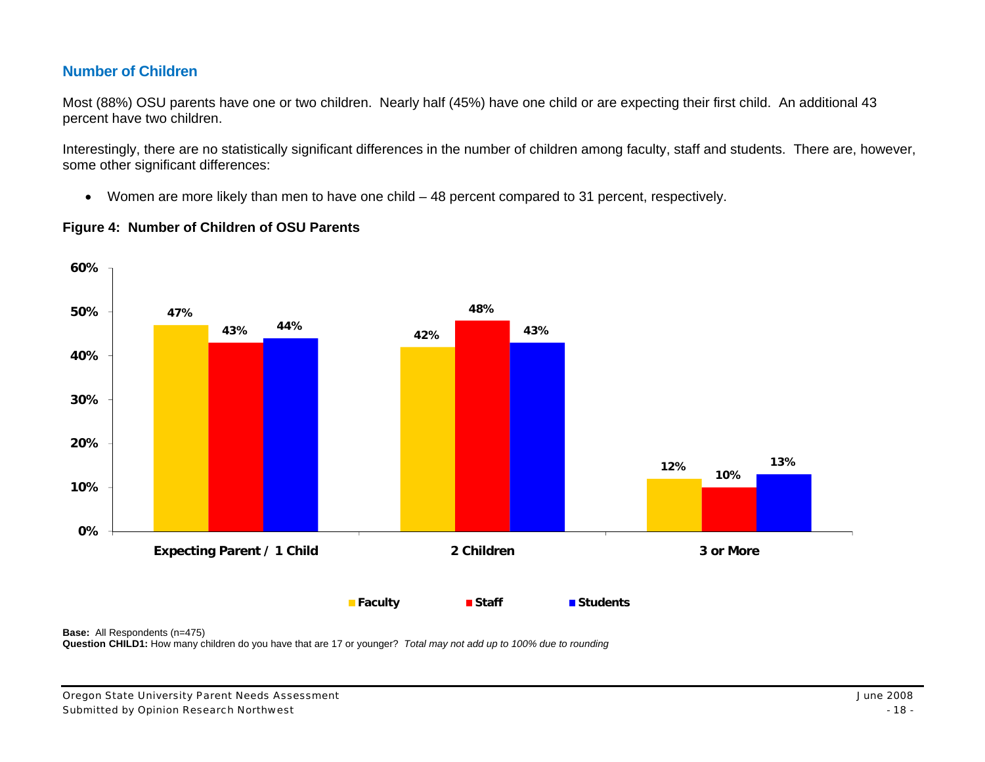# <span id="page-24-1"></span><span id="page-24-0"></span>**Number of Children**

Most (88%) OSU parents have one or two children. Nearly half (45%) have one child or are expecting their first child. An additional 43 percent have two children.

Interestingly, there are no statistically significant differences in the number of children among faculty, staff and students. There are, however, some other significant differences:

• Women are more likely than men to have one child – 48 percent compared to 31 percent, respectively.



### **Figure 4: Number of Children of OSU Parents**

**Base:** All Respondents (n=475)

**Question CHILD1:** How many children do you have that are 17 or younger? *Total may not add up to 100% due to rounding*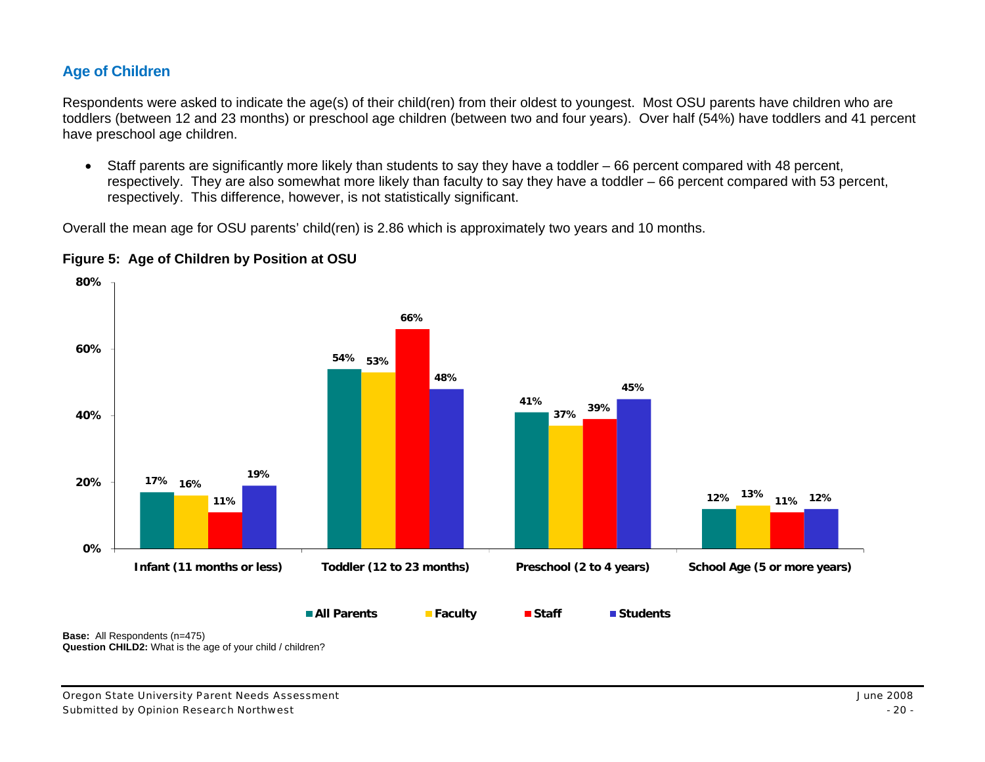# <span id="page-26-1"></span><span id="page-26-0"></span>**Age of Children**

Respondents were asked to indicate the age(s) of their child(ren) from their oldest to youngest. Most OSU parents have children who are toddlers (between 12 and 23 months) or preschool age children (between two and four years). Over half (54%) have toddlers and 41 percent have preschool age children.

• Staff parents are significantly more likely than students to say they have a toddler – 66 percent compared with 48 percent, respectively. They are also somewhat more likely than faculty to say they have a toddler – 66 percent compared with 53 percent, respectively. This difference, however, is not statistically significant.

Overall the mean age for OSU parents' child(ren) is 2.86 which is approximately two years and 10 months.



### **Figure 5: Age of Children by Position at OSU**

**Base:** All Respondents (n=475) **Question CHILD2:** What is the age of your child / children?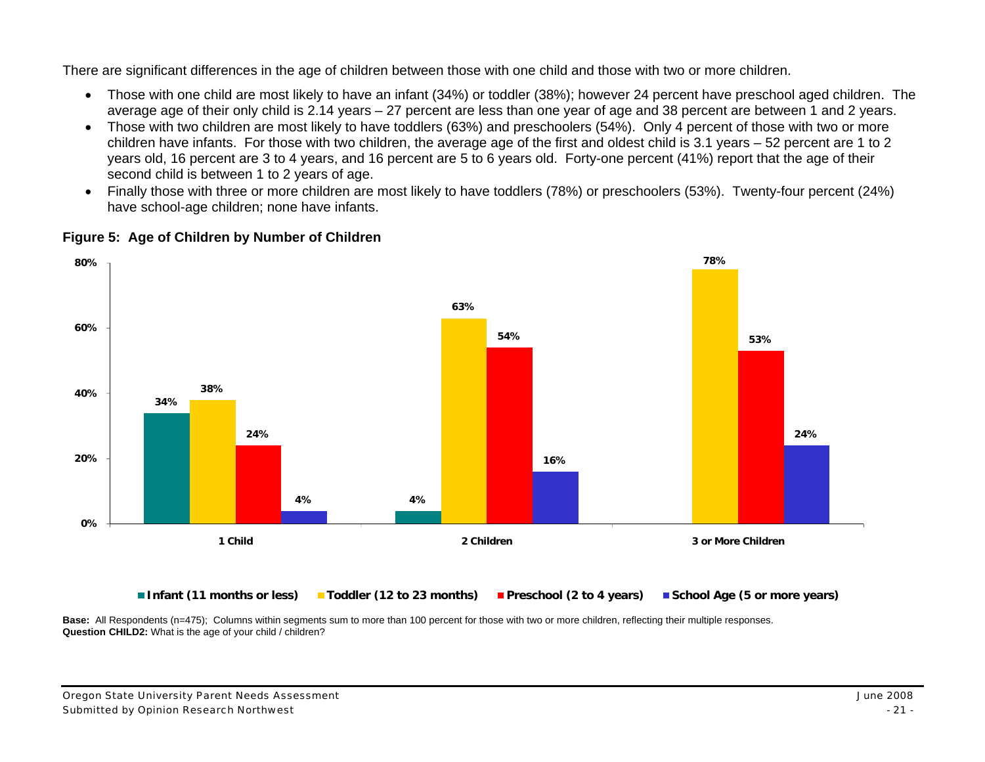There are significant differences in the age of children between those with one child and those with two or more children.

- Those with one child are most likely to have an infant (34%) or toddler (38%); however 24 percent have preschool aged children. The average age of their only child is 2.14 years – 27 percent are less than one year of age and 38 percent are between 1 and 2 years.
- Those with two children are most likely to have toddlers (63%) and preschoolers (54%). Only 4 percent of those with two or more children have infants. For those with two children, the average age of the first and oldest child is 3.1 years – 52 percent are 1 to 2 years old, 16 percent are 3 to 4 years, and 16 percent are 5 to 6 years old. Forty-one percent (41%) report that the age of their second child is between 1 to 2 years of age.
- Finally those with three or more children are most likely to have toddlers (78%) or preschoolers (53%). Twenty-four percent (24%) have school-age children; none have infants.



### **Figure 5: Age of Children by Number of Children**

**Base:** All Respondents (n=475); Columns within segments sum to more than 100 percent for those with two or more children, reflecting their multiple responses. **Question CHILD2:** What is the age of your child / children?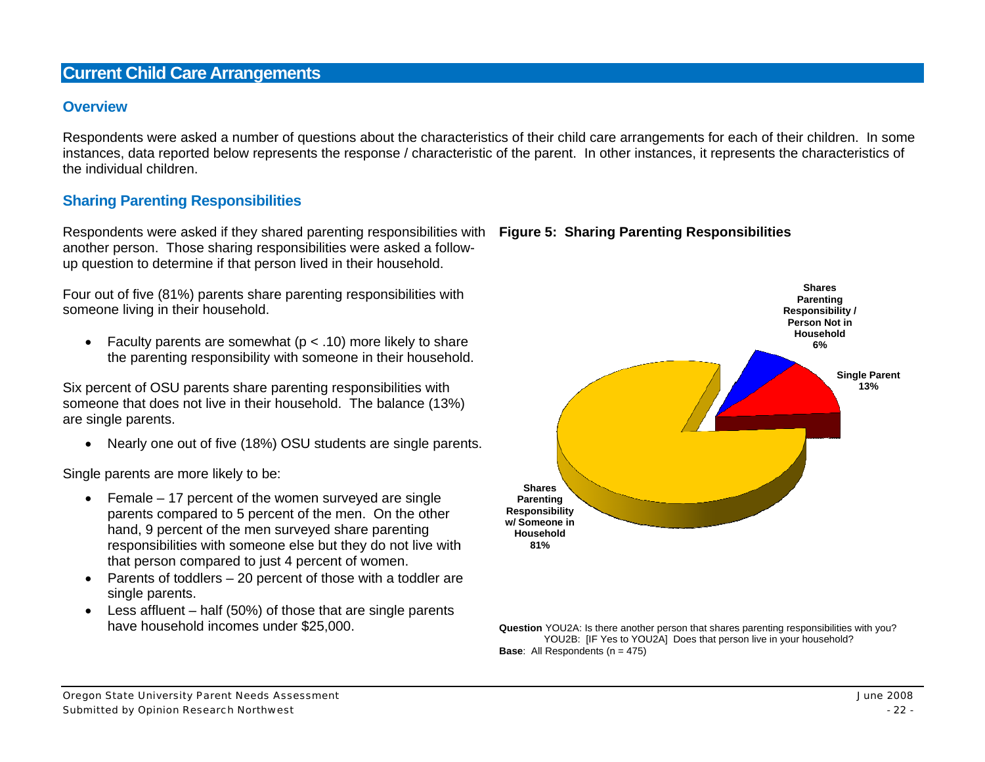# <span id="page-28-1"></span><span id="page-28-0"></span>**Current Child Care Arrangements**

#### <span id="page-28-2"></span>**Overview**

Respondents were asked a number of questions about the characteristics of their child care arrangements for each of their children. In some instances, data reported below represents the response / characteristic of the parent. In other instances, it represents the characteristics of the individual children.

# <span id="page-28-3"></span>**Sharing Parenting Responsibilities**

<span id="page-28-4"></span>Respondents were asked if they shared parenting responsibilities with Figure 5: Sharing Parenting Responsibilities another person. Those sharing responsibilities were asked a followup question to determine if that person lived in their household.

Four out of five (81%) parents share parenting responsibilities with someone living in their household.

• Faculty parents are somewhat  $(p < .10)$  more likely to share the parenting responsibility with someone in their household.

Six percent of OSU parents share parenting responsibilities with someone that does not live in their household. The balance (13%) are single parents.

• Nearly one out of five (18%) OSU students are single parents.

Single parents are more likely to be:

- Female  $-17$  percent of the women surveyed are single parents compared to 5 percent of the men. On the other hand, 9 percent of the men surveyed share parenting responsibilities with someone else but they do not live with that person compared to just 4 percent of women.
- Parents of toddlers 20 percent of those with a toddler are single parents.
- Less affluent  $-$  half (50%) of those that are single parents have household incomes under \$25,000.



Question YOU2A: Is there another person that shares parenting responsibilities with you? YOU2B: [IF Yes to YOU2A] Does that person live in your household? **Base:** All Respondents ( $n = 475$ )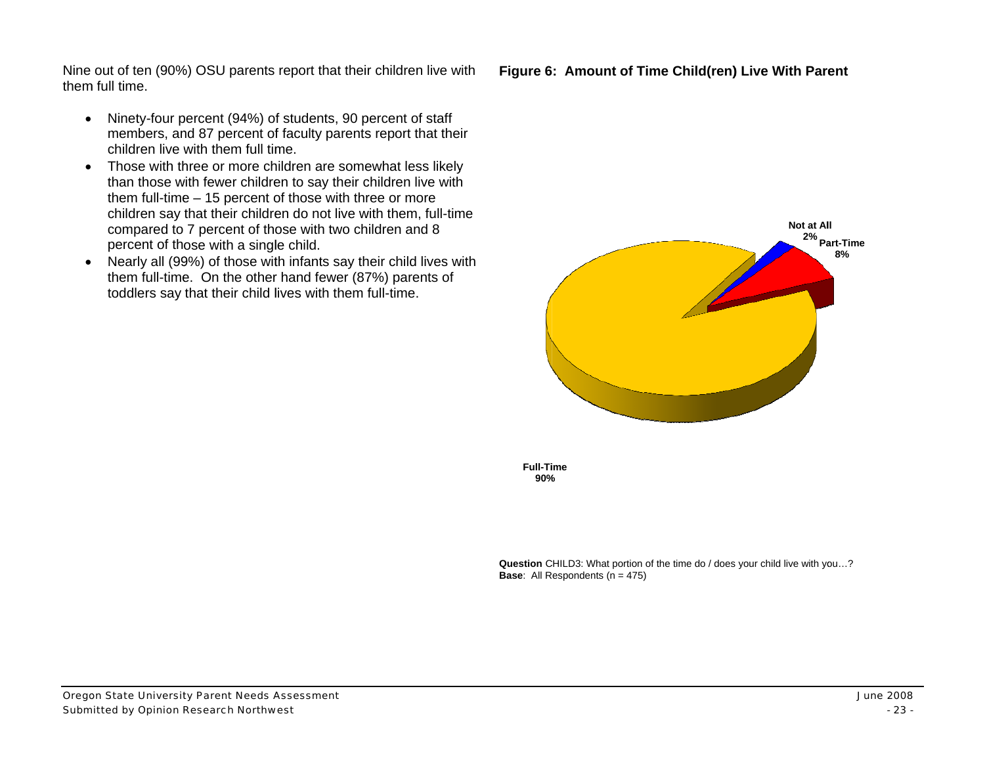<span id="page-29-1"></span><span id="page-29-0"></span>Nine out of ten (90%) OSU parents report that their children live with them full time.

- •Ninety-four percent (94%) of students, 90 percent of staff members, and 87 percent of faculty parents report that their children live with them full time.
- Those with three or more children are somewhat less likely than those with fewer children to say their children live with them full-time – 15 percent of those with three or more Those with three or more children are somewhat less likely<br>than those with fewer children to say their children live with<br>them full-time – 15 percent of those with three or more<br>children say that their children do not live compared to 7 percent of those with two children and 8 percent of th ose with a singl le child.
- Nearly all (99%) of those with infants say their child lives with them full-time. On the other hand fewer (87%) parents of toddlers say that their child lives with them full-time.





**Full-Tiime90%**

**Question** CHILD3: What portion of the time do / does your child live with you...? **Base**: All Respondents (n = 475)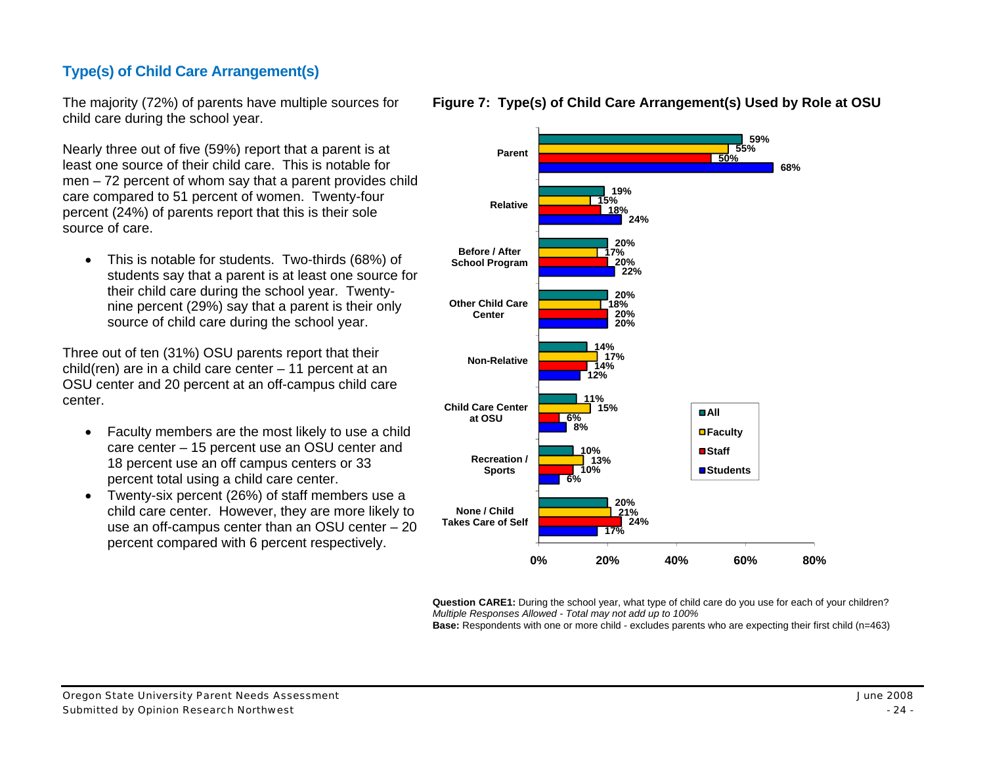# <span id="page-30-1"></span><span id="page-30-0"></span>**Type(s) of Child Care Arrangement(s)**

<span id="page-30-2"></span>The majority (72%) of parents have multiple sources for child care during the school year.

Nearly three out of five (59%) report that a parent is at least one source of their child care. This is notable for men – 72 percent of whom say that a parent provides child care compared to 51 percent of women. Twenty-four percent (24%) of parents report that this is their sole source of care.

• This is notable for students. Two-thirds (68%) of students say that a parent is at least one source for their child care during the school year. Twentynine percent (29%) say that a parent is their only source of child care during the school year.

Three out of ten (31%) OSU parents report that their child(ren) are in a child care center – 11 percent at an OSU center and 20 percent at an off-campus child care center.

- Faculty members are the most likely to use a child care center – 15 percent use an OSU center and 18 percent use an off campus centers or 33 percent total using a child care center.
- Twenty-six percent (26%) of staff members use a child care center. However, they are more likely to use an off-campus center than an OSU center – 20 percent compared with 6 percent respectively.



#### **Figure 7: Type(s) of Child Care Arrangement(s) Used by Role at OSU**

**Question CARE1:** During the school year, what type of child care do you use for each of your children? *Multiple Responses Allowed - Total may not add up to 100%*

**Base:** Respondents with one or more child - excludes parents who are expecting their first child (n=463)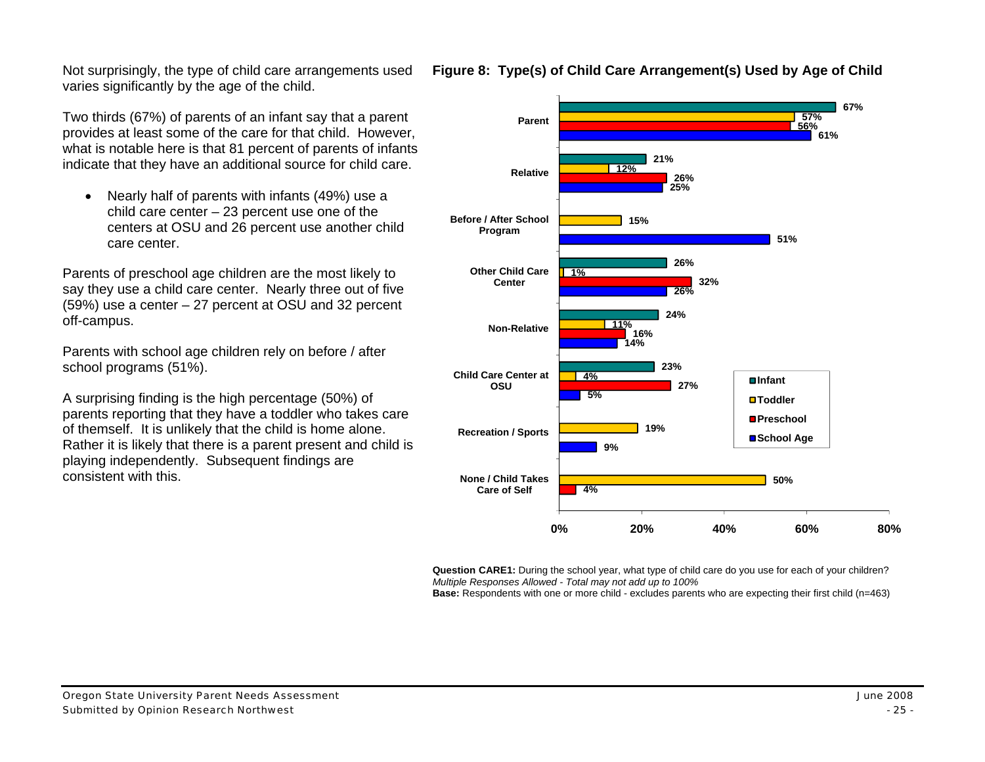<span id="page-31-1"></span><span id="page-31-0"></span>Not surprisingly, the type of child care arrangements used varies significantly by the age of the child.

Two thirds (67%) of parents of an infant say that a parent provides at least some of the care for that child. However, what is notable here is that 81 percent of parents of infants indicate that they have an additional source for child care.

• Nearly half of parents with infants (49%) use a child care center – 23 percent use one of the centers at OSU and 26 percent use another child care center.

Parents of preschool age children are the most likely to say they use a child care center. Nearly three out of five (59%) use a center – 27 percent at OSU and 32 percent off-campus.

Parents with school age children rely on before / after school programs (51%).

A surprising finding is the high percentage (50%) of parents reporting that they have a toddler who takes care of themself. It is unlikely that the child is home alone. Rather it is likely that there is a parent present and child is playing independently. Subsequent findings are consistent with this.



**Figure 8: Type(s) of Child Care Arrangement(s) Used by Age of Child** 

**Question CARE1:** During the school year, what type of child care do you use for each of your children? *Multiple Responses Allowed - Total may not add up to 100%*

**Base:** Respondents with one or more child - excludes parents who are expecting their first child (n=463)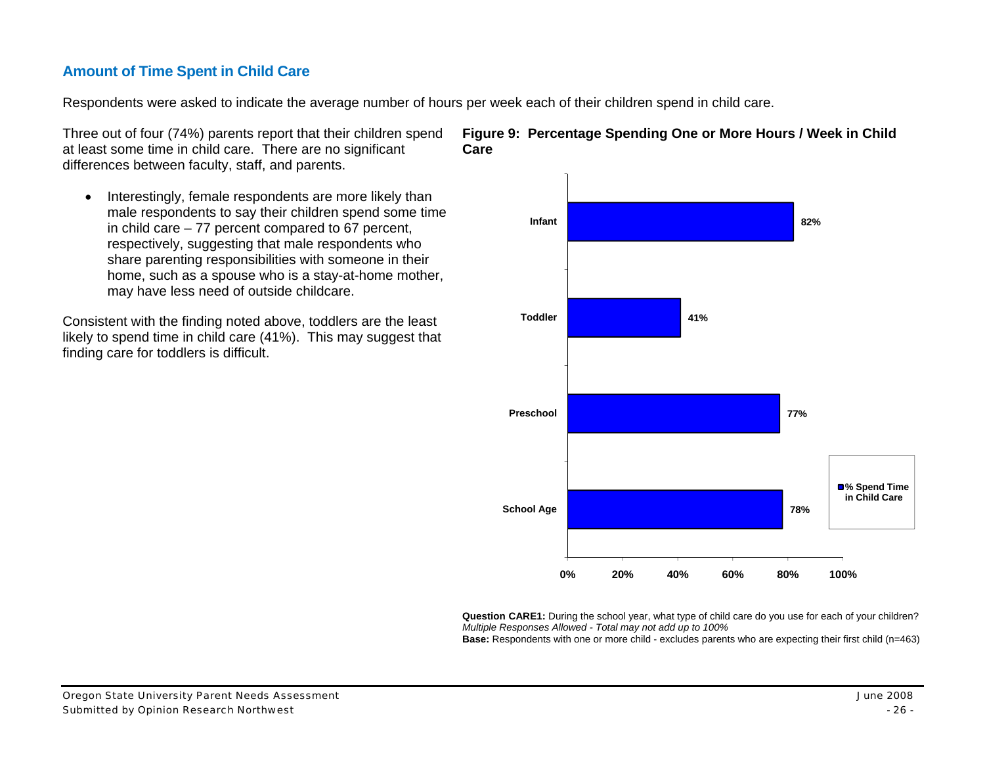# <span id="page-32-1"></span><span id="page-32-0"></span>**Amount of Time Spent in Child Care**

Respondents were asked to indicate the average number of hours per week each of their children spend in child care.

<span id="page-32-2"></span>Three out of four (74%) parents report that their children spend at least some time in child care. There are no significant differences between faculty, staff, and parents.

• Interestingly, female respondents are more likely than male respondents to say their children spend some time in child care – 77 percent compared to 67 percent, respectively, suggesting that male respondents who share parenting responsibilities with someone in their home, such as a spouse who is a stay-at-home mother, may have less need of outside childcare.

Consistent with the finding noted above, toddlers are the least likely to spend time in child care (41%). This may suggest that finding care for toddlers is difficult.



#### **Figure 9: Percentage Spending One or More Hours / Week in Child Care**

**Question CARE1:** During the school year, what type of child care do you use for each of your children? *Multiple Responses Allowed - Total may not add up to 100%*

**Base:** Respondents with one or more child - excludes parents who are expecting their first child (n=463)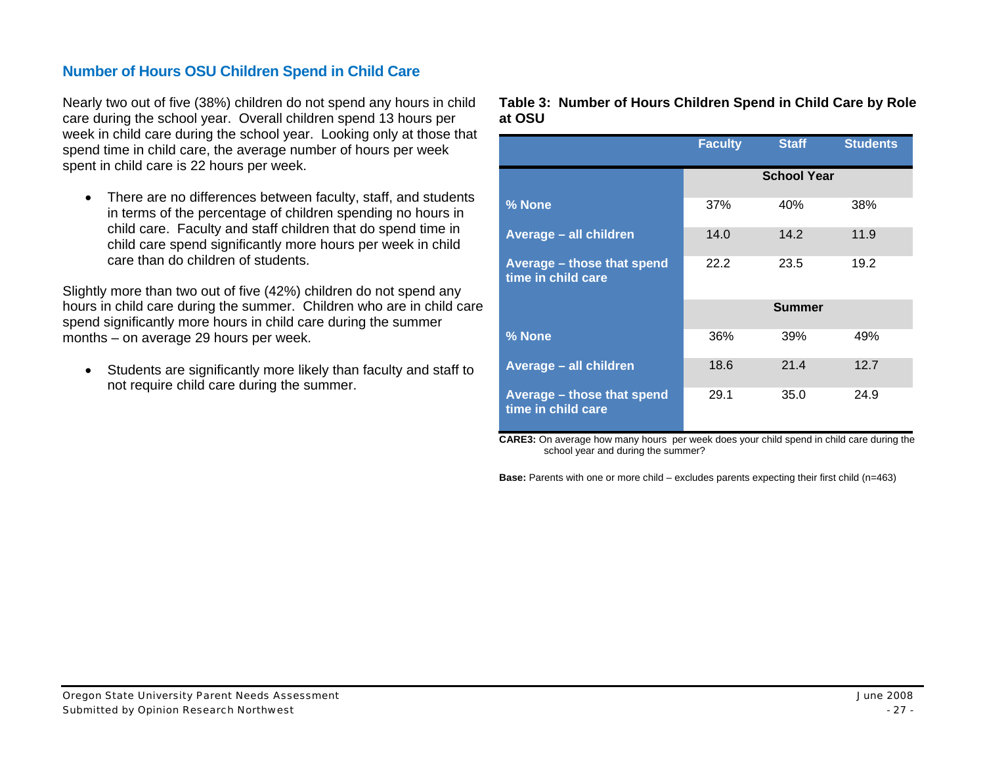# <span id="page-33-1"></span><span id="page-33-0"></span>**Number of Hours OSU Children Spend in Child Care**

<span id="page-33-2"></span>Nearly two out of five (38%) children do not spend any hours in child care during the school year. Overall children spend 13 hours per week in child care during the school year. Looking only at those that spend time in child care, the average number of hours per week spent in child care is 22 hours per week.

• There are no differences between faculty, staff, and students in terms of the percentage of children spending no hours in child care. Faculty and staff children that do spend time in child care spend significantly more hours per week in child care than do children of students.

Slightly more than two out of five (42%) children do not spend any hours in child care during the summer. Children who are in child care spend significantly more hours in child care during the summer months – on average 29 hours per week.

• Students are significantly more likely than faculty and staff to not require child care during the summer.

#### **Table 3: Number of Hours Children Spend in Child Care by Role at OSU**

|                                                  | <b>Faculty</b>     | <b>Staff</b>  | <b>Students</b> |  |
|--------------------------------------------------|--------------------|---------------|-----------------|--|
|                                                  | <b>School Year</b> |               |                 |  |
| % None                                           | 37%                | 40%           | 38%             |  |
| Average - all children                           | 14.0               | 14.2          | 11.9            |  |
| Average - those that spend<br>time in child care | 22.2               | 23.5          | 19.2            |  |
|                                                  |                    | <b>Summer</b> |                 |  |
| % None                                           | 36%                | 39%           | 49%             |  |
| Average - all children                           | 18.6               | 21.4          | 12.7            |  |
| Average – those that spend<br>time in child care | 29.1               | 35.0          | 24.9            |  |

**CARE3:** On average how many hours per week does your child spend in child care during the school year and during the summer?

**Base:** Parents with one or more child – excludes parents expecting their first child (n=463)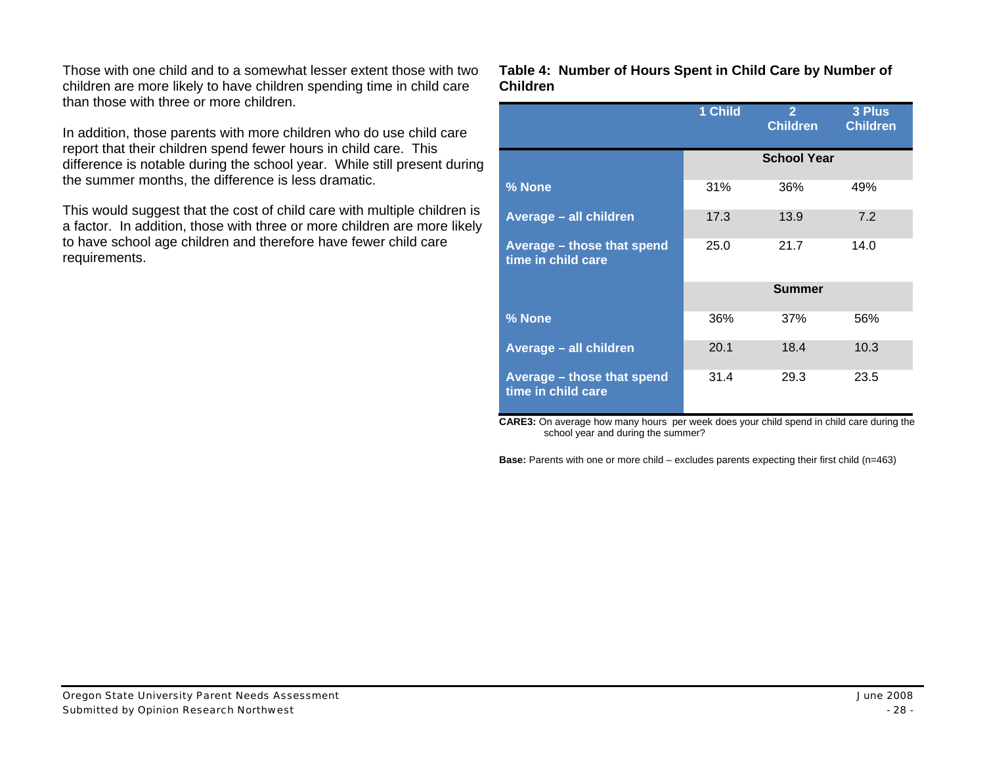<span id="page-34-1"></span><span id="page-34-0"></span>Those with one child and to a somewhat lesser extent those with two children are more likely to have children spending time in child care than those with three or more children.

In addition, those parents with more children who do use child care report that their children spend fewer hours in child care. This difference is notable during the school year. While still present during the summer months, the difference is less dramatic.

This would suggest that the cost of child care with multiple children is a factor. In addition, those with three or more children are more likely to have school age children and therefore have fewer child care requirements.

#### **Table 4: Number of Hours Spent in Child Care by Number of Children**

|                                                  | 1 Child            | $\overline{2}$<br><b>Children</b> | 3 Plus<br><b>Children</b> |  |
|--------------------------------------------------|--------------------|-----------------------------------|---------------------------|--|
|                                                  | <b>School Year</b> |                                   |                           |  |
| % None                                           | 31%                | 36%                               | 49%                       |  |
| Average - all children                           | 17.3               | 13.9                              | 7.2                       |  |
| Average - those that spend<br>time in child care | 25.0               | 21.7                              | 14.0                      |  |
|                                                  |                    | <b>Summer</b>                     |                           |  |
| % None                                           | 36%                | 37%                               | 56%                       |  |
| Average - all children                           | 20.1               | 18.4                              | 10.3                      |  |
| Average - those that spend<br>time in child care | 31.4               | 29.3                              | 23.5                      |  |

**CARE3:** On average how many hours per week does your child spend in child care during the school year and during the summer?

**Base:** Parents with one or more child – excludes parents expecting their first child (n=463)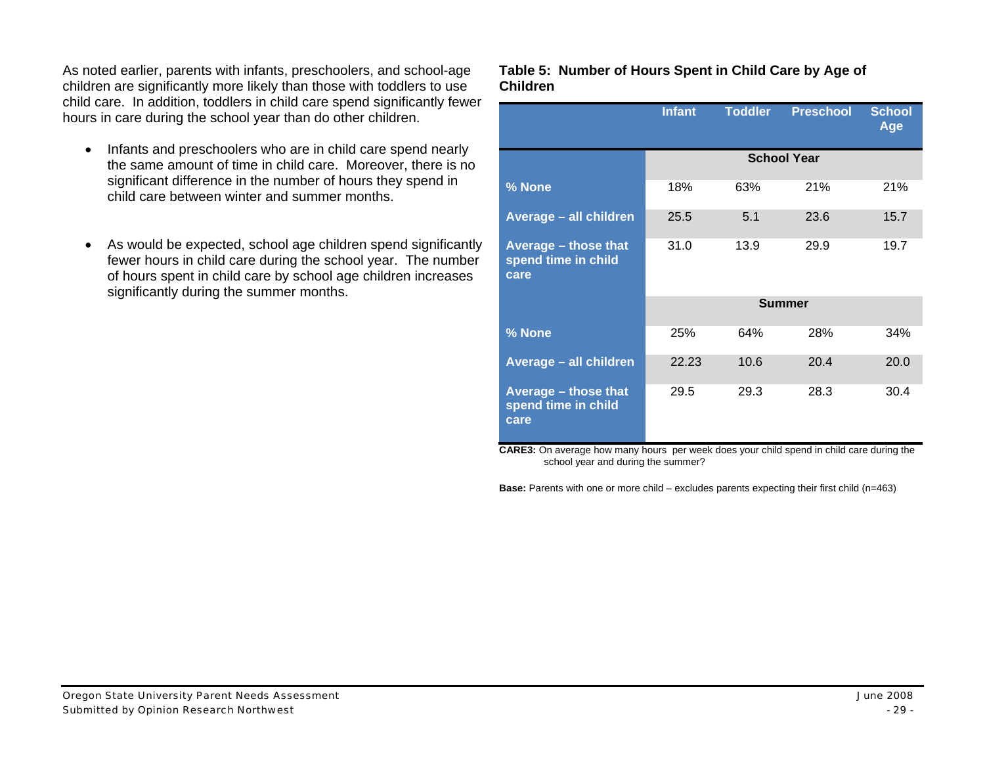<span id="page-35-1"></span><span id="page-35-0"></span>As noted earlier, parents with infants, preschoolers, and school-age children are significantly more likely than those with toddlers to use child care. In addition, toddlers in child care spend significantly fewer hours in care during the school year than do other children.

- Infants and preschoolers who are in child care spend nearly the same amount of time in child care. Moreover, there is no significant difference in the number of hours they spend in child care between winter and summer months.
- As would be expected, school age children spend significantly fewer hours in child care during the school year. The number of hours spent in child care by school age children increases significantly during the summer months.

#### **Table 5: Number of Hours Spent in Child Care by Age of Children**

|                                                     | <b>Infant</b>      | <b>Toddler</b> | <b>Preschool</b> | <b>School</b><br>Age |
|-----------------------------------------------------|--------------------|----------------|------------------|----------------------|
|                                                     | <b>School Year</b> |                |                  |                      |
| % None                                              | 18%                | 63%            | 21%              | 21%                  |
| Average - all children                              | 25.5               | 5.1            | 23.6             | 15.7                 |
| Average - those that<br>spend time in child<br>care | 31.0               | 13.9           | 29.9             | 19.7                 |
|                                                     | Summer             |                |                  |                      |
| % None                                              | 25%                | 64%            | 28%              | 34%                  |
| Average - all children                              | 22.23              | 10.6           | 20.4             | 20.0                 |
| Average - those that<br>spend time in child<br>care | 29.5               | 29.3           | 28.3             | 30.4                 |

**CARE3:** On average how many hours per week does your child spend in child care during the school year and during the summer?

**Base:** Parents with one or more child – excludes parents expecting their first child (n=463)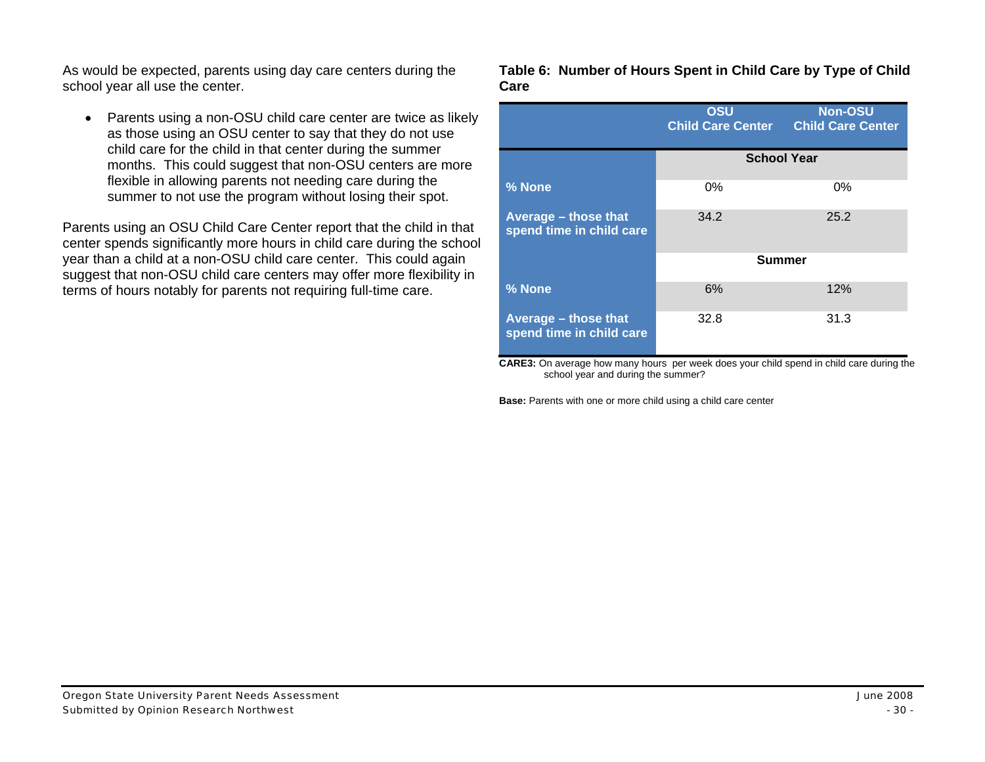As would be expected, parents using day care centers during the school year all use the center.

• Parents using a non-OSU child care center are twice as likely as those using an OSU center to say that they do not use child care for the child in that center during the summer months. This could suggest that non-OSU centers are more flexible in allowing parents not needing care during the summer to not use the program without losing their spot.

Parents using an OSU Child Care Center report that the child in that center spends significantly more hours in child care during the school year than a child at a non-OSU child care center. This could again suggest that non-OSU child care centers may offer more flexibility in terms of hours notably for parents not requiring full-time care.

#### **Table 6: Number of Hours Spent in Child Care by Type of Child Care**

|                                                  | OSU<br><b>Child Care Center</b> | <b>Non-OSU</b><br><b>Child Care Center</b> |
|--------------------------------------------------|---------------------------------|--------------------------------------------|
|                                                  | <b>School Year</b>              |                                            |
| % None                                           | $0\%$                           | 0%                                         |
| Average - those that<br>spend time in child care | 34.2                            | 25.2                                       |
|                                                  | <b>Summer</b>                   |                                            |
| % None                                           | 6%                              | 12%                                        |
| Average - those that<br>spend time in child care | 32.8                            | 31.3                                       |

**CARE3:** On average how many hours per week does your child spend in child care during the school year and during the summer?

**Base:** Parents with one or more child using a child care center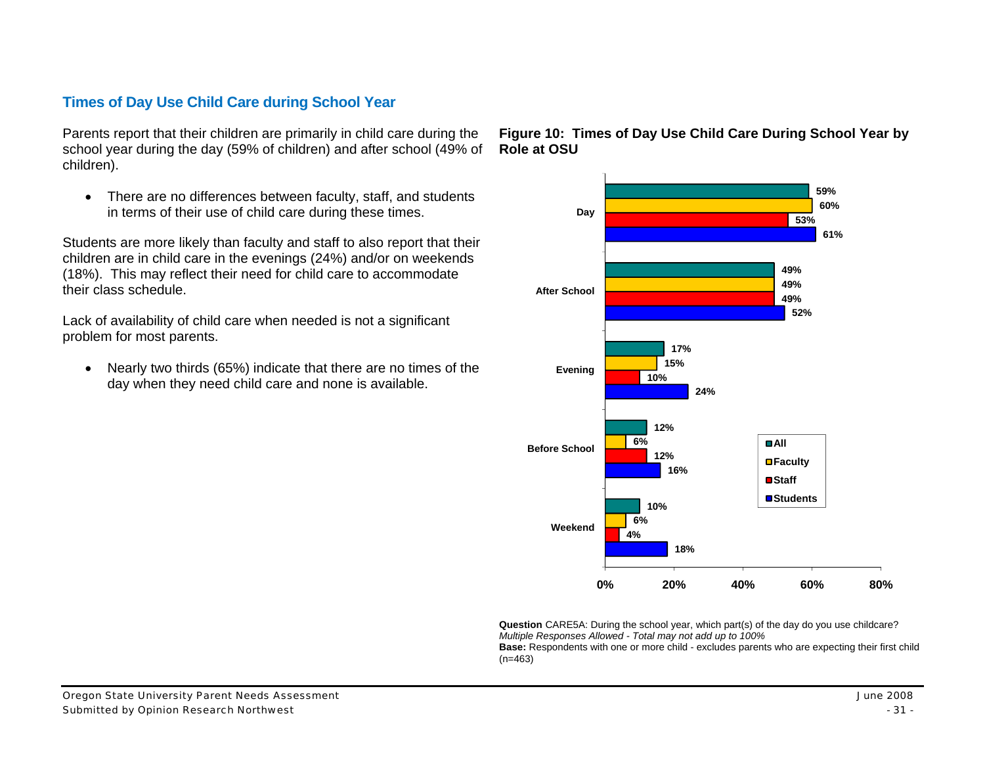## **Times of Day Use Child Care during School Year**

Parents report that their children are primarily in child care during the school year during the day (59% of children) and after school (49% of children).

• There are no differences between faculty, staff, and students in terms of their use of child care during these times.

Students are more likely than faculty and staff to also report that their children are in child care in the evenings (24%) and/or on weekends (18%). This may reflect their need for child care to accommodate their class schedule.

Lack of availability of child care when needed is not a significant problem for most parents.

• Nearly two thirds (65%) indicate that there are no times of the day when they need child care and none is available.





**Question** CARE5A: During the school year, which part(s) of the day do you use childcare? *Multiple Responses Allowed - Total may not add up to 100%*

**Base:** Respondents with one or more child - excludes parents who are expecting their first child (n=463)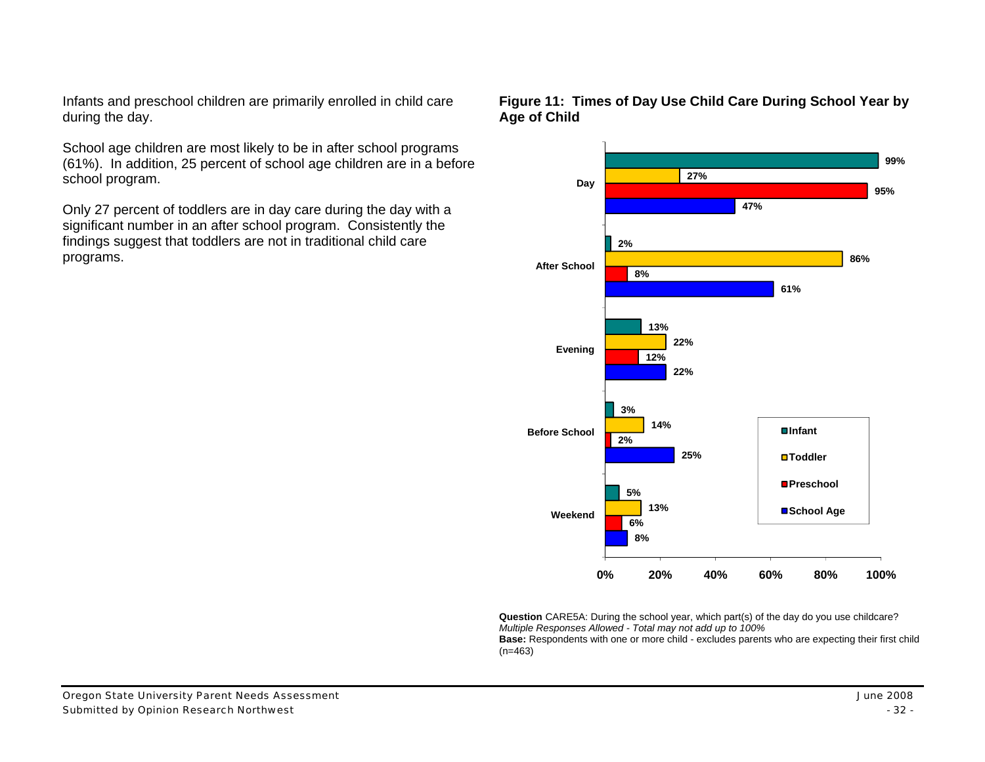Infants and preschool children are primarily enrolled in child care during the day.

School age children are most likely to be in after school programs (61%). In addition, 25 percent of school age children are in a before school program.

Only 27 percent of toddlers are in day care during the day with a significant number in an after school program. Consistently the findings suggest that toddlers are not in traditional child care programs.

#### **Figure 11: Times of Day Use Child Care During School Year by Age of Child**



**Question** CARE5A: During the school year, which part(s) of the day do you use childcare? *Multiple Responses Allowed - Total may not add up to 100%* **Base:** Respondents with one or more child - excludes parents who are expecting their first child  $(n=463)$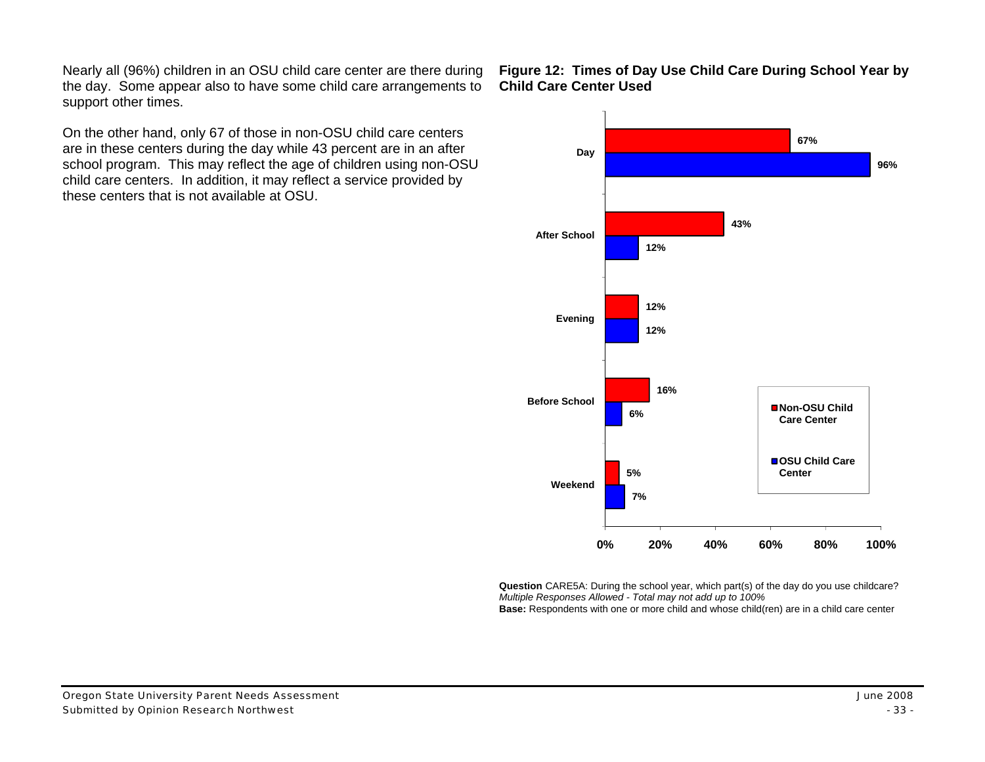Nearly all (96%) children in an OSU child care center are there during the day. Some appear also to have some child care arrangements to support other times.

On the other hand, only 67 of those in non-OSU child care centers are in these centers during the day while 43 percent are in an after school program. This may reflect the age of children using non-OSU child care centers. In addition, it may reflect a service provided by these centers that is not available at OSU.

**Figure 12: Times of Day Use Child Care During School Year by Child Care Center Used** 



**Question** CARE5A: During the school year, which part(s) of the day do you use childcare? *Multiple Responses Allowed - Total may not add up to 100%*

**Base:** Respondents with one or more child and whose child(ren) are in a child care center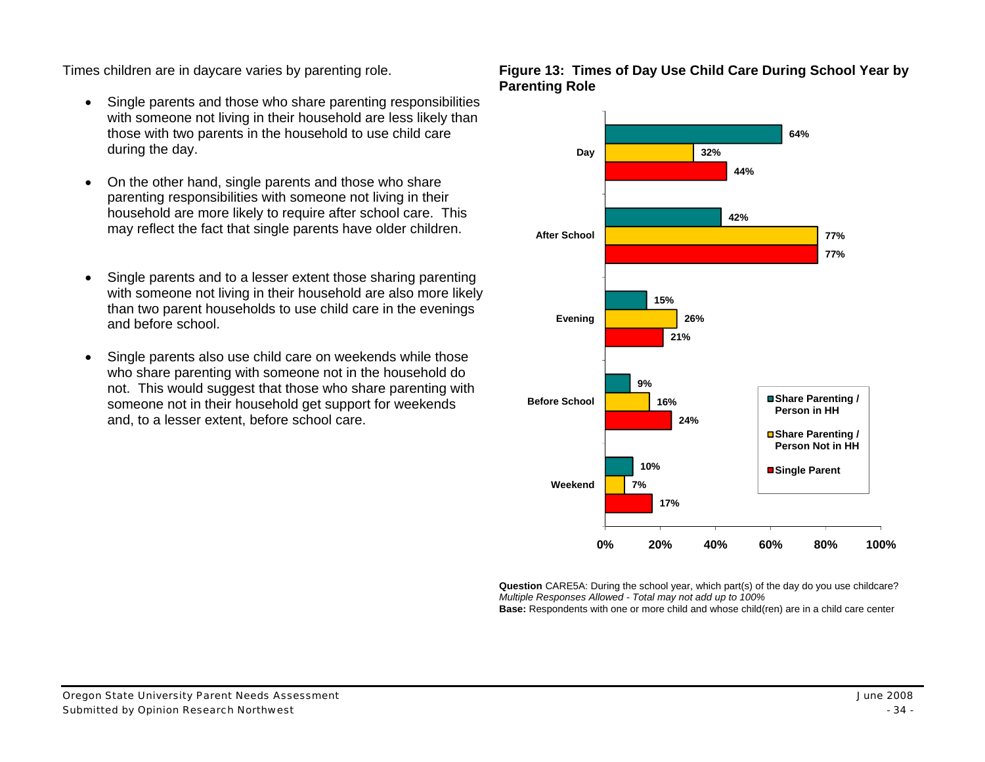Times children are in daycare varies by parenting role.

- Single parents and those who share parenting responsibilities with someone not living in their household are less likely than those with two parents in the household to use child care during the day.
- On the other hand, single parents and those who share parenting responsibilities with someone not living in their household are more likely to require after school care. This may reflect the fact that single parents have older children.
- Single parents and to a lesser extent those sharing parenting with someone not living in their household are also more likely than two parent households to use child care in the evenings and before school.
- Single parents also use child care on weekends while those who share parenting with someone not in the household do not. This would suggest that those who share parenting with someone not in their household get support for weekends and, to a lesser extent, before school care.

#### **Figure 13: Times of Day Use Child Care During School Year by Parenting Role**



**Question** CARE5A: During the school year, which part(s) of the day do you use childcare? *Multiple Responses Allowed - Total may not add up to 100%*

**Base:** Respondents with one or more child and whose child(ren) are in a child care center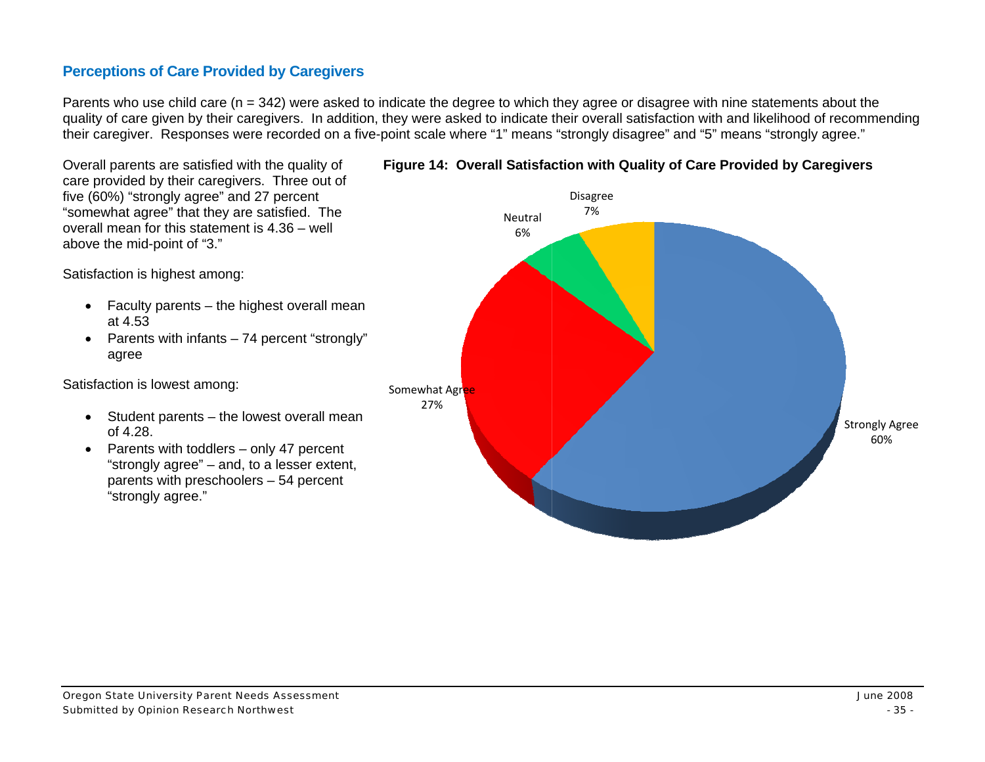# **Perceptions of Care Provided by Caregivers**

Parents who use child care (n = 342) were asked to indicate the degree to which they agree or disagree with nine statements about the quality of care given by their caregivers. In addition, they were asked to indicate their overall satisfaction with and likelihood of recommending their caregiver. Responses were recorded on a five-point scale where "1" means "strongly disagree" and "5" means "strongly agree."

Overall parents are satisfied with the quality of care provided by their caregivers. Three out of five (60%) "strongly agree" and 27 percent "somewhat agree" that they are satisfied. The overall mean for this statement is 4.36 - well above the mid-point of "3."

Satisfaction is highest among:

- Faculty parents  $-$  the highest overall mean at 4.53
- Parents with infants  $-74$  percent "strongly" agree

Satisfaction is lowest among:

- Student parents the lowest overall mean of  $4.28$ .
- Parents with toddlers only 47 percent "strongly agree" – and, to a lesser extent, parents with preschoolers - 54 percent "strongly agree."



### Figure 14: Overall Satisfaction with Quality of Care Provided by Caregivers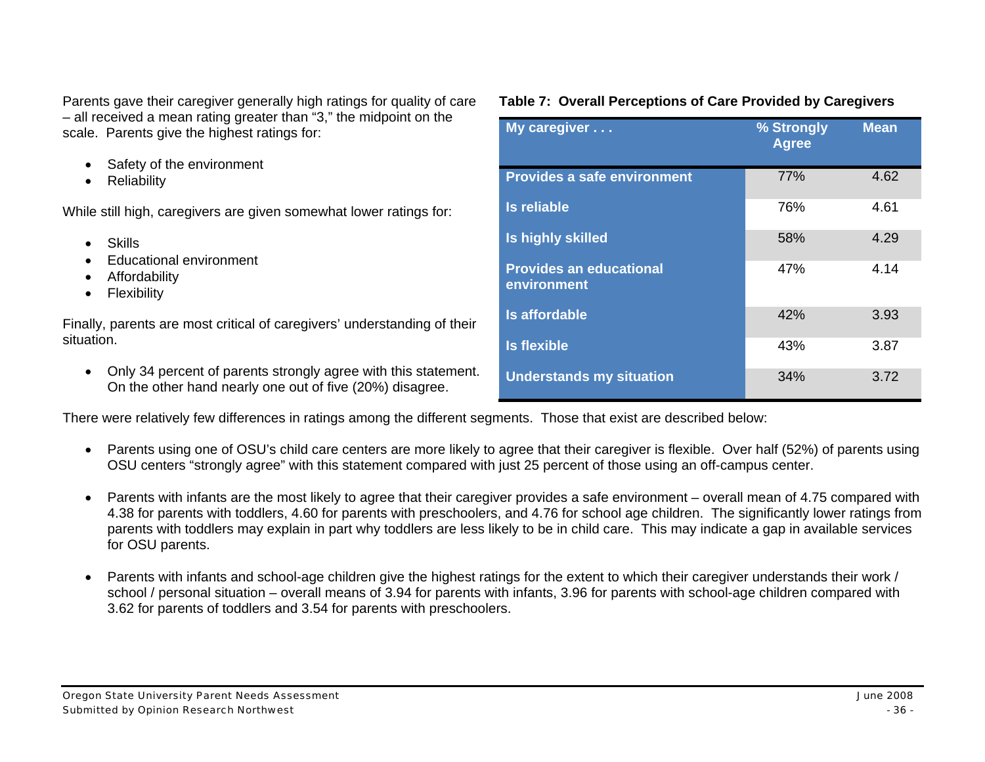Parents gave their caregiver generally high ratings for quality of care – all received a mean rating greater than "3," the midpoint on the scale. Parents give the highest ratings for:

- Safety of the environment
- Reliability

While still high, caregivers are given somewhat lower ratings for:

- Skills
- Educational environment
- Affordability
- Flexibility

Finally, parents are most critical of caregivers' understanding of their situation.

• Only 34 percent of parents strongly agree with this statement. On the other hand nearly one out of five (20%) disagree.

## **Table 7: Overall Perceptions of Care Provided by Caregivers**

| My caregiver                                  | % Strongly<br><b>Agree</b> | <b>Mean</b> |
|-----------------------------------------------|----------------------------|-------------|
| <b>Provides a safe environment</b>            | 77%                        | 4.62        |
| Is reliable                                   | 76%                        | 4.61        |
| Is highly skilled                             | 58%                        | 4.29        |
| <b>Provides an educational</b><br>environment | 47%                        | 4.14        |
| <b>Is affordable</b>                          | 42%                        | 3.93        |
| <b>Is flexible</b>                            | 43%                        | 3.87        |
| <b>Understands my situation</b>               | 34%                        | 3.72        |

There were relatively few differences in ratings among the different segments. Those that exist are described below:

- Parents using one of OSU's child care centers are more likely to agree that their caregiver is flexible. Over half (52%) of parents using OSU centers "strongly agree" with this statement compared with just 25 percent of those using an off-campus center.
- Parents with infants are the most likely to agree that their caregiver provides a safe environment overall mean of 4.75 compared with 4.38 for parents with toddlers, 4.60 for parents with preschoolers, and 4.76 for school age children. The significantly lower ratings from parents with toddlers may explain in part why toddlers are less likely to be in child care. This may indicate a gap in available services for OSU parents.
- Parents with infants and school-age children give the highest ratings for the extent to which their caregiver understands their work / school / personal situation – overall means of 3.94 for parents with infants, 3.96 for parents with school-age children compared with 3.62 for parents of toddlers and 3.54 for parents with preschoolers.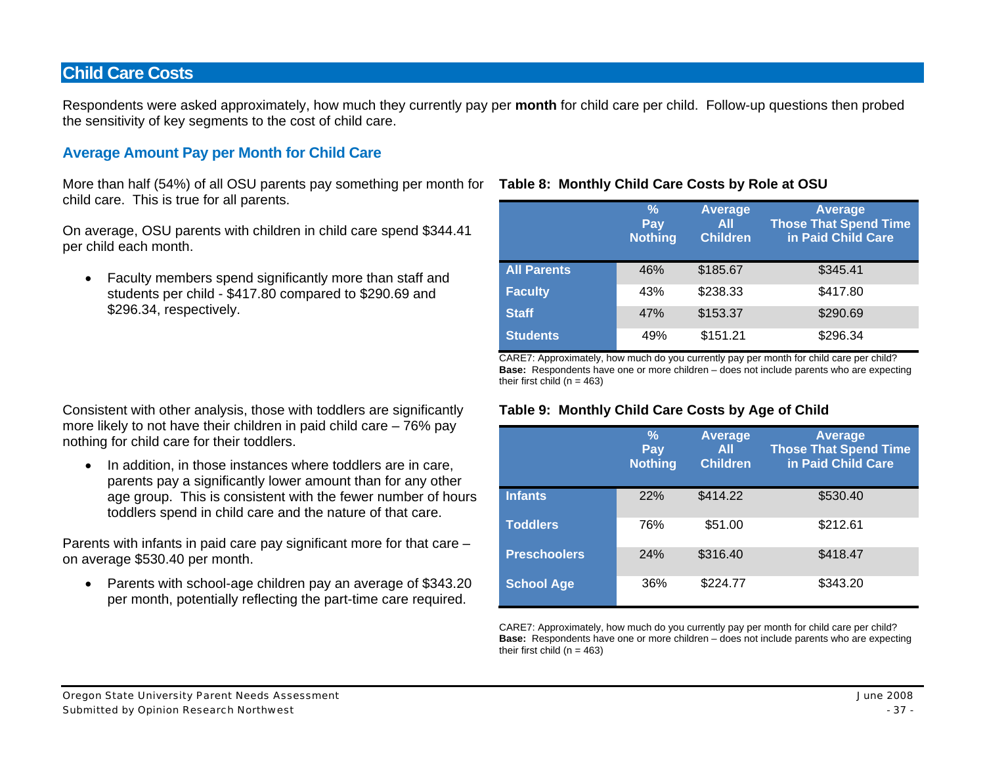# **Child Care Costs**

Respondents were asked approximately, how much they currently pay per **month** for child care per child. Follow-up questions then probed the sensitivity of key segments to the cost of child care.

# **Average Amount Pay per Month for Child Care**

More than half (54%) of all OSU parents pay something per month for **Table 8: Monthly Child Care Costs by Role at OSU**  child care. This is true for all parents.

On average, OSU parents with children in child care spend \$344.41 per child each month.

• Faculty members spend significantly more than staff and students per child - \$417.80 compared to \$290.69 and \$296.34, respectively.

|                    | $\frac{9}{6}$<br>Pay<br><b>Nothing</b> | <b>Average</b><br><b>All</b><br><b>Children</b> | <b>Average</b><br><b>Those That Spend Time</b><br>in Paid Child Care |
|--------------------|----------------------------------------|-------------------------------------------------|----------------------------------------------------------------------|
| <b>All Parents</b> | 46%                                    | \$185.67                                        | \$345.41                                                             |
| <b>Faculty</b>     | 43%                                    | \$238.33                                        | \$417.80                                                             |
| <b>Staff</b>       | 47%                                    | \$153.37                                        | \$290.69                                                             |
| <b>Students</b>    | 49%                                    | \$151.21                                        | \$296.34                                                             |

CARE7: Approximately, how much do you currently pay per month for child care per child? **Base:** Respondents have one or more children – does not include parents who are expecting their first child  $(n = 463)$ 

#### **Table 9: Monthly Child Care Costs by Age of Child**

|                     | $\frac{9}{6}$<br>Pay<br><b>Nothing</b> | <b>Average</b><br><b>All</b><br><b>Children</b> | <b>Average</b><br><b>Those That Spend Time</b><br>in Paid Child Care |
|---------------------|----------------------------------------|-------------------------------------------------|----------------------------------------------------------------------|
| <b>Infants</b>      | 22%                                    | \$414.22                                        | \$530.40                                                             |
| <b>Toddlers</b>     | 76%                                    | \$51.00                                         | \$212.61                                                             |
| <b>Preschoolers</b> | 24%                                    | \$316.40                                        | \$418.47                                                             |
| <b>School Age</b>   | 36%                                    | \$224.77                                        | \$343.20                                                             |

CARE7: Approximately, how much do you currently pay per month for child care per child? **Base:** Respondents have one or more children – does not include parents who are expecting their first child ( $n = 463$ )

Consistent with other analysis, those with toddlers are significantly more likely to not have their children in paid child care – 76% pay nothing for child care for their toddlers.

• In addition, in those instances where toddlers are in care, parents pay a significantly lower amount than for any other age group. This is consistent with the fewer number of hours toddlers spend in child care and the nature of that care.

Parents with infants in paid care pay significant more for that care – on average \$530.40 per month.

• Parents with school-age children pay an average of \$343.20 per month, potentially reflecting the part-time care required.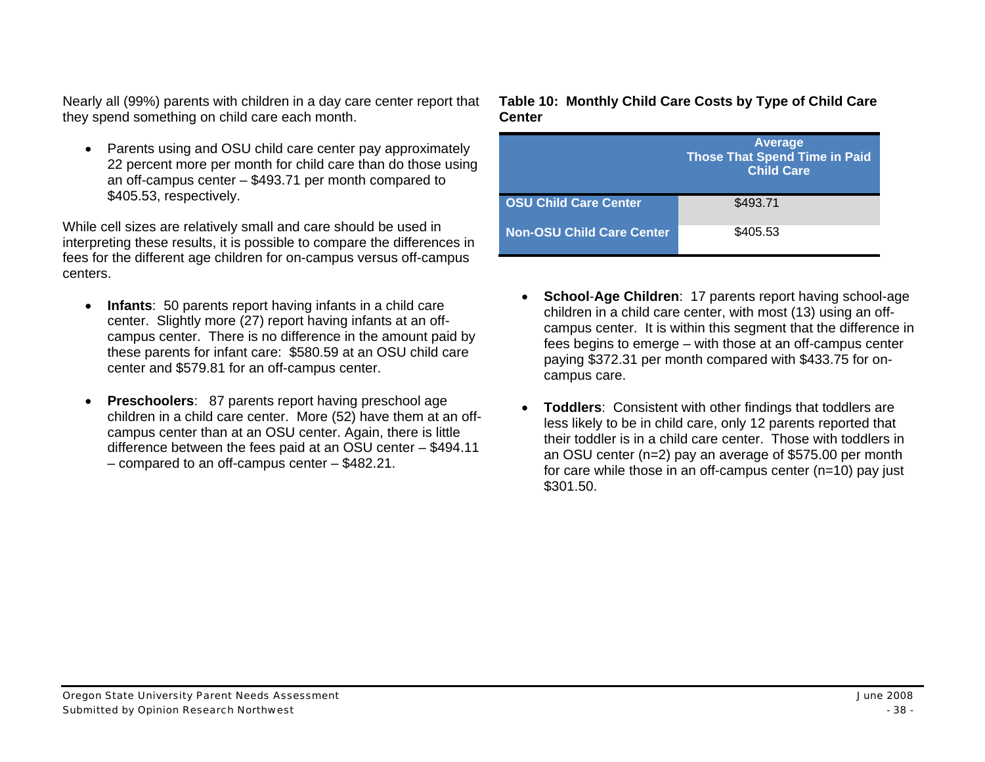Nearly all (99%) parents with children in a day care center report that they spend something on child care each month.

• Parents using and OSU child care center pay approximately 22 percent more per month for child care than do those using an off-campus center – \$493.71 per month compared to \$405.53, respectively.

While cell sizes are relatively small and care should be used in interpreting these results, it is possible to compare the differences in fees for the different age children for on-campus versus off-campus centers.

- **Infants**: 50 parents report having infants in a child care center. Slightly more (27) report having infants at an offcampus center. There is no difference in the amount paid by these parents for infant care: \$580.59 at an OSU child care center and \$579.81 for an off-campus center.
- **Preschoolers**: 87 parents report having preschool age children in a child care center. More (52) have them at an offcampus center than at an OSU center. Again, there is little difference between the fees paid at an OSU center – \$494.11 – compared to an off-campus center – \$482.21.

### **Table 10: Monthly Child Care Costs by Type of Child Care Center**

|                                  | <b>Average</b><br><b>Those That Spend Time in Paid</b><br><b>Child Care</b> |
|----------------------------------|-----------------------------------------------------------------------------|
| <b>OSU Child Care Center</b>     | \$493.71                                                                    |
| <b>Non-OSU Child Care Center</b> | \$405.53                                                                    |

- • **School**-**Age Children**: 17 parents report having school-age children in a child care center, with most (13) using an offcampus center. It is within this segment that the difference in fees begins to emerge – with those at an off-campus center paying \$372.31 per month compared with \$433.75 for oncampus care.
- • **Toddlers**: Consistent with other findings that toddlers are less likely to be in child care, only 12 parents reported that their toddler is in a child care center. Those with toddlers in an OSU center (n=2) pay an average of \$575.00 per month for care while those in an off-campus center (n=10) pay just \$301.50.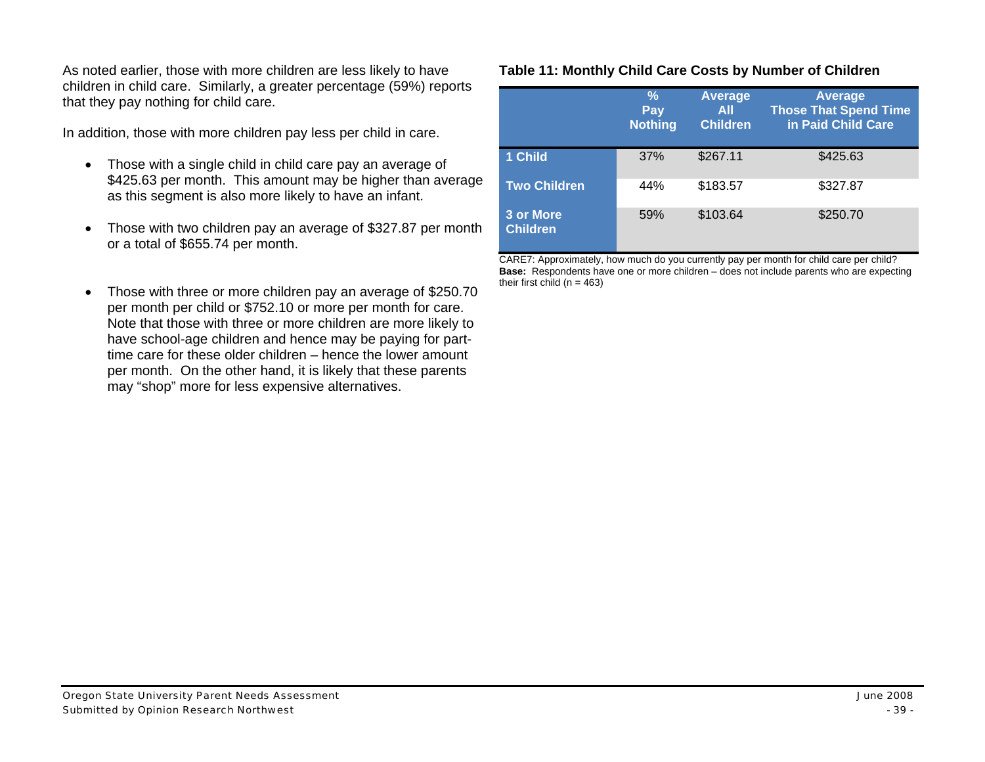As noted earlier, those with more children are less likely to have children in child care. Similarly, a greater percentage (59%) reports that they pay nothing for child care.

In addition, those with more children pay less per child in care.

- Those with a single child in child care pay an average of \$425.63 per month. This amount may be higher than average as this segment is also more likely to have an infant.
- Those with two children pay an average of \$327.87 per month or a total of \$655.74 per month.
- Those with three or more children pay an average of \$250.70 per month per child or \$752.10 or more per month for care. Note that those with three or more children are more likely to have school-age children and hence may be paying for parttime care for these older children – hence the lower amount per month. On the other hand, it is likely that these parents may "shop" more for less expensive alternatives.

#### **Table 11: Monthly Child Care Costs by Number of Children**

|                              | %<br>Pay<br><b>Nothing</b> | <b>Average</b><br><b>All</b><br><b>Children</b> | <b>Average</b><br><b>Those That Spend Time</b><br>in Paid Child Care |
|------------------------------|----------------------------|-------------------------------------------------|----------------------------------------------------------------------|
| 1 Child                      | 37%                        | \$267.11                                        | \$425.63                                                             |
| <b>Two Children</b>          | 44%                        | \$183.57                                        | \$327.87                                                             |
| 3 or More<br><b>Children</b> | 59%                        | \$103.64                                        | \$250.70                                                             |

CARE7: Approximately, how much do you currently pay per month for child care per child? **Base:** Respondents have one or more children – does not include parents who are expecting their first child ( $n = 463$ )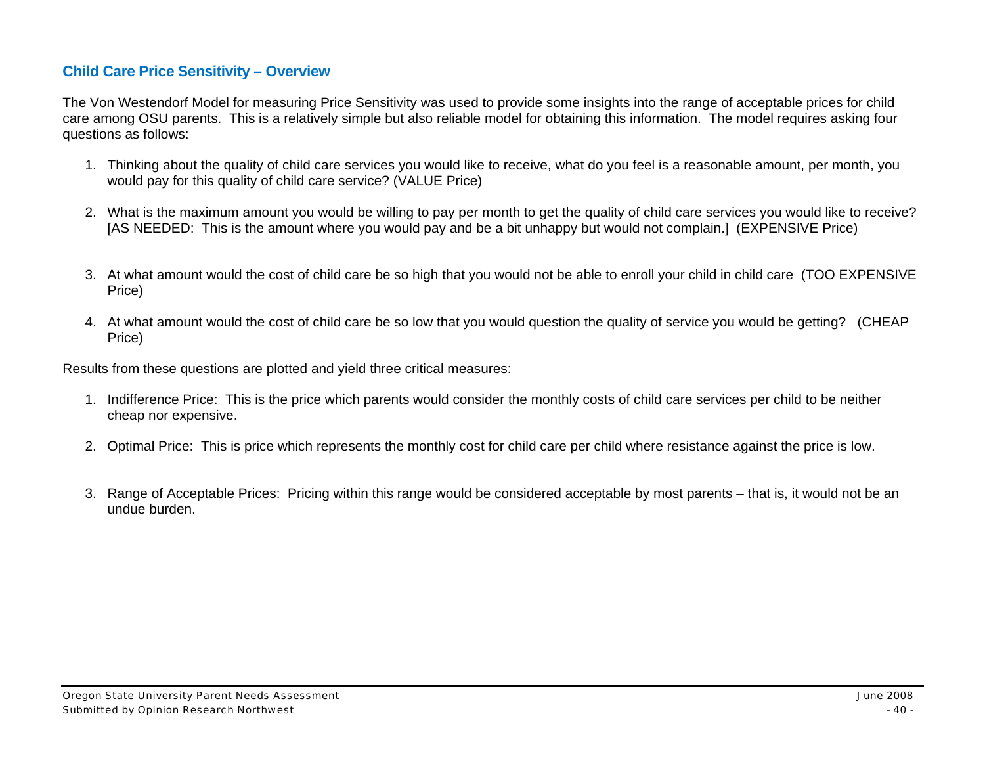## **Child Care Price Sensitivity – Overview**

The Von Westendorf Model for measuring Price Sensitivity was used to provide some insights into the range of acceptable prices for child care among OSU parents. This is a relatively simple but also reliable model for obtaining this information. The model requires asking four questions as follows:

- 1. Thinking about the quality of child care services you would like to receive, what do you feel is a reasonable amount, per month, you would pay for this quality of child care service? (VALUE Price)
- 2. What is the maximum amount you would be willing to pay per month to get the quality of child care services you would like to receive? [AS NEEDED: This is the amount where you would pay and be a bit unhappy but would not complain.] (EXPENSIVE Price)
- 3. At what amount would the cost of child care be so high that you would not be able to enroll your child in child care (TOO EXPENSIVE Price)
- 4. At what amount would the cost of child care be so low that you would question the quality of service you would be getting? (CHEAP Price)

Results from these questions are plotted and yield three critical measures:

- 1. Indifference Price: This is the price which parents would consider the monthly costs of child care services per child to be neither cheap nor expensive.
- 2. Optimal Price: This is price which represents the monthly cost for child care per child where resistance against the price is low.
- 3. Range of Acceptable Prices: Pricing within this range would be considered acceptable by most parents that is, it would not be an undue burden.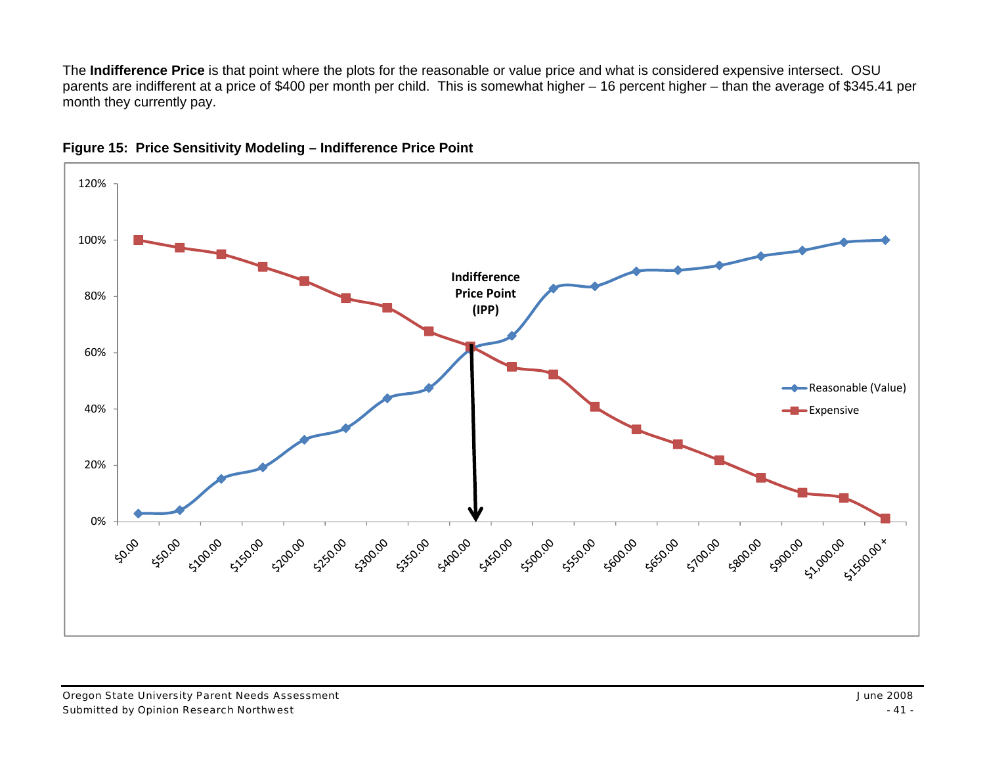The **Indifference Price** is that point where the plots for the reasonable or value price and what is considered expensive intersect. OSU parents are indifferent at a price of \$400 per month per child. This is somewhat higher – 16 percent higher – than the average of \$345.41 per month they currently pay.



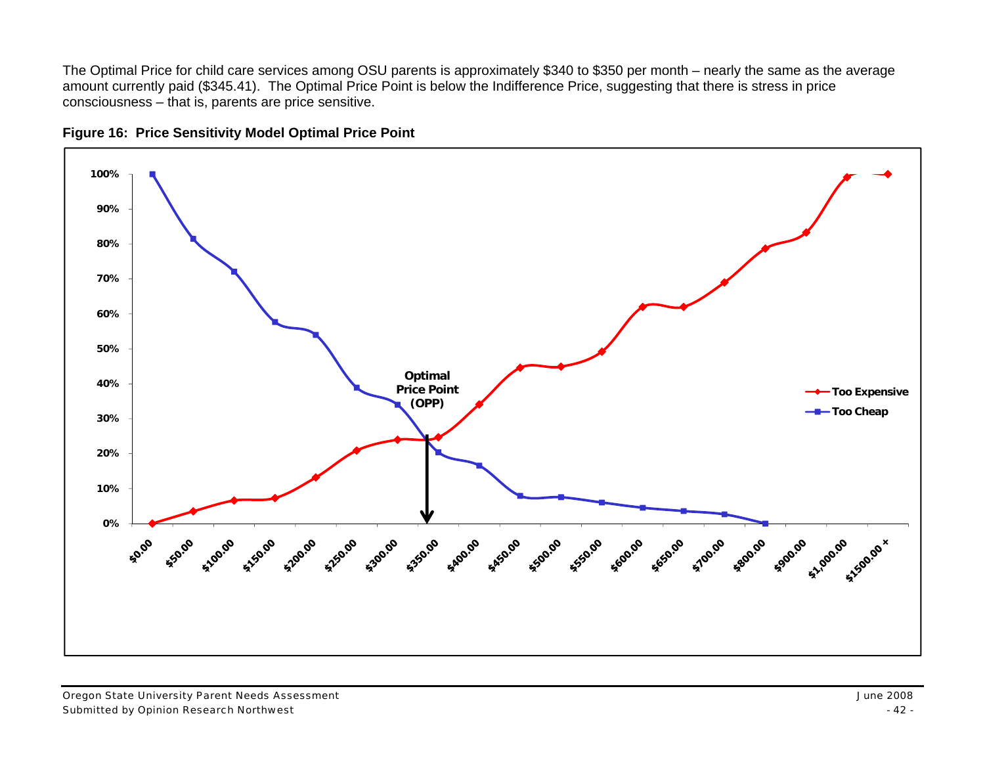The Optimal Price for child care services among OSU parents is approximately \$340 to \$350 per month – nearly the same as the average amount currently paid (\$345.41). The Optimal Price Point is below the Indifference Price, suggesting that there is stress in price consciousness – that is, parents are price sensitive.



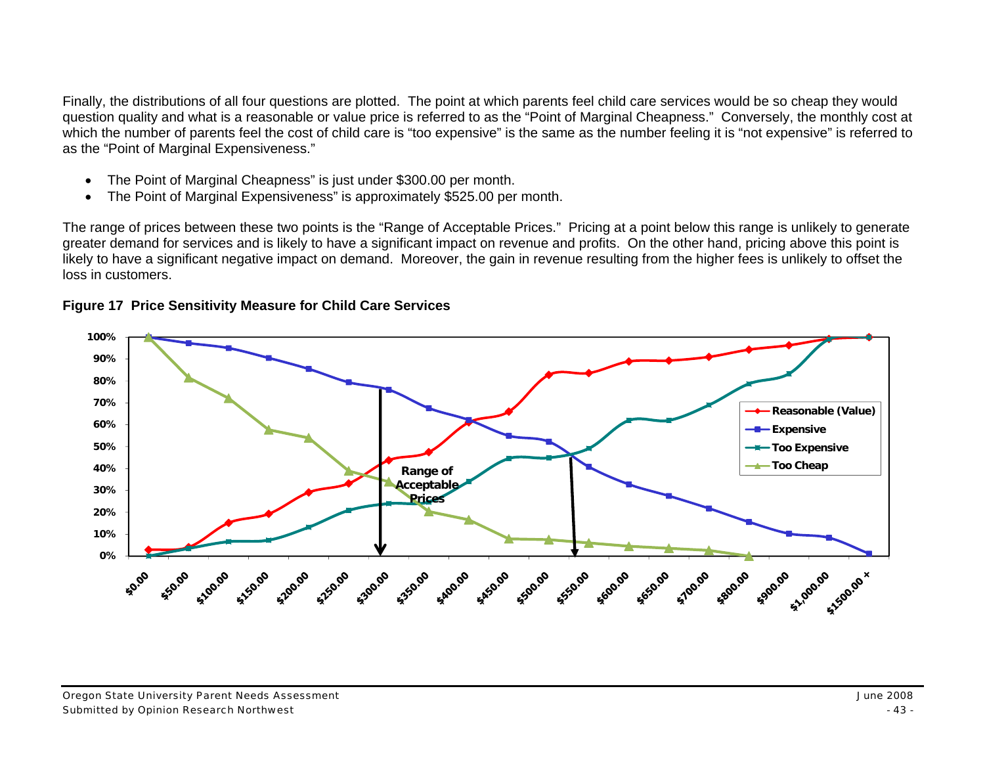Finally, the distributions of all four questions are plotted. The point at which parents feel child care services would be so cheap they would question quality and what is a reasonable or value price is referred to as the "Point of Marginal Cheapness." Conversely, the monthly cost at which the number of parents feel the cost of child care is "too expensive" is the same as the number feeling it is "not expensive" is referred to as the "Point of Marginal Expensiveness."

- The Point of Marginal Cheapness" is just under \$300.00 per month.
- The Point of Marginal Expensiveness" is approximately \$525.00 per month.

The range of prices between these two points is the "Range of Acceptable Prices." Pricing at a point below this range is unlikely to generate greater demand for services and is likely to have a significant impact on revenue and profits. On the other hand, pricing above this point is likely to have a significant negative impact on demand. Moreover, the gain in revenue resulting from the higher fees is unlikely to offset the loss in customers.



### **Figure 17 Price Sensitivity Measure for Child Care Services**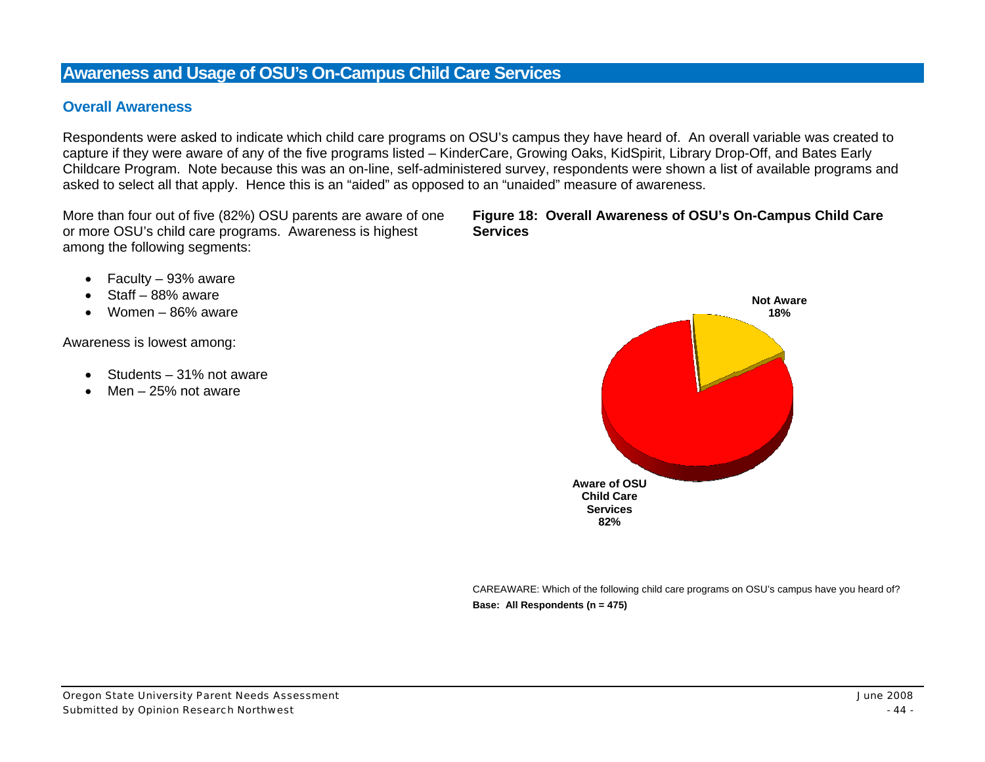# **Awareness and Usage of OSU's On-Campus Child Care Services**

## **Overall Awareness**

Respondents were asked to indicate which child care programs on OSU's campus they have heard of. An overall variable was created to capture if they were aware of any of the five programs listed – KinderCare, Growing Oaks, KidSpirit, Library Drop-Off, and Bates Early Childcare Program. Note because this was an on-line, self-administered survey, respondents were shown a list of available programs and asked to select all that apply. Hence this is an "aided" as opposed to an "unaided" measure of awareness.

More than four out of five (82%) OSU parents are aware of one or more OSU's child care programs. Awareness is highest among the following segments:

#### Figure 18: Overall Awareness of OSU's On-Campus Child Care **Services**

- Faculty 93% aware  $\bullet$
- Staff 88% aware
- Women 86% aware  $\bullet$

Awareness is lowest among:

- Students 31% not aware  $\bullet$
- Men  $-25%$  not aware



CAREAWARE: Which of the following child care programs on OSU's campus have you heard of? Base: All Respondents ( $n = 475$ )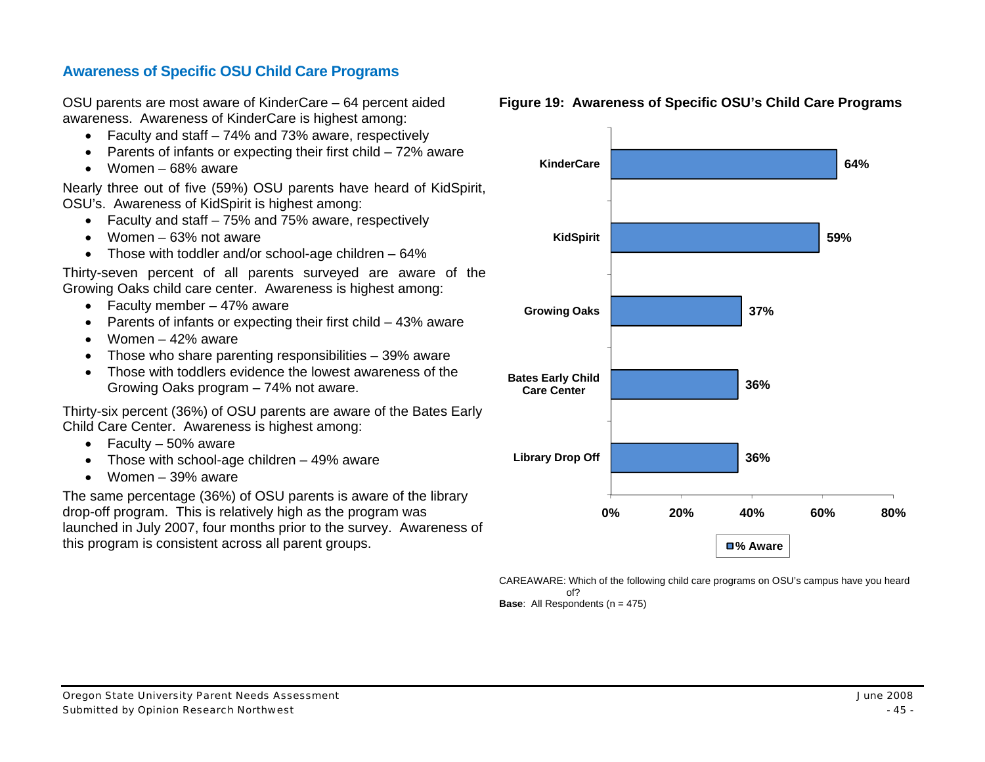# **Awareness of Specific OSU Child Care Programs**

OSU parents are most aware of KinderCare – 64 percent aided awareness. Awareness of KinderCare is highest among:

- Faculty and staff 74% and 73% aware, respectively
- Parents of infants or expecting their first child 72% aware
- Women 68% aware

Nearly three out of five (59%) OSU parents have heard of KidSpirit, OSU's. Awareness of KidSpirit is highest among:

- Faculty and staff 75% and 75% aware, respectively
- Women 63% not aware
- Those with toddler and/or school-age children 64%

Thirty-seven percent of all parents surveyed are aware of the Growing Oaks child care center. Awareness is highest among:

- Faculty member 47% aware
- Parents of infants or expecting their first child 43% aware
- Women 42% aware
- Those who share parenting responsibilities 39% aware
- Those with toddlers evidence the lowest awareness of the Growing Oaks program – 74% not aware.

Thirty-six percent (36%) of OSU parents are aware of the Bates Early Child Care Center. Awareness is highest among:

- Faculty 50% aware
- Those with school-age children 49% aware
- Women 39% aware

The same percentage (36%) of OSU parents is aware of the library drop-off program. This is relatively high as the program was launched in July 2007, four months prior to the survey. Awareness of this program is consistent across all parent groups.



#### **Figure 19: Awareness of Specific OSU's Child Care Programs**

CAREAWARE: Which of the following child care programs on OSU's campus have you heard of? **Base:** All Respondents (n = 475)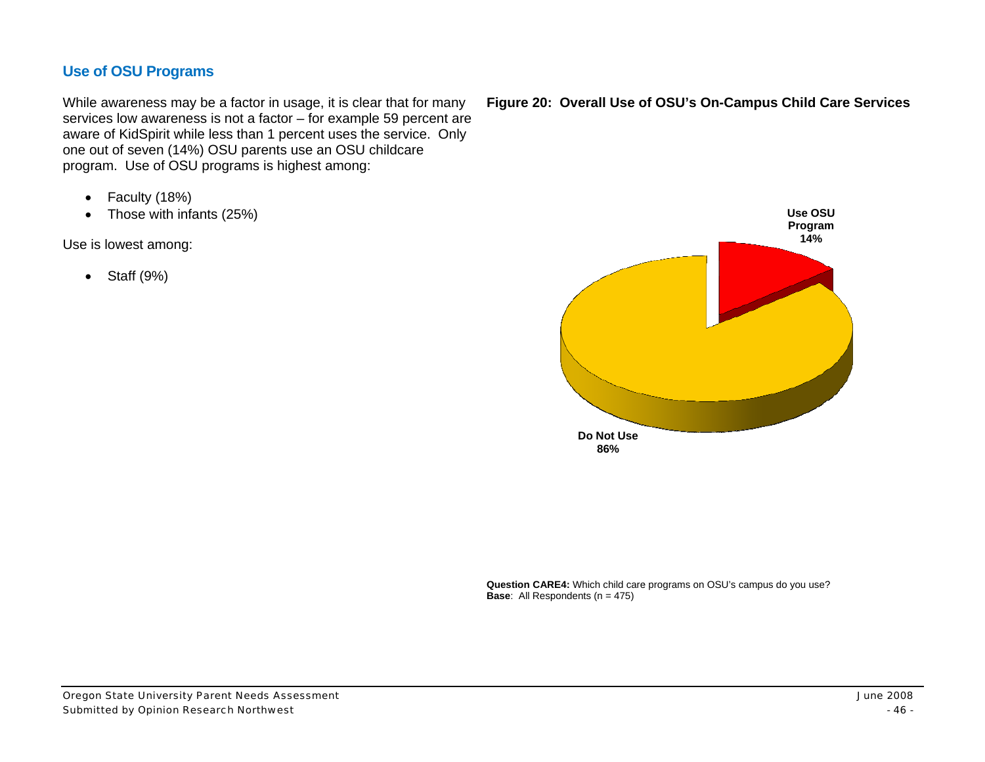# **Use of OSU Programs**

While awareness may be a factor in usage, it is clear that for many services low awareness is not a factor - for example 59 percent are aware of KidSpirit while less than 1 percent uses the service. Only one out of seven (14%) OSU parents use an OSU childcare program. Use of OSU programs is highest among:

- Faculty (18%)  $\bullet$
- Those with infants (25%)  $\bullet$

Use is lowest among:

Staff (9%)  $\bullet$ 





Question CARE4: Which child care programs on OSU's campus do you use? **Base:** All Respondents ( $n = 475$ )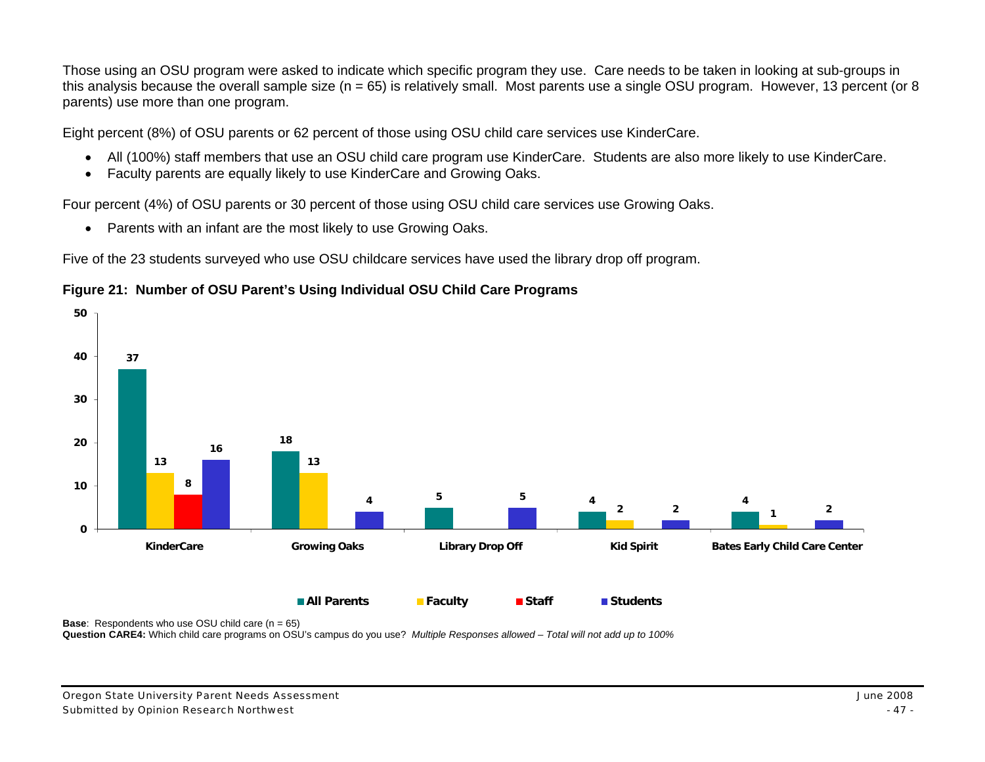Those using an OSU program were asked to indicate which specific program they use. Care needs to be taken in looking at sub-groups in this analysis because the overall sample size (n = 65) is relatively small. Most parents use a single OSU program. However, 13 percent (or 8 parents) use more than one program.

Eight percent (8%) of OSU parents or 62 percent of those using OSU child care services use KinderCare.

- All (100%) staff members that use an OSU child care program use KinderCare. Students are also more likely to use KinderCare.
- Faculty parents are equally likely to use KinderCare and Growing Oaks.

Four percent (4%) of OSU parents or 30 percent of those using OSU child care services use Growing Oaks.

• Parents with an infant are the most likely to use Growing Oaks.

Five of the 23 students surveyed who use OSU childcare services have used the library drop off program.





**Base**: Respondents who use OSU child care (n = 65)

**Question CARE4:** Which child care programs on OSU's campus do you use? *Multiple Responses allowed – Total will not add up to 100%*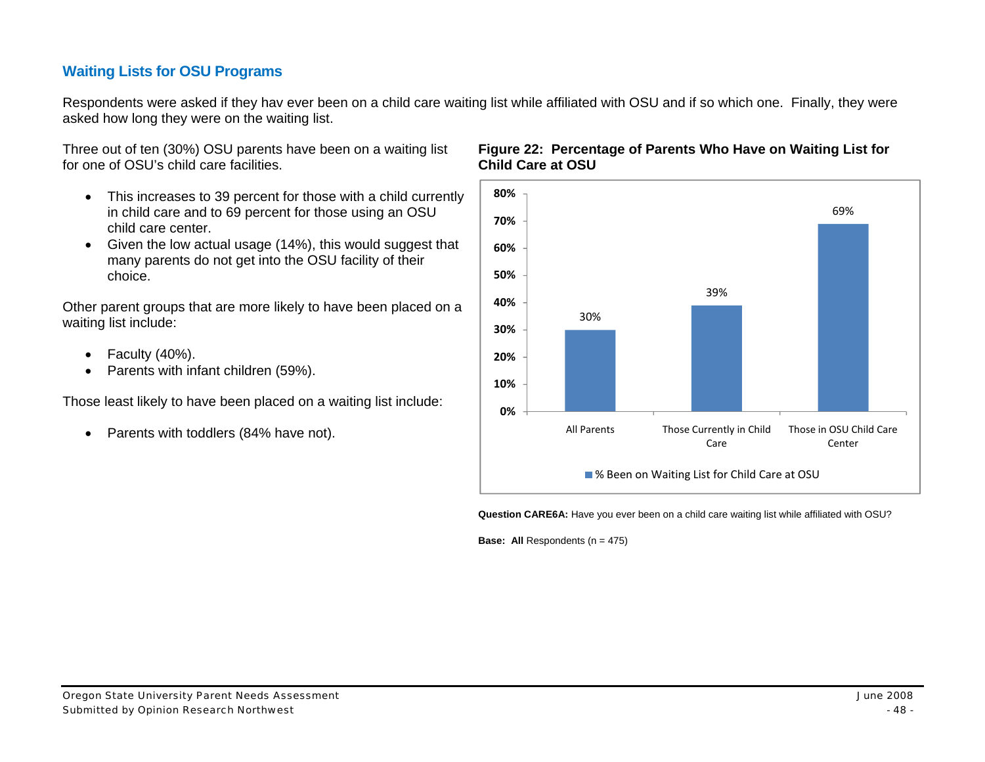# **Waiting Lists for OSU Programs**

Respondents were asked if they hav ever been on a child care waiting list while affiliated with OSU and if so which one. Finally, they were asked how long they were on the waiting list.

Three out of ten (30%) OSU parents have been on a waiting list for one of OSU's child care facilities.

- This increases to 39 percent for those with a child currently in child care and to 69 percent for those using an OSU child care center.
- Given the low actual usage (14%), this would suggest that many parents do not get into the OSU facility of their choice.

Other parent groups that are more likely to have been placed on a waiting list include:

- Faculty (40%).
- Parents with infant children (59%).

Those least likely to have been placed on a waiting list include:

• Parents with toddlers (84% have not).

### **Figure 22: Percentage of Parents Who Have on Waiting List for Child Care at OSU**



**Question CARE6A:** Have you ever been on a child care waiting list while affiliated with OSU?

**Base: All Respondents (n = 475)**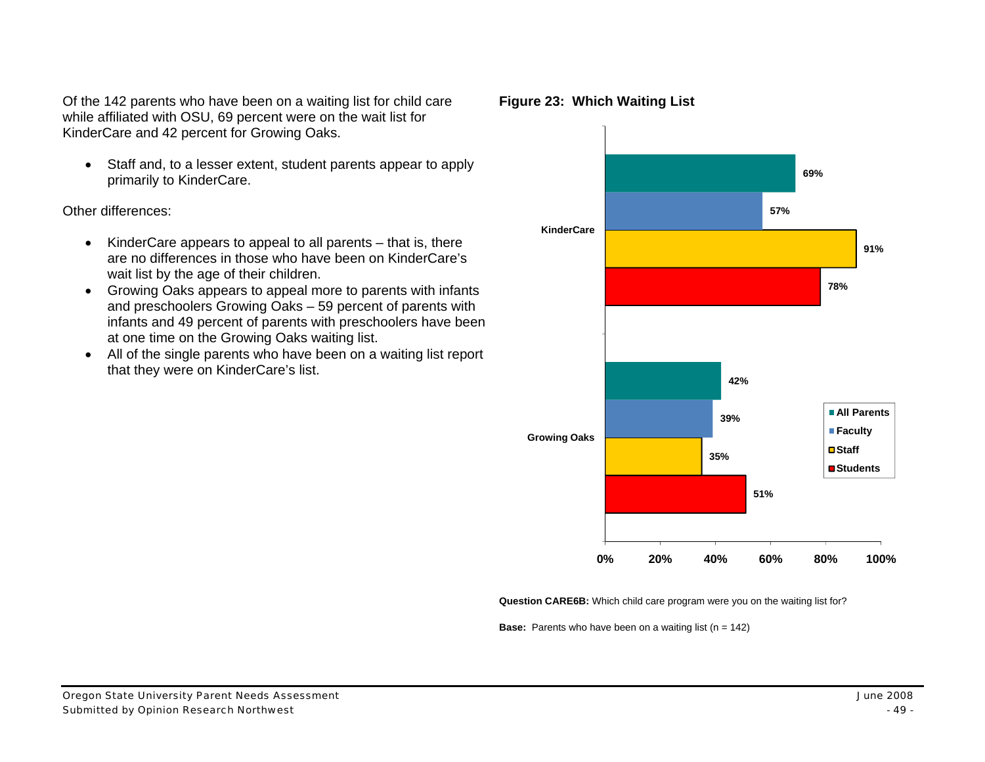Of the 142 parents who have been on a waiting list for child care while affiliated with OSU, 69 percent were on the wait list for KinderCare and 42 percent for Growing Oaks.

• Staff and, to a lesser extent, student parents appear to apply primarily to KinderCare.

Other differences:

- KinderCare appears to appeal to all parents that is, there are no differences in those who have been on KinderCare's wait list by the age of their children.
- Growing Oaks appears to appeal more to parents with infants and preschoolers Growing Oaks – 59 percent of parents with infants and 49 percent of parents with preschoolers have been at one time on the Growing Oaks waiting list.
- All of the single parents who have been on a waiting list report that they were on KinderCare's list.

## **Figure 23: Which Waiting List**



**Question CARE6B:** Which child care program were you on the waiting list for?

**Base:** Parents who have been on a waiting list (n = 142)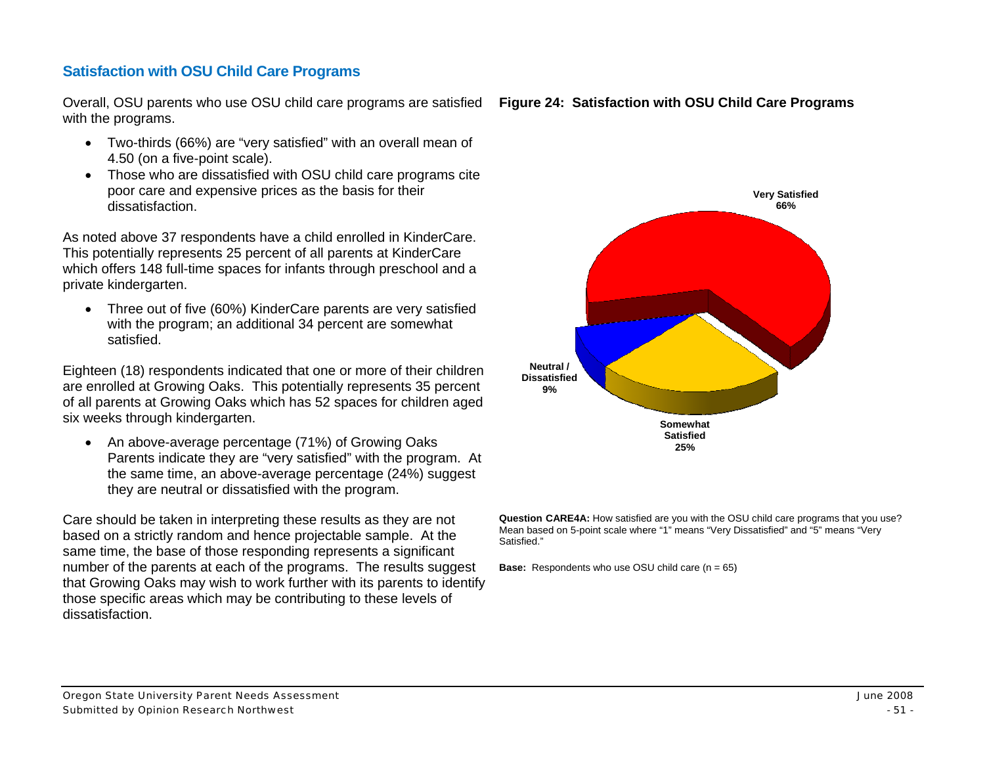# **Satisfaction with OSU Child Care Programs**

Overall, OSU parents who use OSU child care programs are satisfied with the programs.

- Two-thirds (66%) are "very satisfied" with an overall mean of 4.50 (on a five-point scale).
- Those who are dissatisfied with OSU child care programs cite poor care and expensive prices as the basis for their dissatisfaction

As noted above 37 respondents have a child enrolled in KinderCare. This potentially represents 25 percent of all parents at KinderCare which offers 148 full-time spaces for infants through preschool and a private kindergarten.

• Three out of five (60%) KinderCare parents are very satisfied with the program; an additional 34 percent are somewhat satisfied.

Eighteen (18) respondents indicated that one or more of their children are enrolled at Growing Oaks. This potentially represents 35 percent of all parents at Growing Oaks which has 52 spaces for children aged six weeks through kindergarten.

• An above-average percentage (71%) of Growing Oaks Parents indicate they are "very satisfied" with the program. At the same time, an above-average percentage (24%) suggest they are neutral or dissatisfied with the program.

Care should be taken in interpreting these results as they are not based on a strictly random and hence projectable sample. At the same time, the base of those responding represents a significant number of the parents at each of the programs. The results suggest that Growing Oaks may wish to work further with its parents to identify those specific areas which may be contributing to these levels of dissatisfaction.



Question CARE4A: How satisfied are you with the OSU child care programs that you use? Mean based on 5-point scale where "1" means "Very Dissatisfied" and "5" means "Very Satisfied."

**Base:** Respondents who use OSU child care  $(n = 65)$ 

Figure 24: Satisfaction with OSU Child Care Programs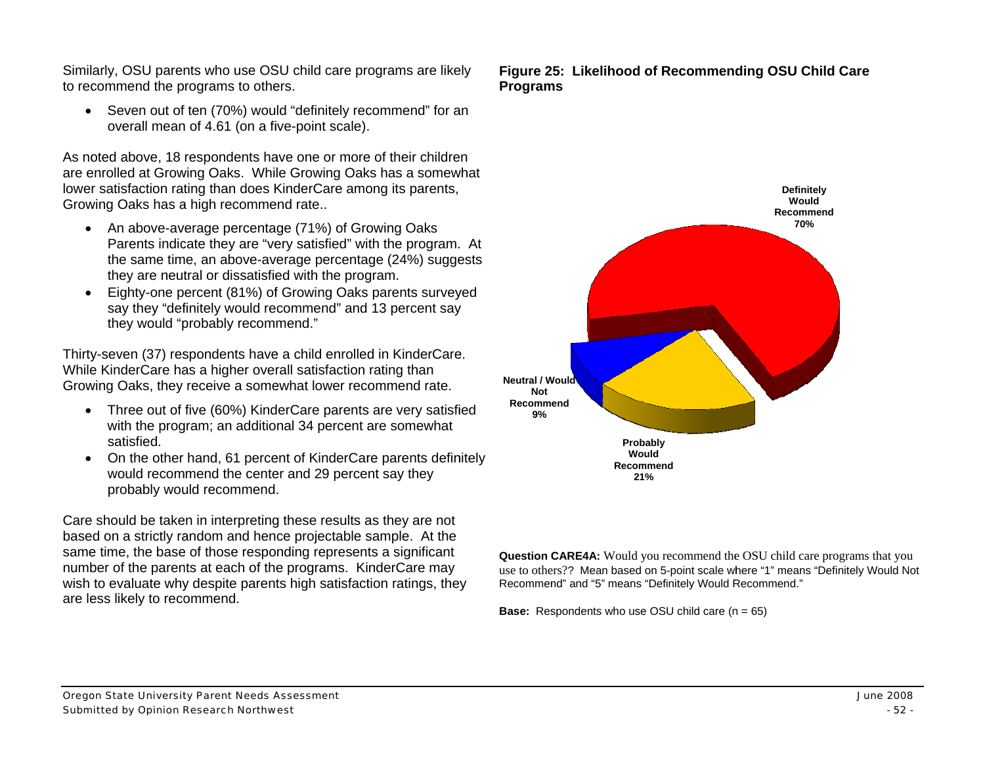Similarly, OSU parents who use OSU child care programs are likely to recommend the programs to others.

• Seven out of ten (70%) would "definitely recommend" for an overall mean of 4.61 (on a five-point scale).

As noted above, 18 respondents have one or more of their children are enrolled at Growing Oaks. While Growing Oaks has a somewhat lower satisfaction rating than does KinderCare among its parents, Growing Oaks has a high recommend rate..

- An above-average percentage (71%) of Growing Oaks Parents indicate they are "very satisfied" with the program. At the same time, an above-average percentage (24%) suggests they are neutral or dissatisfied with the program.
- Eighty-one percent (81%) of Growing Oaks parents surveyed  $\bullet$ say they "definitely would recommend" and 13 percent say they would "probably recommend."

Thirty-seven (37) respondents have a child enrolled in KinderCare. While KinderCare has a higher overall satisfaction rating than Growing Oaks, they receive a somewhat lower recommend rate.

- Three out of five (60%) KinderCare parents are very satisfied with the program; an additional 34 percent are somewhat satisfied.
- On the other hand, 61 percent of KinderCare parents definitely would recommend the center and 29 percent say they probably would recommend.

Care should be taken in interpreting these results as they are not based on a strictly random and hence projectable sample. At the same time, the base of those responding represents a significant number of the parents at each of the programs. KinderCare may wish to evaluate why despite parents high satisfaction ratings, they are less likely to recommend.

#### Figure 25: Likelihood of Recommending OSU Child Care **Programs**



Question CARE4A: Would you recommend the OSU child care programs that you use to others?? Mean based on 5-point scale where "1" means "Definitely Would Not Recommend" and "5" means "Definitely Would Recommend."

**Base:** Respondents who use OSU child care  $(n = 65)$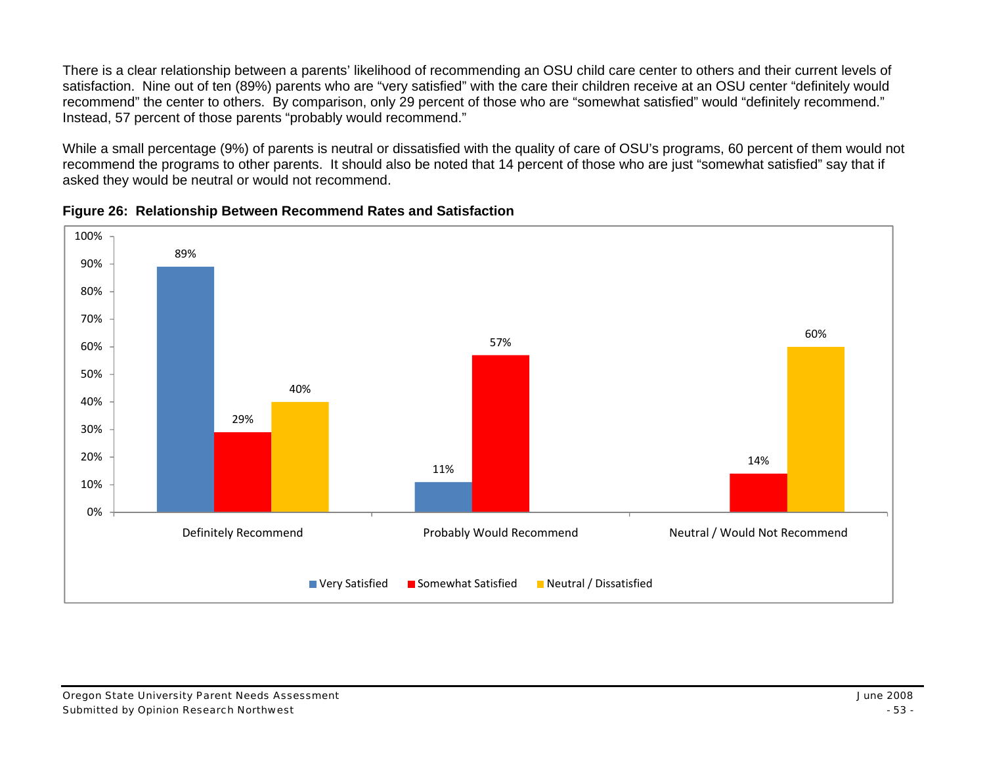There is a clear relationship between a parents' likelihood of recommending an OSU child care center to others and their current levels of satisfaction. Nine out of ten (89%) parents who are "very satisfied" with the care their children receive at an OSU center "definitely would recommend" the center to others. By comparison, only 29 percent of those who are "somewhat satisfied" would "definitely recommend." Instead, 57 percent of those parents "probably would recommend."

While a small percentage (9%) of parents is neutral or dissatisfied with the quality of care of OSU's programs, 60 percent of them would not recommend the programs to other parents. It should also be noted that 14 percent of those who are just "somewhat satisfied" say that if asked they would be neutral or would not recommend.



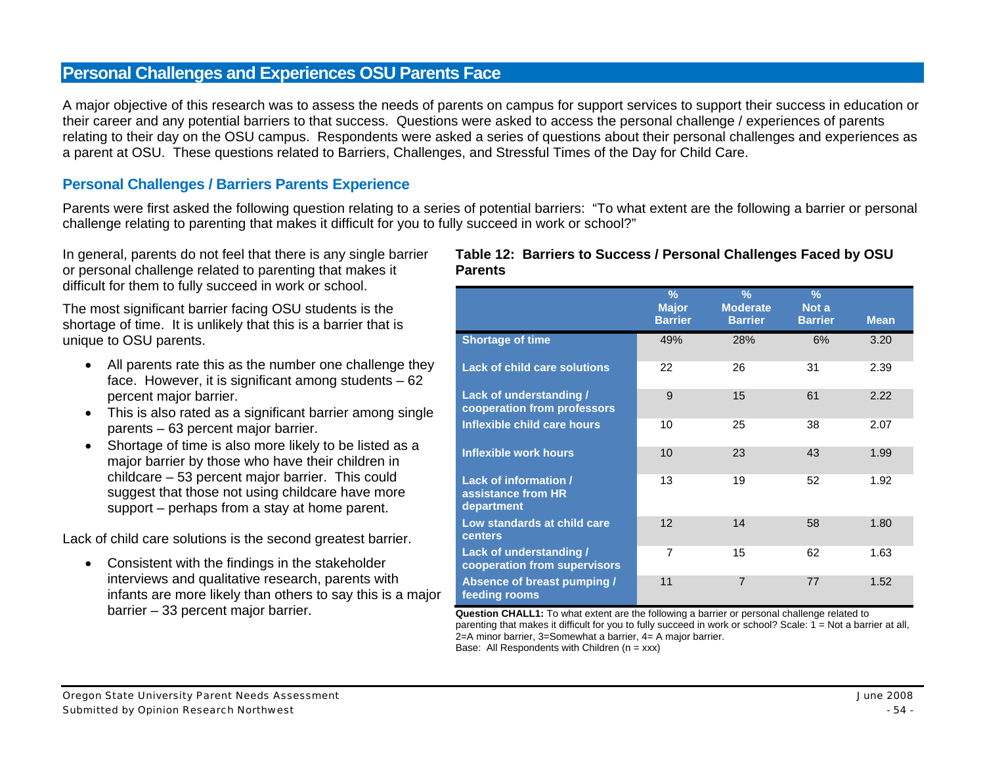# **Personal Challenges and Experiences OSU Parents Face**

A major objective of this research was to assess the needs of parents on campus for support services to support their success in education or their career and any potential barriers to that success. Questions were asked to access the personal challenge / experiences of parents relating to their day on the OSU campus. Respondents were asked a series of questions about their personal challenges and experiences as a parent at OSU. These questions related to Barriers, Challenges, and Stressful Times of the Day for Child Care.

## **Personal Challenges / Barriers Parents Experience**

Parents were first asked the following question relating to a series of potential barriers: "To what extent are the following a barrier or personal challenge relating to parenting that makes it difficult for you to fully succeed in work or school?"

In general, parents do not feel that there is any single barrier or personal challenge related to parenting that makes it difficult for them to fully succeed in work or school.

The most significant barrier facing OSU students is the shortage of time. It is unlikely that this is a barrier that is unique to OSU parents.

- All parents rate this as the number one challenge they face. However, it is significant among students  $-62$ percent major barrier.
- This is also rated as a significant barrier among single parents – 63 percent major barrier.
- Shortage of time is also more likely to be listed as a major barrier by those who have their children in childcare – 53 percent major barrier. This could suggest that those not using childcare have more support – perhaps from a stay at home parent.

Lack of child care solutions is the second greatest barrier.

• Consistent with the findings in the stakeholder interviews and qualitative research, parents with infants are more likely than others to say this is a major barrier – 33 percent major barrier.

#### **Table 12: Barriers to Success / Personal Challenges Faced by OSU Parents**

|                                                                  | $\frac{9}{6}$<br><b>Major</b><br><b>Barrier</b> | $\frac{9}{6}$<br><b>Moderate</b><br><b>Barrier</b> | $\frac{9}{6}$<br>Not a<br><b>Barrier</b> | <b>Mean</b> |
|------------------------------------------------------------------|-------------------------------------------------|----------------------------------------------------|------------------------------------------|-------------|
| <b>Shortage of time</b>                                          | 49%                                             | 28%                                                | 6%                                       | 3.20        |
| <b>Lack of child care solutions</b>                              | 22                                              | 26                                                 | 31                                       | 2.39        |
| Lack of understanding /<br>cooperation from professors           | 9                                               | 15                                                 | 61                                       | 2.22        |
| Inflexible child care hours                                      | 10                                              | 25                                                 | 38                                       | 2.07        |
| Inflexible work hours                                            | 10                                              | 23                                                 | 43                                       | 1.99        |
| <b>Lack of information /</b><br>assistance from HR<br>department | 13                                              | 19                                                 | 52                                       | 1.92        |
| Low standards at child care<br>centers                           | 12                                              | 14                                                 | 58                                       | 1.80        |
| <b>Lack of understanding /</b><br>cooperation from supervisors   | $\overline{7}$                                  | 15                                                 | 62                                       | 1.63        |
| Absence of breast pumping /<br>feeding rooms                     | 11                                              | $\overline{7}$                                     | 77                                       | 1.52        |

**Question CHALL1:** To what extent are the following a barrier or personal challenge related to parenting that makes it difficult for you to fully succeed in work or school? Scale: 1 = Not a barrier at all, 2=A minor barrier, 3=Somewhat a barrier, 4= A major barrier. Base: All Respondents with Children  $(n = XXX)$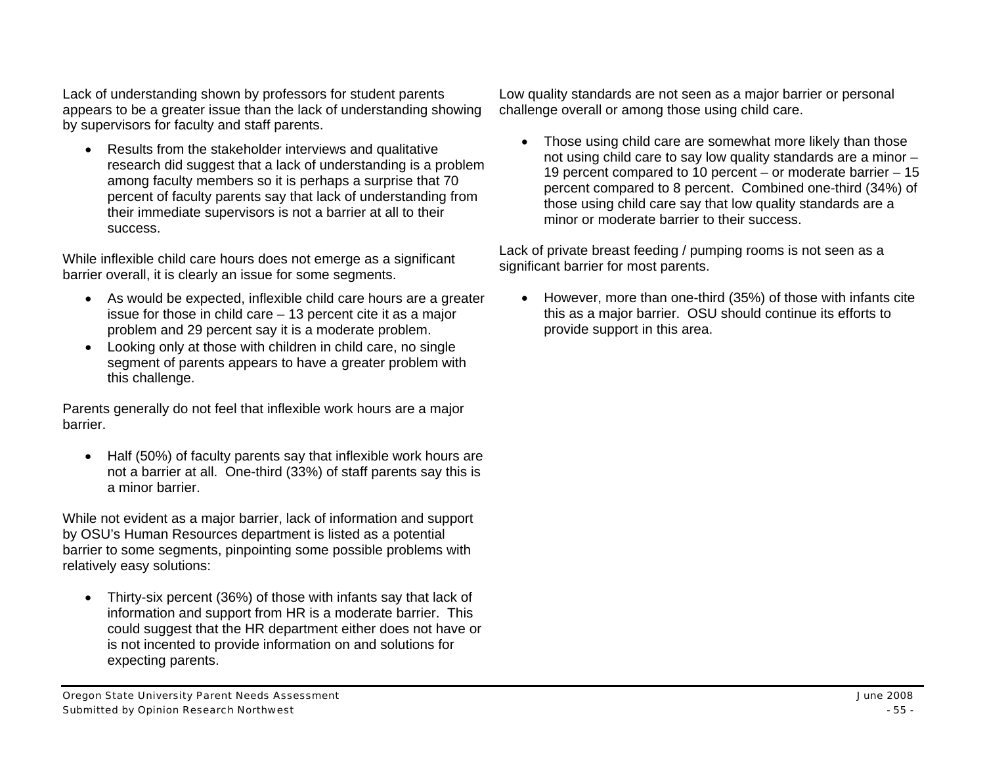Lack of understanding shown by professors for student parents appears to be a greater issue than the lack of understanding showing by supervisors for faculty and staff parents.

• Results from the stakeholder interviews and qualitative research did suggest that a lack of understanding is a problem among faculty members so it is perhaps a surprise that 70 percent of faculty parents say that lack of understanding from their immediate supervisors is not a barrier at all to their success.

While inflexible child care hours does not emerge as a significant barrier overall, it is clearly an issue for some segments.

- As would be expected, inflexible child care hours are a greater issue for those in child care – 13 percent cite it as a major problem and 29 percent say it is a moderate problem.
- Looking only at those with children in child care, no single segment of parents appears to have a greater problem with this challenge.

Parents generally do not feel that inflexible work hours are a major barrier.

• Half (50%) of faculty parents say that inflexible work hours are not a barrier at all. One-third (33%) of staff parents say this is a minor barrier.

While not evident as a major barrier, lack of information and support by OSU's Human Resources department is listed as a potential barrier to some segments, pinpointing some possible problems with relatively easy solutions:

• Thirty-six percent (36%) of those with infants say that lack of information and support from HR is a moderate barrier. This could suggest that the HR department either does not have or is not incented to provide information on and solutions for expecting parents.

Low quality standards are not seen as a major barrier or personal challenge overall or among those using child care.

• Those using child care are somewhat more likely than those not using child care to say low quality standards are a minor – 19 percent compared to 10 percent – or moderate barrier – 15 percent compared to 8 percent. Combined one-third (34%) of those using child care say that low quality standards are a minor or moderate barrier to their success.

Lack of private breast feeding / pumping rooms is not seen as a significant barrier for most parents.

• However, more than one-third (35%) of those with infants cite this as a major barrier. OSU should continue its efforts to provide support in this area.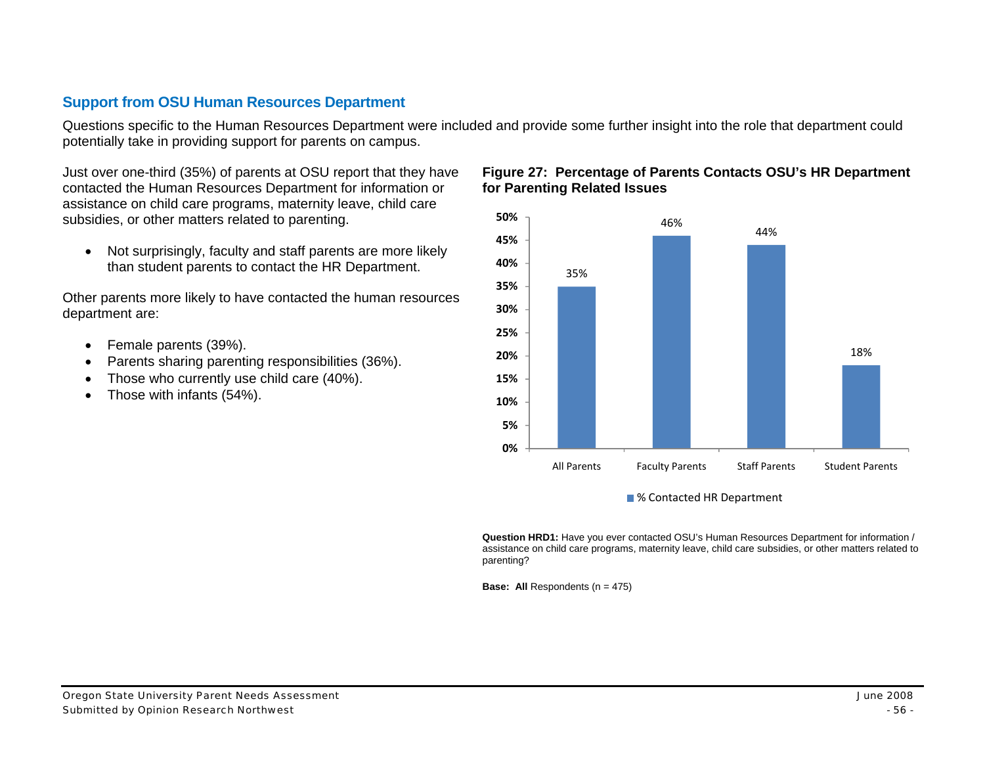## **Support from OSU Human Resources Department**

Questions specific to the Human Resources Department were included and provide some further insight into the role that department could potentially take in providing support for parents on campus.

Just over one-third (35%) of parents at OSU report that they have contacted the Human Resources Department for information or assistance on child care programs, maternity leave, child care subsidies, or other matters related to parenting.

• Not surprisingly, faculty and staff parents are more likely than student parents to contact the HR Department.

Other parents more likely to have contacted the human resources department are:

- Female parents (39%).
- Parents sharing parenting responsibilities (36%).
- Those who currently use child care (40%).
- Those with infants (54%).

**Figure 27: Percentage of Parents Contacts OSU's HR Department for Parenting Related Issues** 



% Contacted HR Department

**Question HRD1:** Have you ever contacted OSU's Human Resources Department for information / assistance on child care programs, maternity leave, child care subsidies, or other matters related to parenting?

**Base: All Respondents (n = 475)**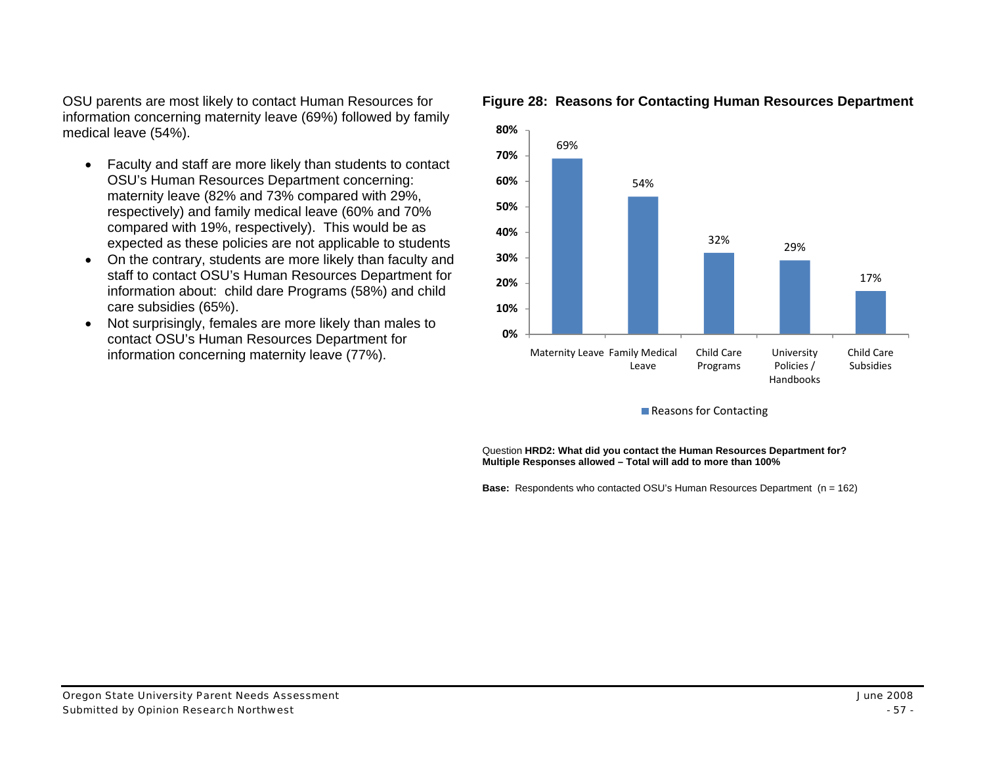OSU parents are most likely to contact Human Resources for information concerning maternity leave (69%) followed by family medical leave (54%).

- Faculty and staff are more likely than students to contact OSU's Human Resources Department concerning: maternity leave (82% and 73% compared with 29%, respectively) and family medical leave (60% and 70% compared with 19%, respectively). This would be as expected as these policies are not applicable to students
- On the contrary, students are more likely than faculty and staff to contact OSU's Human Resources Department for information about: child dare Programs (58%) and child care subsidies (65%).
- Not surprisingly, females are more likely than males to contact OSU's Human Resources Department for information concerning maternity leave (77%).



#### **Figure 28: Reasons for Contacting Human Resources Department**

Reasons for Contacting

Question **HRD2: What did you contact the Human Resources Department for? Multiple Responses allowed – Total will add to more than 100%** 

**Base:** Respondents who contacted OSU's Human Resources Department (n = 162)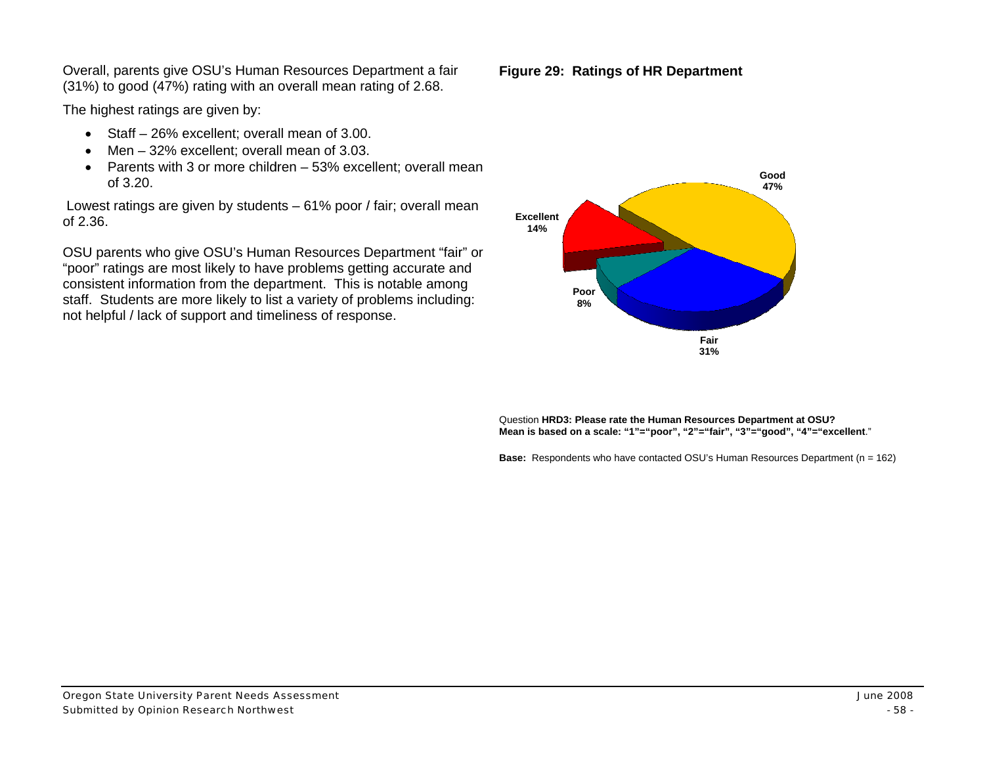**Oregon State University Parent Needs Assessment Submitted by Opinion Research Northwest** 

Overall, parents give OSU's Human Resources Department a fair (31%) to good (47%) rating with an overall mean rating of 2.68.

The highest ratings are given by:

- $\bullet$  Staff 26% excellent: overall mean of 3.00.
- Men 32% excellent: overall mean of 3.03.  $\bullet$
- Parents with 3 or more children 53% excellent: overall mean of 3.20.

Lowest ratings are given by students - 61% poor / fair; overall mean of 2.36.

OSU parents who give OSU's Human Resources Department "fair" or "poor" ratings are most likely to have problems getting accurate and consistent information from the department. This is notable among staff. Students are more likely to list a variety of problems including: not helpful / lack of support and timeliness of response.

#### Figure 29: Ratings of HR Department



Question HRD3: Please rate the Human Resources Department at OSU? Mean is based on a scale: "1"="poor", "2"="fair", "3"="good", "4"="excellent."

Base: Respondents who have contacted OSU's Human Resources Department (n = 162)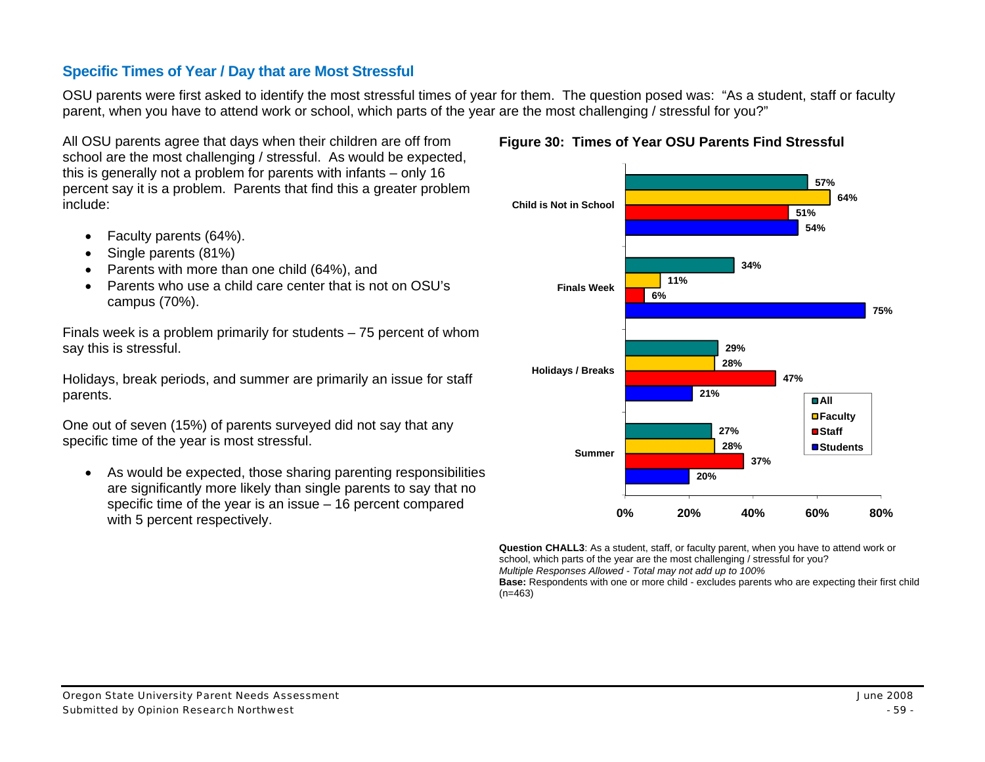# **Specific Times of Year / Day that are Most Stressful**

OSU parents were first asked to identify the most stressful times of year for them. The question posed was: "As a student, staff or faculty parent, when you have to attend work or school, which parts of the year are the most challenging / stressful for you?"

All OSU parents agree that days when their children are off from school are the most challenging / stressful. As would be expected, this is generally not a problem for parents with infants – only 16 percent say it is a problem. Parents that find this a greater problem include:

- Faculty parents (64%).
- Single parents (81%)
- Parents with more than one child (64%), and
- Parents who use a child care center that is not on OSU's campus (70%).

Finals week is a problem primarily for students – 75 percent of whom say this is stressful.

Holidays, break periods, and summer are primarily an issue for staff parents.

One out of seven (15%) of parents surveyed did not say that any specific time of the year is most stressful.

• As would be expected, those sharing parenting responsibilities are significantly more likely than single parents to say that no specific time of the year is an issue – 16 percent compared with 5 percent respectively.

#### **Figure 30: Times of Year OSU Parents Find Stressful**



**Question CHALL3**: As a student, staff, or faculty parent, when you have to attend work or school, which parts of the year are the most challenging / stressful for you? *Multiple Responses Allowed - Total may not add up to 100%*

**Base:** Respondents with one or more child - excludes parents who are expecting their first child  $(n=463)$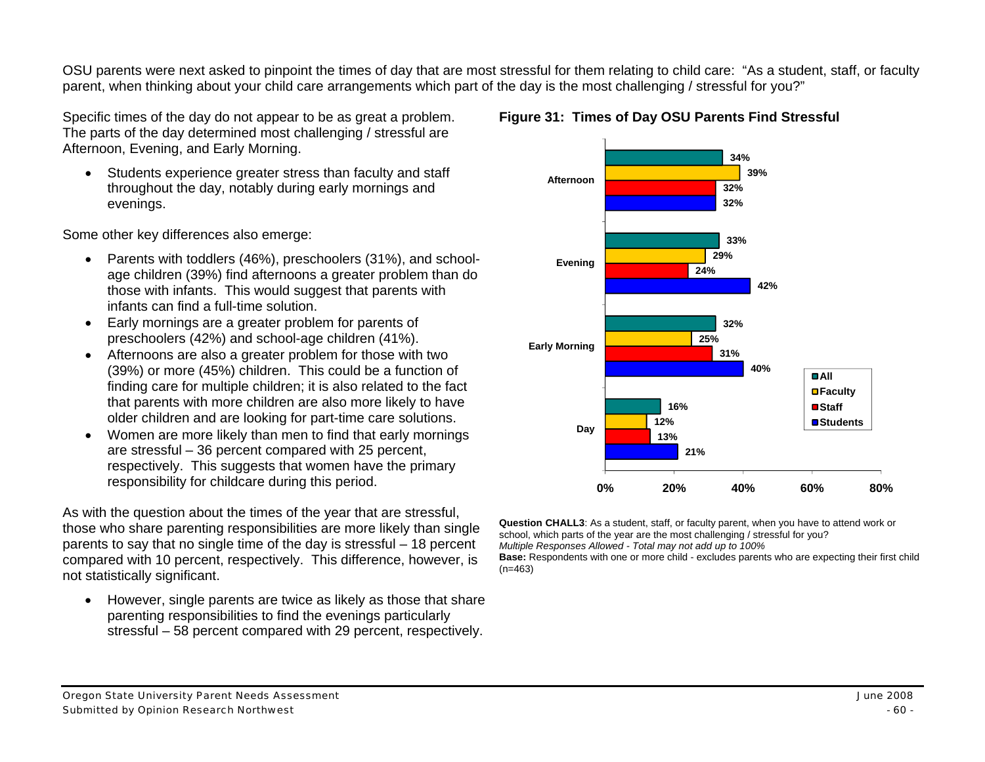OSU parents were next asked to pinpoint the times of day that are most stressful for them relating to child care: "As a student, staff, or faculty parent, when thinking about your child care arrangements which part of the day is the most challenging / stressful for you?"

Specific times of the day do not appear to be as great a problem. The parts of the day determined most challenging / stressful are Afternoon, Evening, and Early Morning.

• Students experience greater stress than faculty and staff throughout the day, notably during early mornings and evenings.

Some other key differences also emerge:

- Parents with toddlers (46%), preschoolers (31%), and schoolage children (39%) find afternoons a greater problem than do those with infants. This would suggest that parents with infants can find a full-time solution.
- Early mornings are a greater problem for parents of preschoolers (42%) and school-age children (41%).
- Afternoons are also a greater problem for those with two (39%) or more (45%) children. This could be a function of finding care for multiple children; it is also related to the fact that parents with more children are also more likely to have older children and are looking for part-time care solutions.
- Women are more likely than men to find that early mornings are stressful – 36 percent compared with 25 percent, respectively. This suggests that women have the primary responsibility for childcare during this period.

As with the question about the times of the year that are stressful, those who share parenting responsibilities are more likely than single parents to say that no single time of the day is stressful – 18 percent compared with 10 percent, respectively. This difference, however, is not statistically significant.

• However, single parents are twice as likely as those that share parenting responsibilities to find the evenings particularly stressful – 58 percent compared with 29 percent, respectively.

## **Figure 31: Times of Day OSU Parents Find Stressful**



**Question CHALL3**: As a student, staff, or faculty parent, when you have to attend work or school, which parts of the year are the most challenging / stressful for you? *Multiple Responses Allowed - Total may not add up to 100%*

**Base:** Respondents with one or more child - excludes parents who are expecting their first child  $(n=463)$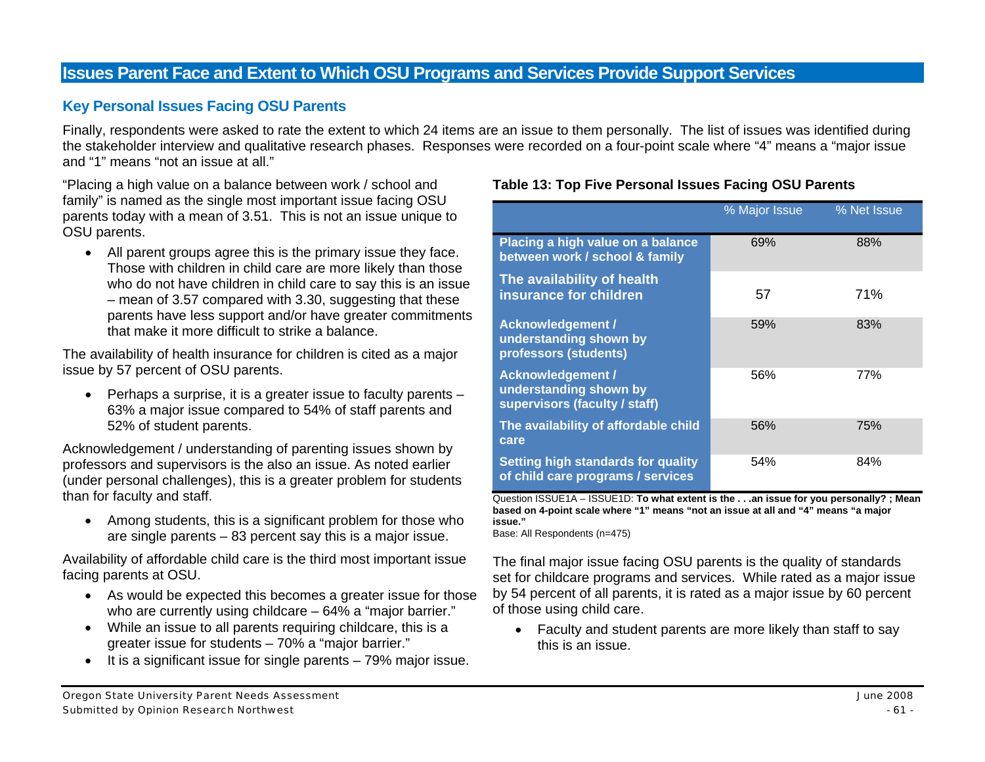# **Issues Parent Face and Extent to Which OSU Programs and Services Provide Support Services**

# **Key Personal Issues Facing OSU Parents**

Finally, respondents were asked to rate the extent to which 24 items are an issue to them personally. The list of issues was identified during the stakeholder interview and qualitative research phases. Responses were recorded on a four-point scale where "4" means a "major issue and "1" means "not an issue at all."

"Placing a high value on a balance between work / school and family" is named as the single most important issue facing OSU parents today with a mean of 3.51. This is not an issue unique to OSU parents.

• All parent groups agree this is the primary issue they face. Those with children in child care are more likely than those who do not have children in child care to say this is an issue – mean of 3.57 compared with 3.30, suggesting that these parents have less support and/or have greater commitments that make it more difficult to strike a balance.

The availability of health insurance for children is cited as a major issue by 57 percent of OSU parents.

• Perhaps a surprise, it is a greater issue to faculty parents – 63% a major issue compared to 54% of staff parents and 52% of student parents.

Acknowledgement / understanding of parenting issues shown by professors and supervisors is the also an issue. As noted earlier (under personal challenges), this is a greater problem for students than for faculty and staff.

• Among students, this is a significant problem for those who are single parents – 83 percent say this is a major issue.

Availability of affordable child care is the third most important issue facing parents at OSU.

- As would be expected this becomes a greater issue for those who are currently using childcare – 64% a "major barrier."
- While an issue to all parents requiring childcare, this is a greater issue for students – 70% a "major barrier."
- It is a significant issue for single parents 79% major issue.

## **Table 13: Top Five Personal Issues Facing OSU Parents**

|                                                                                     | % Major Issue | % Net Issue |
|-------------------------------------------------------------------------------------|---------------|-------------|
| Placing a high value on a balance<br>between work / school & family                 | 69%           | 88%         |
| The availability of health<br>insurance for children                                | 57            | 71%         |
| <b>Acknowledgement /</b><br>understanding shown by<br>professors (students)         | 59%           | 83%         |
| <b>Acknowledgement /</b><br>understanding shown by<br>supervisors (faculty / staff) | 56%           | 77%         |
| The availability of affordable child<br>care                                        | 56%           | 75%         |
| <b>Setting high standards for quality</b><br>of child care programs / services      | 54%           | 84%         |

Question ISSUE1A – ISSUE1D: **To what extent is the . . .an issue for you personally? ; Mean based on 4-point scale where "1" means "not an issue at all and "4" means "a major issue."**

Base: All Respondents (n=475)

The final major issue facing OSU parents is the quality of standards set for childcare programs and services. While rated as a major issue by 54 percent of all parents, it is rated as a major issue by 60 percent of those using child care.

• Faculty and student parents are more likely than staff to say this is an issue.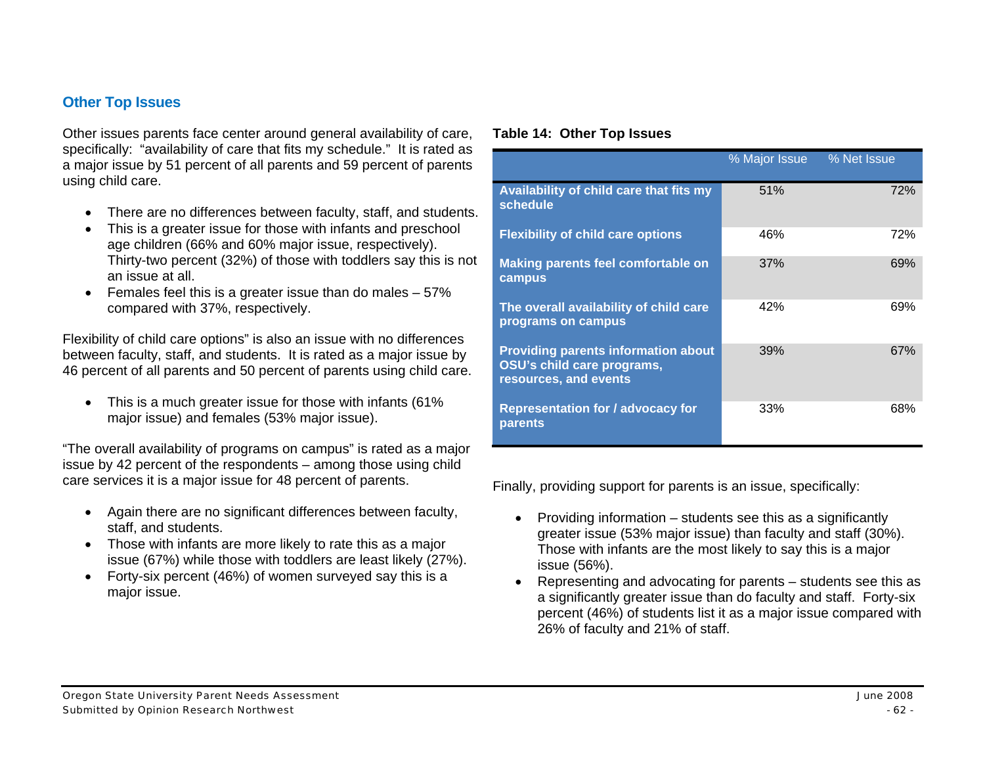## **Other Top Issues**

Other issues parents face center around general availability of care, specifically: "availability of care that fits my schedule." It is rated as a major issue by 51 percent of all parents and 59 percent of parents using child care.

- There are no differences between faculty, staff, and students.
- This is a greater issue for those with infants and preschool age children (66% and 60% major issue, respectively). Thirty-two percent (32%) of those with toddlers say this is not an issue at all.
- Females feel this is a greater issue than do males 57% compared with 37%, respectively.

Flexibility of child care options" is also an issue with no differences between faculty, staff, and students. It is rated as a major issue by 46 percent of all parents and 50 percent of parents using child care.

• This is a much greater issue for those with infants (61% major issue) and females (53% major issue).

"The overall availability of programs on campus" is rated as a major issue by 42 percent of the respondents – among those using child care services it is a major issue for 48 percent of parents.

- Again there are no significant differences between faculty, staff, and students.
- Those with infants are more likely to rate this as a major issue (67%) while those with toddlers are least likely (27%).
- Forty-six percent (46%) of women surveyed say this is a major issue.

#### **Table 14: Other Top Issues**

|                                                                                                   | % Major Issue | % Net Issue |
|---------------------------------------------------------------------------------------------------|---------------|-------------|
| Availability of child care that fits my<br>schedule                                               | 51%           | 72%         |
| <b>Flexibility of child care options</b>                                                          | 46%           | 72%         |
| Making parents feel comfortable on<br>campus                                                      | 37%           | 69%         |
| The overall availability of child care<br>programs on campus                                      | 42%           | 69%         |
| <b>Providing parents information about</b><br>OSU's child care programs,<br>resources, and events | 39%           | 67%         |
| <b>Representation for / advocacy for</b><br>parents                                               | 33%           | 68%         |

Finally, providing support for parents is an issue, specifically:

- Providing information students see this as a significantly greater issue (53% major issue) than faculty and staff (30%). Those with infants are the most likely to say this is a major issue (56%).
- Representing and advocating for parents students see this as a significantly greater issue than do faculty and staff. Forty-six percent (46%) of students list it as a major issue compared with 26% of faculty and 21% of staff.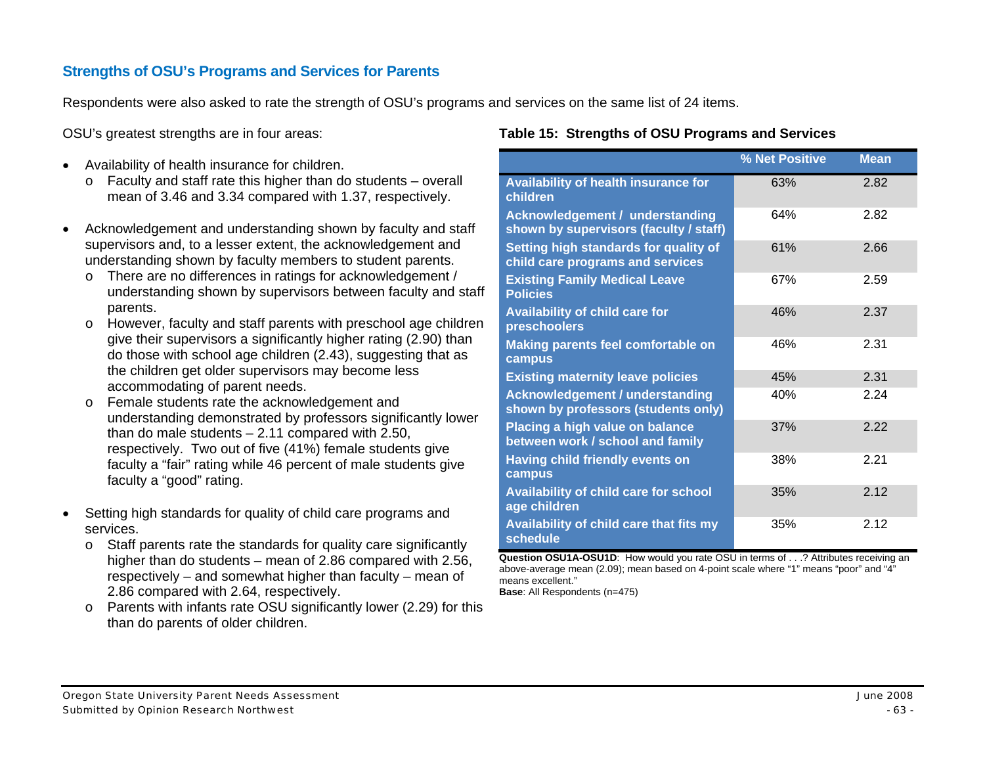# **Strengths of OSU's Programs and Services for Parents**

Respondents were also asked to rate the strength of OSU's programs and services on the same list of 24 items.

OSU's greatest strengths are in four areas:

- Availability of health insurance for children.
	- <sup>o</sup> Faculty and staff rate this higher than do students overall mean of 3.46 and 3.34 compared with 1.37, respectively.
- Acknowledgement and understanding shown by faculty and staff supervisors and, to a lesser extent, the acknowledgement and understanding shown by faculty members to student parents.
	- <sup>o</sup> There are no differences in ratings for acknowledgement / understanding shown by supervisors between faculty and staff parents.
	- <sup>o</sup> However, faculty and staff parents with preschool age children give their supervisors a significantly higher rating (2.90) than do those with school age children (2.43), suggesting that as the children get older supervisors may become less accommodating of parent needs.
	- <sup>o</sup> Female students rate the acknowledgement and understanding demonstrated by professors significantly lower than do male students – 2.11 compared with 2.50, respectively. Two out of five (41%) female students give faculty a "fair" rating while 46 percent of male students give faculty a "good" rating.
- Setting high standards for quality of child care programs and services.
	- <sup>o</sup> Staff parents rate the standards for quality care significantly higher than do students – mean of 2.86 compared with 2.56, respectively – and somewhat higher than faculty – mean of 2.86 compared with 2.64, respectively.
	- <sup>o</sup> Parents with infants rate OSU significantly lower (2.29) for this than do parents of older children.

## **Table 15: Strengths of OSU Programs and Services**

|                                                                                  | % Net Positive | <b>Mean</b> |
|----------------------------------------------------------------------------------|----------------|-------------|
| Availability of health insurance for<br>children                                 | 63%            | 2.82        |
| <b>Acknowledgement / understanding</b><br>shown by supervisors (faculty / staff) | 64%            | 2.82        |
| Setting high standards for quality of<br>child care programs and services        | 61%            | 2.66        |
| <b>Existing Family Medical Leave</b><br><b>Policies</b>                          | 67%            | 2.59        |
| <b>Availability of child care for</b><br>preschoolers                            | 46%            | 2.37        |
| <b>Making parents feel comfortable on</b><br>campus                              | 46%            | 2.31        |
| <b>Existing maternity leave policies</b>                                         | 45%            | 2.31        |
| <b>Acknowledgement / understanding</b><br>shown by professors (students only)    | 40%            | 2.24        |
| Placing a high value on balance<br>between work / school and family              | 37%            | 2.22        |
| <b>Having child friendly events on</b><br>campus                                 | 38%            | 2.21        |
| <b>Availability of child care for school</b><br>age children                     | 35%            | 212         |
| Availability of child care that fits my<br>schedule                              | 35%            | 2.12        |

**Question OSU1A-OSU1D**: How would you rate OSU in terms of . . .? Attributes receiving an above-average mean (2.09); mean based on 4-point scale where "1" means "poor" and "4" means excellent."

**Base**: All Respondents (n=475)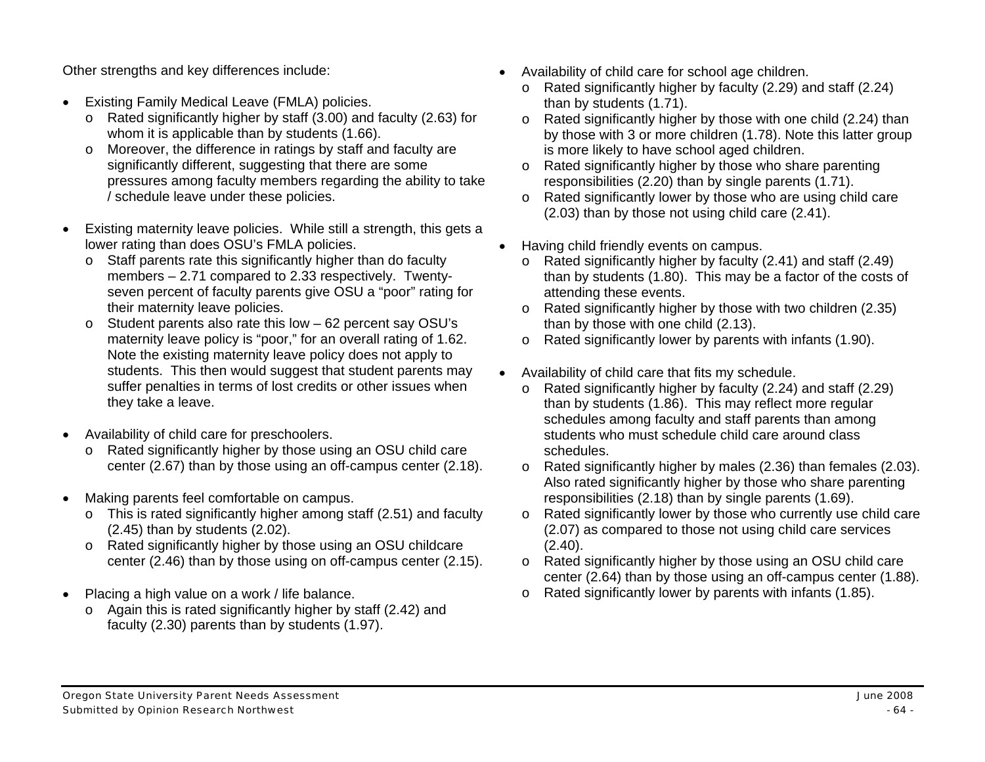Other strengths and key differences include:

- Existing Family Medical Leave (FMLA) policies.
	- <sup>o</sup> Rated significantly higher by staff (3.00) and faculty (2.63) for whom it is applicable than by students (1.66).
	- <sup>o</sup> Moreover, the difference in ratings by staff and faculty are significantly different, suggesting that there are some pressures among faculty members regarding the ability to take / schedule leave under these policies.
- Existing maternity leave policies. While still a strength, this gets a lower rating than does OSU's FMLA policies.
	- <sup>o</sup> Staff parents rate this significantly higher than do faculty members – 2.71 compared to 2.33 respectively. Twentyseven percent of faculty parents give OSU a "poor" rating for their maternity leave policies.
	- <sup>o</sup> Student parents also rate this low 62 percent say OSU's maternity leave policy is "poor," for an overall rating of 1.62. Note the existing maternity leave policy does not apply to students. This then would suggest that student parents may suffer penalties in terms of lost credits or other issues when they take a leave.
- Availability of child care for preschoolers.
	- <sup>o</sup> Rated significantly higher by those using an OSU child care center (2.67) than by those using an off-campus center (2.18).
- Making parents feel comfortable on campus.
	- $\circ$  This is rated significantly higher among staff (2.51) and faculty (2.45) than by students (2.02).
	- <sup>o</sup> Rated significantly higher by those using an OSU childcare center (2.46) than by those using on off-campus center (2.15).
- Placing a high value on a work / life balance.
	- <sup>o</sup> Again this is rated significantly higher by staff (2.42) and faculty (2.30) parents than by students (1.97).
- Availability of child care for school age children.
	- <sup>o</sup> Rated significantly higher by faculty (2.29) and staff (2.24) than by students (1.71).
	- <sup>o</sup> Rated significantly higher by those with one child (2.24) than by those with 3 or more children (1.78). Note this latter group is more likely to have school aged children.
	- <sup>o</sup> Rated significantly higher by those who share parenting responsibilities (2.20) than by single parents (1.71).
	- <sup>o</sup> Rated significantly lower by those who are using child care (2.03) than by those not using child care (2.41).
- Having child friendly events on campus.
	- <sup>o</sup> Rated significantly higher by faculty (2.41) and staff (2.49) than by students (1.80). This may be a factor of the costs of attending these events.
	- <sup>o</sup> Rated significantly higher by those with two children (2.35) than by those with one child (2.13).
	- <sup>o</sup> Rated significantly lower by parents with infants (1.90).
- Availability of child care that fits my schedule.
	- <sup>o</sup> Rated significantly higher by faculty (2.24) and staff (2.29) than by students (1.86). This may reflect more regular schedules among faculty and staff parents than among students who must schedule child care around class schedules.
	- <sup>o</sup> Rated significantly higher by males (2.36) than females (2.03). Also rated significantly higher by those who share parenting responsibilities (2.18) than by single parents (1.69).
	- <sup>o</sup> Rated significantly lower by those who currently use child care (2.07) as compared to those not using child care services  $(2.40).$
	- <sup>o</sup> Rated significantly higher by those using an OSU child care center (2.64) than by those using an off-campus center (1.88).
	- o Rated significantly lower by parents with infants (1.85).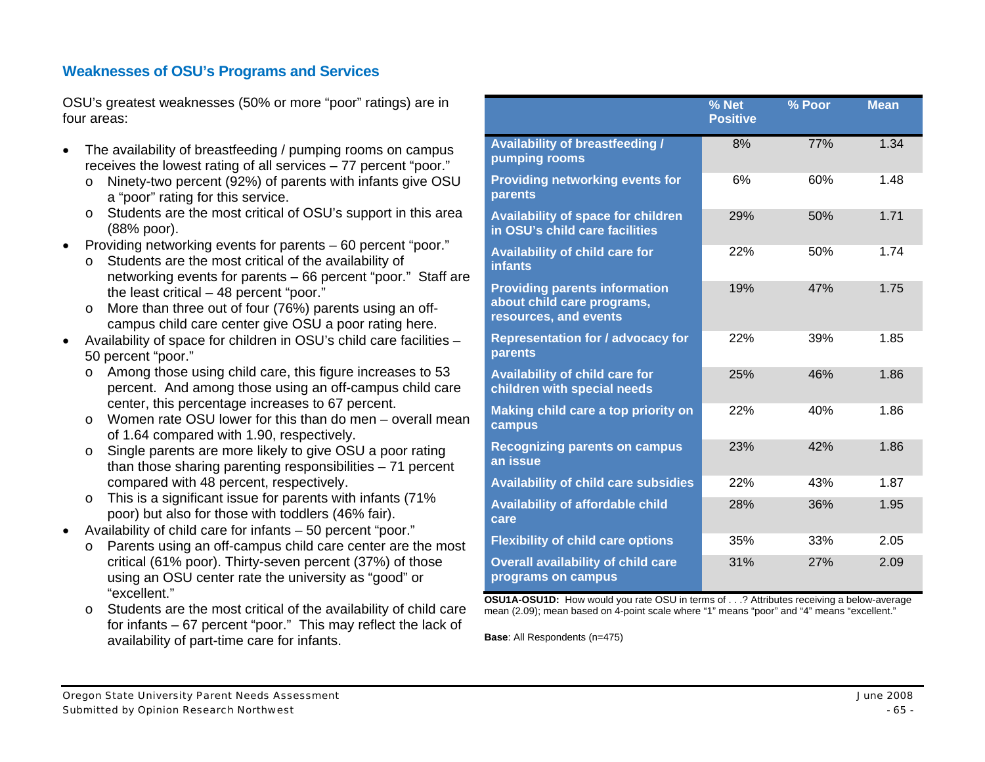## **Weaknesses of OSU's Programs and Services**

OSU's greatest weaknesses (50% or more "poor" ratings) are in four areas:

- The availability of breastfeeding / pumping rooms on campus receives the lowest rating of all services – 77 percent "poor."
	- <sup>o</sup> Ninety-two percent (92%) of parents with infants give OSU <sup>a</sup>"poor" rating for this service.
	- <sup>o</sup> Students are the most critical of OSU's support in this area (88% poor).
- Providing networking events for parents 60 percent "poor."
	- <sup>o</sup> Students are the most critical of the availability of networking events for parents – 66 percent "poor." Staff are the least critical – 48 percent "poor."
	- o More than three out of four (76%) parents using an offcampus child care center give OSU a poor rating here.
- Availability of space for children in OSU's child care facilities 50 percent "poor."
	- <sup>o</sup> Among those using child care, this figure increases to 53 percent. And among those using an off-campus child care center, this percentage increases to 67 percent.
	- o Women rate OSU lower for this than do men overall mean of 1.64 compared with 1.90, respectively.
	- <sup>o</sup> Single parents are more likely to give OSU a poor rating than those sharing parenting responsibilities – 71 percent compared with 48 percent, respectively.
	- <sup>o</sup> This is a significant issue for parents with infants (71% poor) but also for those with toddlers (46% fair).
- Availability of child care for infants 50 percent "poor."
	- <sup>o</sup> Parents using an off-campus child care center are the most critical (61% poor). Thirty-seven percent (37%) of those using an OSU center rate the university as "good" or "excellent."
	- <sup>o</sup> Students are the most critical of the availability of child care for infants – 67 percent "poor." This may reflect the lack of availability of part-time care for infants.

|                                                                                             | % Net<br><b>Positive</b> | % Poor | <b>Mean</b> |
|---------------------------------------------------------------------------------------------|--------------------------|--------|-------------|
| <b>Availability of breastfeeding /</b><br>pumping rooms                                     | 8%                       | 77%    | 1.34        |
| <b>Providing networking events for</b><br>parents                                           | 6%                       | 60%    | 1.48        |
| <b>Availability of space for children</b><br>in OSU's child care facilities                 | 29%                      | 50%    | 1.71        |
| <b>Availability of child care for</b><br><b>infants</b>                                     | 22%                      | 50%    | 1.74        |
| <b>Providing parents information</b><br>about child care programs,<br>resources, and events | 19%                      | 47%    | 1.75        |
| <b>Representation for / advocacy for</b><br>parents                                         | 22%                      | 39%    | 1.85        |
| <b>Availability of child care for</b><br>children with special needs                        | 25%                      | 46%    | 1.86        |
| Making child care a top priority on<br>campus                                               | 22%                      | 40%    | 1.86        |
| <b>Recognizing parents on campus</b><br>an issue                                            | 23%                      | 42%    | 1.86        |
| <b>Availability of child care subsidies</b>                                                 | 22%                      | 43%    | 1.87        |
| <b>Availability of affordable child</b><br>care                                             | 28%                      | 36%    | 1.95        |
| <b>Flexibility of child care options</b>                                                    | 35%                      | 33%    | 2.05        |
| <b>Overall availability of child care</b><br>programs on campus                             | 31%                      | 27%    | 2.09        |

**OSU1A-OSU1D:** How would you rate OSU in terms of . . .? Attributes receiving a below-average mean (2.09); mean based on 4-point scale where "1" means "poor" and "4" means "excellent."

**Base**: All Respondents (n=475)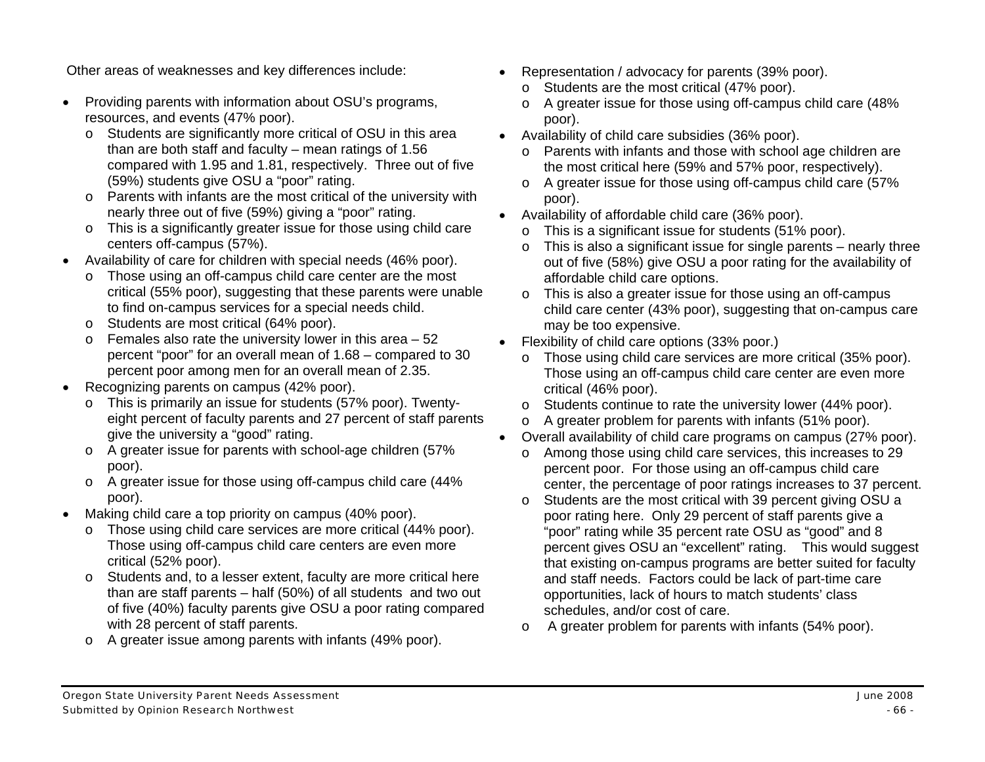Other areas of weaknesses and key differences include:

- Providing parents with information about OSU's programs, resources, and events (47% poor).
	- <sup>o</sup> Students are significantly more critical of OSU in this area than are both staff and faculty – mean ratings of 1.56 compared with 1.95 and 1.81, respectively. Three out of five (59%) students give OSU a "poor" rating.
	- <sup>o</sup> Parents with infants are the most critical of the university with nearly three out of five (59%) giving a "poor" rating.
	- <sup>o</sup> This is a significantly greater issue for those using child care centers off-campus (57%).
- Availability of care for children with special needs (46% poor).
	- <sup>o</sup> Those using an off-campus child care center are the most critical (55% poor), suggesting that these parents were unable to find on-campus services for a special needs child.
	- <sup>o</sup> Students are most critical (64% poor).
	- $\circ$  Females also rate the university lower in this area  $-52$ percent "poor" for an overall mean of 1.68 – compared to 30 percent poor among men for an overall mean of 2.35.
- Recognizing parents on campus (42% poor).
	- o This is primarily an issue for students (57% poor). Twentyeight percent of faculty parents and 27 percent of staff parents give the university a "good" rating.
	- <sup>o</sup> A greater issue for parents with school-age children (57% poor).
	- <sup>o</sup> A greater issue for those using off-campus child care (44% poor).
- Making child care a top priority on campus (40% poor).
	- <sup>o</sup> Those using child care services are more critical (44% poor). Those using off-campus child care centers are even more critical (52% poor).
	- <sup>o</sup> Students and, to a lesser extent, faculty are more critical here than are staff parents – half (50%) of all students and two out of five (40%) faculty parents give OSU a poor rating compared with 28 percent of staff parents.
	- <sup>o</sup> A greater issue among parents with infants (49% poor).
- Representation / advocacy for parents (39% poor).
	- <sup>o</sup> Students are the most critical (47% poor).
	- <sup>o</sup> A greater issue for those using off-campus child care (48% poor).
- Availability of child care subsidies (36% poor).
	- <sup>o</sup> Parents with infants and those with school age children are the most critical here (59% and 57% poor, respectively).
	- <sup>o</sup> A greater issue for those using off-campus child care (57% poor).
- Availability of affordable child care (36% poor).
	- <sup>o</sup> This is a significant issue for students (51% poor).
	- <sup>o</sup> This is also a significant issue for single parents nearly three out of five (58%) give OSU a poor rating for the availability of affordable child care options.
	- <sup>o</sup> This is also a greater issue for those using an off-campus child care center (43% poor), suggesting that on-campus care may be too expensive.
- Flexibility of child care options (33% poor.)
	- <sup>o</sup> Those using child care services are more critical (35% poor). Those using an off-campus child care center are even more critical (46% poor).
	- <sup>o</sup> Students continue to rate the university lower (44% poor).
	- <sup>o</sup> A greater problem for parents with infants (51% poor).
- Overall availability of child care programs on campus (27% poor).
	- <sup>o</sup> Among those using child care services, this increases to 29 percent poor. For those using an off-campus child care center, the percentage of poor ratings increases to 37 percent.
	- <sup>o</sup> Students are the most critical with 39 percent giving OSU a poor rating here. Only 29 percent of staff parents give a "poor" rating while 35 percent rate OSU as "good" and 8 percent gives OSU an "excellent" rating. This would suggest that existing on-campus programs are better suited for faculty and staff needs. Factors could be lack of part-time care opportunities, lack of hours to match students' class schedules, and/or cost of care.
	- o A greater problem for parents with infants (54% poor).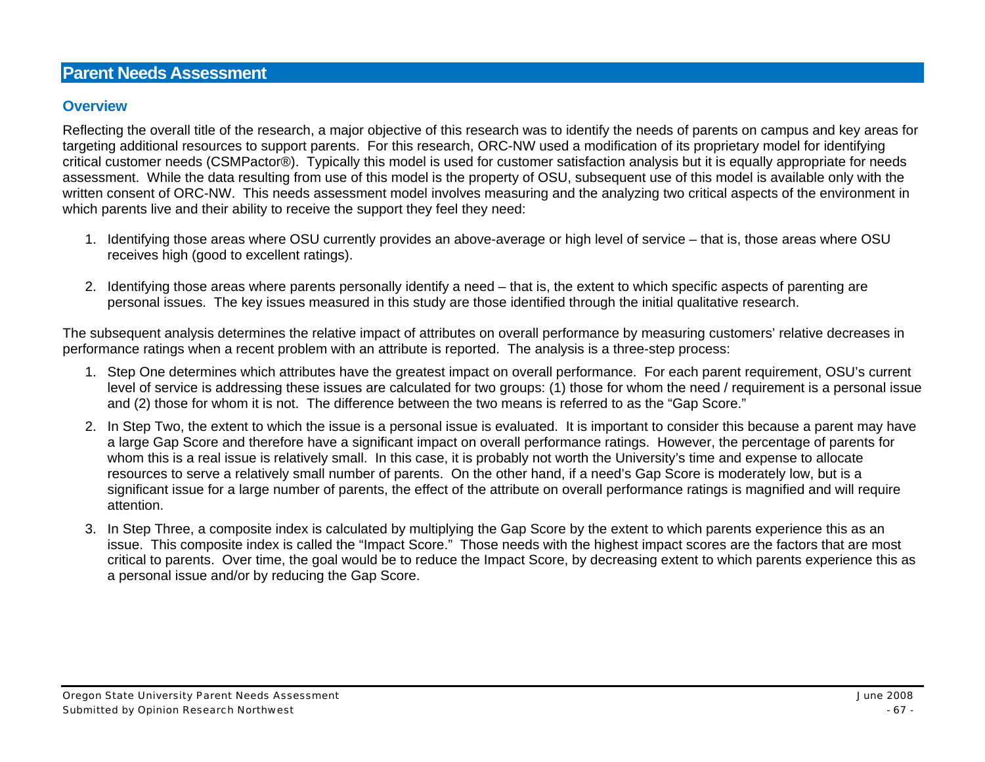# **Parent Needs Assessment**

# **Overview**

Reflecting the overall title of the research, a major objective of this research was to identify the needs of parents on campus and key areas for targeting additional resources to support parents. For this research, ORC-NW used a modification of its proprietary model for identifying critical customer needs (CSMPactor®). Typically this model is used for customer satisfaction analysis but it is equally appropriate for needs assessment. While the data resulting from use of this model is the property of OSU, subsequent use of this model is available only with the written consent of ORC-NW. This needs assessment model involves measuring and the analyzing two critical aspects of the environment in which parents live and their ability to receive the support they feel they need:

- 1. Identifying those areas where OSU currently provides an above-average or high level of service that is, those areas where OSU receives high (good to excellent ratings).
- 2. Identifying those areas where parents personally identify a need that is, the extent to which specific aspects of parenting are personal issues. The key issues measured in this study are those identified through the initial qualitative research.

The subsequent analysis determines the relative impact of attributes on overall performance by measuring customers' relative decreases in performance ratings when a recent problem with an attribute is reported. The analysis is a three-step process:

- 1. Step One determines which attributes have the greatest impact on overall performance. For each parent requirement, OSU's current level of service is addressing these issues are calculated for two groups: (1) those for whom the need / requirement is a personal issue and (2) those for whom it is not. The difference between the two means is referred to as the "Gap Score."
- 2. In Step Two, the extent to which the issue is a personal issue is evaluated. It is important to consider this because a parent may have a large Gap Score and therefore have a significant impact on overall performance ratings. However, the percentage of parents for whom this is a real issue is relatively small. In this case, it is probably not worth the University's time and expense to allocate resources to serve a relatively small number of parents. On the other hand, if a need's Gap Score is moderately low, but is a significant issue for a large number of parents, the effect of the attribute on overall performance ratings is magnified and will require attention.
- 3. In Step Three, a composite index is calculated by multiplying the Gap Score by the extent to which parents experience this as an issue. This composite index is called the "Impact Score." Those needs with the highest impact scores are the factors that are most critical to parents. Over time, the goal would be to reduce the Impact Score, by decreasing extent to which parents experience this as a personal issue and/or by reducing the Gap Score.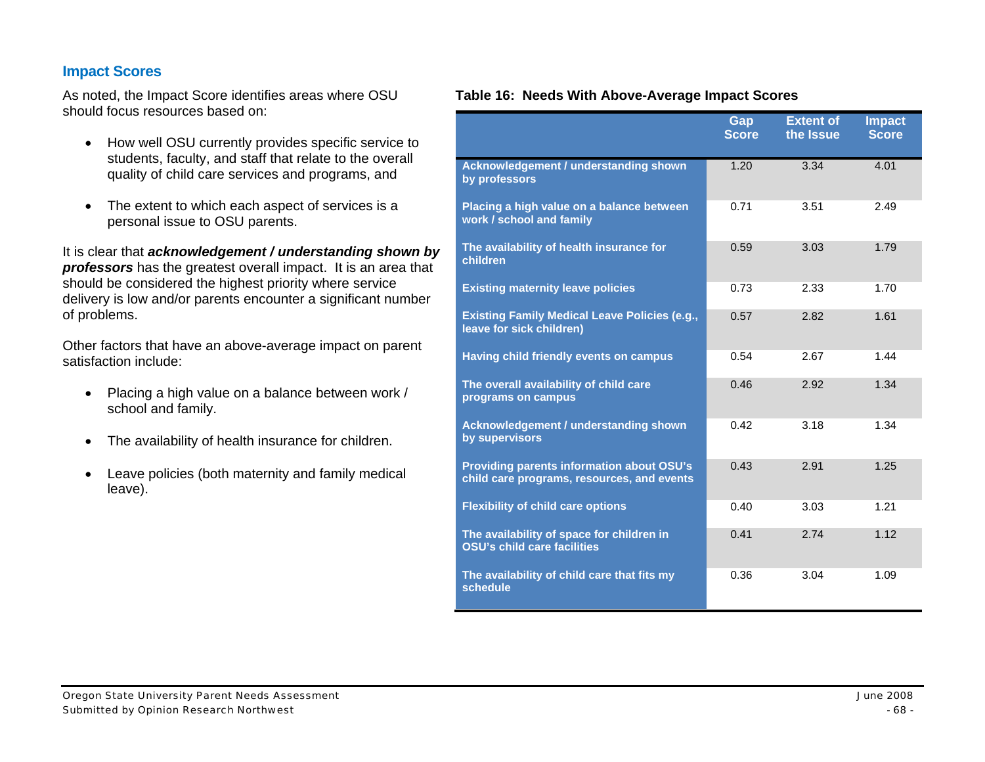## **Impact Scores**

As noted, the Impact Score identifies areas where OSU should focus resources based on:

- How well OSU currently provides specific service to students, faculty, and staff that relate to the overall quality of child care services and programs, and
- The extent to which each aspect of services is a personal issue to OSU parents.

It is clear that *acknowledgement / understanding shown by professors* has the greatest overall impact. It is an area that should be considered the highest priority where service delivery is low and/or parents encounter a significant number of problems.

Other factors that have an above-average impact on parent satisfaction include:

- Placing a high value on a balance between work / school and family.
- The availability of health insurance for children.
- Leave policies (both maternity and family medical leave).

#### **Table 16: Needs With Above-Average Impact Scores**

|                                                                                         | Gap<br><b>Score</b> | <b>Extent of</b><br>the Issue | <b>Impact</b><br><b>Score</b> |
|-----------------------------------------------------------------------------------------|---------------------|-------------------------------|-------------------------------|
| Acknowledgement / understanding shown<br>by professors                                  | 1.20                | 3.34                          | 4.01                          |
| Placing a high value on a balance between<br>work / school and family                   | 0.71                | 3.51                          | 2.49                          |
| The availability of health insurance for<br>children                                    | 0.59                | 3.03                          | 1.79                          |
| <b>Existing maternity leave policies</b>                                                | 0.73                | 2.33                          | 1.70                          |
| <b>Existing Family Medical Leave Policies (e.g.,</b><br>leave for sick children)        | 0.57                | 2.82                          | 1.61                          |
| Having child friendly events on campus                                                  | 0.54                | 2.67                          | 1.44                          |
| The overall availability of child care<br>programs on campus                            | 0.46                | 2.92                          | 1.34                          |
| Acknowledgement / understanding shown<br>by supervisors                                 | 0.42                | 3.18                          | 1.34                          |
| Providing parents information about OSU's<br>child care programs, resources, and events | 0.43                | 2.91                          | 1.25                          |
| <b>Flexibility of child care options</b>                                                | 0.40                | 3.03                          | 1.21                          |
| The availability of space for children in<br>OSU's child care facilities                | 0.41                | 2.74                          | 1.12                          |
| The availability of child care that fits my<br>schedule                                 | 0.36                | 3.04                          | 1.09                          |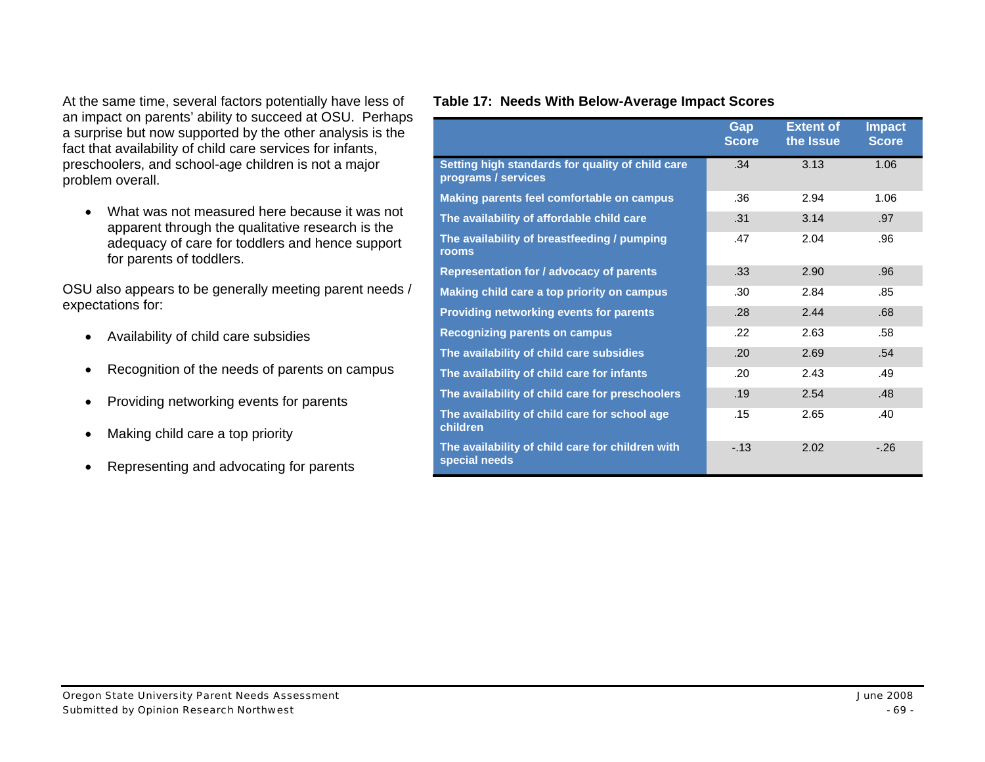At the same time, several factors potentially have less of an impact on parents' ability to succeed at OSU. Perhaps a surprise but now supported by the other analysis is the fact that availability of child care services for infants, preschoolers, and school-age children is not a major problem overall.

• What was not measured here because it was not apparent through the qualitative research is the adequacy of care for toddlers and hence support for parents of toddlers.

OSU also appears to be generally meeting parent needs / expectations for:

- Availability of child care subsidies
- Recognition of the needs of parents on campus
- Providing networking events for parents
- Making child care a top priority
- Representing and advocating for parents

#### **Table 17: Needs With Below-Average Impact Scores**

|                                                                         | Gap<br><b>Score</b> | <b>Extent of</b><br>the Issue | <b>Impact</b><br><b>Score</b> |
|-------------------------------------------------------------------------|---------------------|-------------------------------|-------------------------------|
| Setting high standards for quality of child care<br>programs / services | .34                 | 3.13                          | 1.06                          |
| Making parents feel comfortable on campus                               | .36                 | 2.94                          | 1.06                          |
| The availability of affordable child care                               | .31                 | 3.14                          | .97                           |
| The availability of breastfeeding / pumping<br>rooms                    | .47                 | 2.04                          | .96                           |
| <b>Representation for / advocacy of parents</b>                         | .33                 | 2.90                          | .96                           |
| Making child care a top priority on campus                              | .30                 | 2.84                          | .85                           |
| <b>Providing networking events for parents</b>                          | .28                 | 2.44                          | .68                           |
| <b>Recognizing parents on campus</b>                                    | .22                 | 2.63                          | .58                           |
| The availability of child care subsidies                                | .20                 | 2.69                          | .54                           |
| The availability of child care for infants                              | .20                 | 2.43                          | .49                           |
| The availability of child care for preschoolers                         | .19                 | 2.54                          | .48                           |
| The availability of child care for school age<br>children               | .15                 | 2.65                          | .40                           |
| The availability of child care for children with<br>special needs       | $-13$               | 2.02                          | $-.26$                        |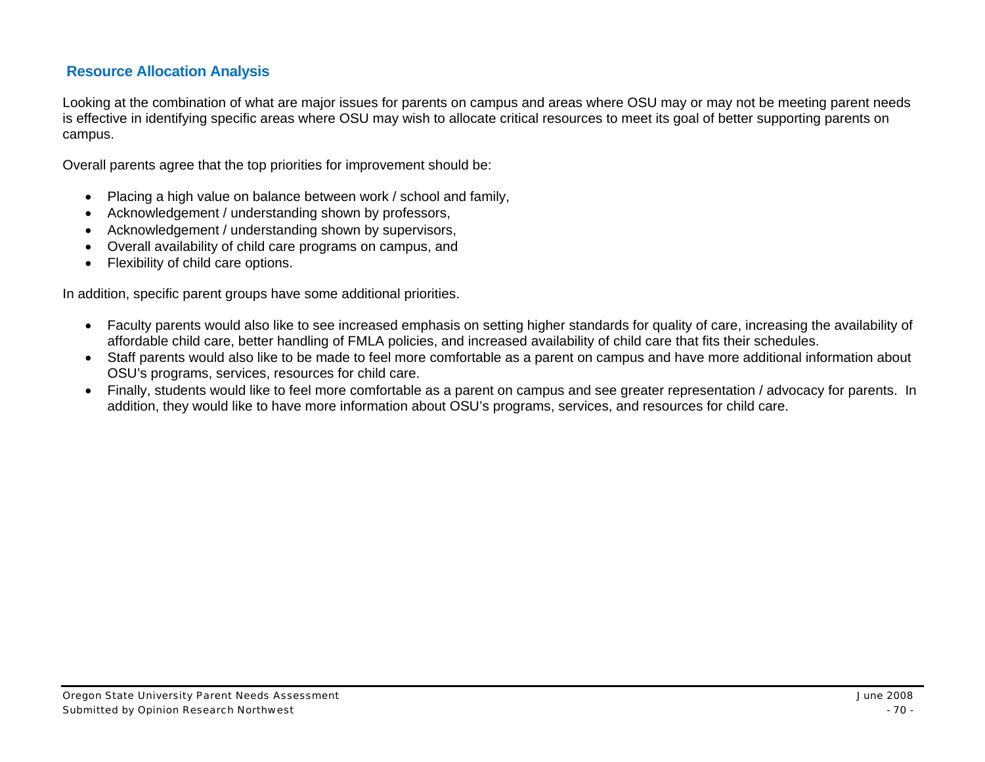# **Resource Allocation Analysis**

Looking at the combination of what are major issues for parents on campus and areas where OSU may or may not be meeting parent needs is effective in identifying specific areas where OSU may wish to allocate critical resources to meet its goal of better supporting parents on campus.

Overall parents agree that the top priorities for improvement should be:

- Placing a high value on balance between work / school and family,
- Acknowledgement / understanding shown by professors,
- Acknowledgement / understanding shown by supervisors,
- Overall availability of child care programs on campus, and
- Flexibility of child care options.

In addition, specific parent groups have some additional priorities.

- Faculty parents would also like to see increased emphasis on setting higher standards for quality of care, increasing the availability of affordable child care, better handling of FMLA policies, and increased availability of child care that fits their schedules.
- Staff parents would also like to be made to feel more comfortable as a parent on campus and have more additional information about OSU's programs, services, resources for child care.
- Finally, students would like to feel more comfortable as a parent on campus and see greater representation / advocacy for parents. In addition, they would like to have more information about OSU's programs, services, and resources for child care.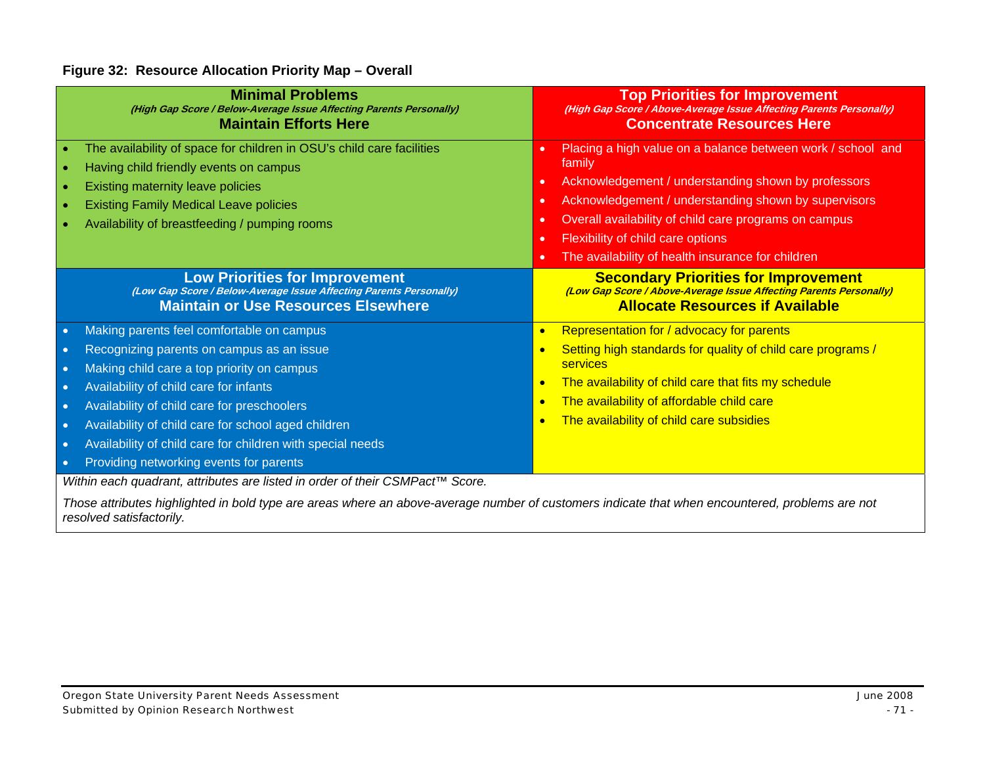#### **Figure 32: Resource Allocation Priority Map – Overall**

| <b>Minimal Problems</b><br>(High Gap Score / Below-Average Issue Affecting Parents Personally)<br><b>Maintain Efforts Here</b>                                                                                                                         | <b>Top Priorities for Improvement</b><br>(High Gap Score / Above-Average Issue Affecting Parents Personally)<br><b>Concentrate Resources Here</b>                                                                                                                                                                                            |
|--------------------------------------------------------------------------------------------------------------------------------------------------------------------------------------------------------------------------------------------------------|----------------------------------------------------------------------------------------------------------------------------------------------------------------------------------------------------------------------------------------------------------------------------------------------------------------------------------------------|
| The availability of space for children in OSU's child care facilities<br>Having child friendly events on campus<br>Existing maternity leave policies<br><b>Existing Family Medical Leave policies</b><br>Availability of breastfeeding / pumping rooms | Placing a high value on a balance between work / school and<br>family<br>Acknowledgement / understanding shown by professors<br>Acknowledgement / understanding shown by supervisors<br>Overall availability of child care programs on campus<br>Flexibility of child care options<br>٠<br>The availability of health insurance for children |
| <b>Low Priorities for Improvement</b><br>(Low Gap Score / Below-Average Issue Affecting Parents Personally)<br><b>Maintain or Use Resources Elsewhere</b>                                                                                              | <b>Secondary Priorities for Improvement</b><br>(Low Gap Score / Above-Average Issue Affecting Parents Personally)<br><b>Allocate Resources if Available</b>                                                                                                                                                                                  |
| Making parents feel comfortable on campus<br>$\bullet$                                                                                                                                                                                                 | Representation for / advocacy for parents<br>$\bullet$                                                                                                                                                                                                                                                                                       |
| Recognizing parents on campus as an issue<br>Making child care a top priority on campus<br>$\bullet$                                                                                                                                                   | Setting high standards for quality of child care programs /<br>services                                                                                                                                                                                                                                                                      |
| Availability of child care for infants<br>$\bullet$                                                                                                                                                                                                    | The availability of child care that fits my schedule                                                                                                                                                                                                                                                                                         |
| Availability of child care for preschoolers<br>$\bullet$                                                                                                                                                                                               | The availability of affordable child care<br>$\bullet$                                                                                                                                                                                                                                                                                       |
| Availability of child care for school aged children<br>$\bullet$                                                                                                                                                                                       | The availability of child care subsidies                                                                                                                                                                                                                                                                                                     |
| Availability of child care for children with special needs<br>$\bullet$                                                                                                                                                                                |                                                                                                                                                                                                                                                                                                                                              |
|                                                                                                                                                                                                                                                        |                                                                                                                                                                                                                                                                                                                                              |
| Providing networking events for parents<br>$\bullet$                                                                                                                                                                                                   |                                                                                                                                                                                                                                                                                                                                              |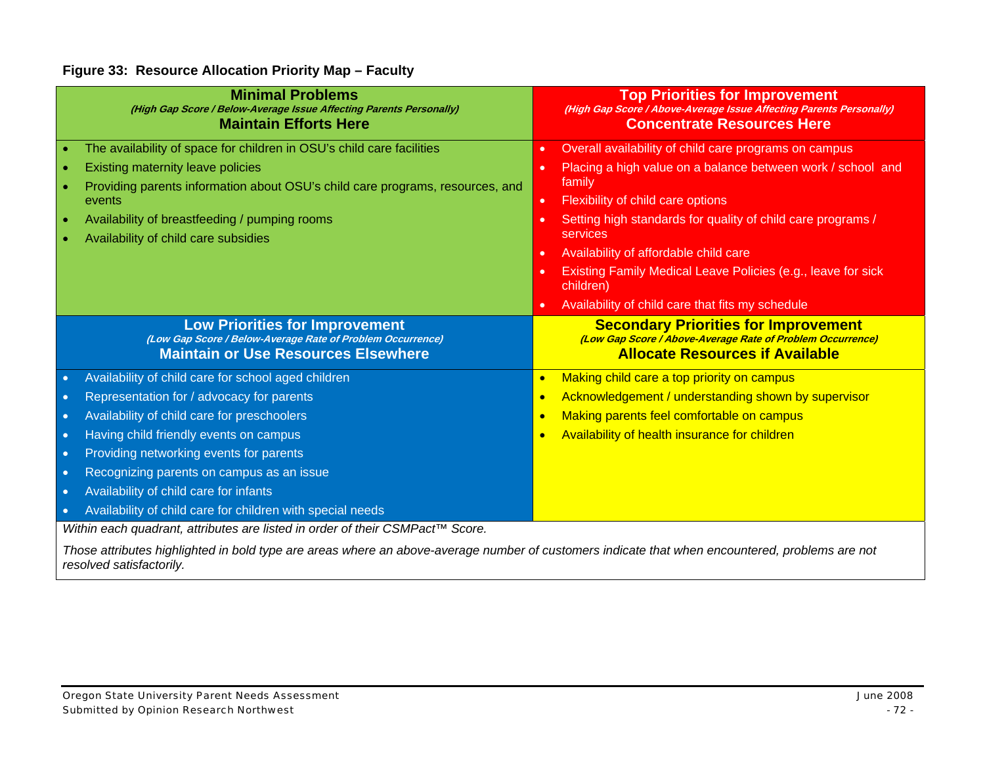#### **Figure 33: Resource Allocation Priority Map – Faculty**

| <b>Minimal Problems</b><br>(High Gap Score / Below-Average Issue Affecting Parents Personally)<br><b>Maintain Efforts Here</b>                    | <b>Top Priorities for Improvement</b><br>(High Gap Score / Above-Average Issue Affecting Parents Personally)<br><b>Concentrate Resources Here</b>   |
|---------------------------------------------------------------------------------------------------------------------------------------------------|-----------------------------------------------------------------------------------------------------------------------------------------------------|
| The availability of space for children in OSU's child care facilities                                                                             | Overall availability of child care programs on campus<br>$\bullet$                                                                                  |
| Existing maternity leave policies                                                                                                                 | Placing a high value on a balance between work / school and<br>$\bullet$                                                                            |
| Providing parents information about OSU's child care programs, resources, and                                                                     | family                                                                                                                                              |
| events                                                                                                                                            | Flexibility of child care options<br>$\bullet$                                                                                                      |
| Availability of breastfeeding / pumping rooms<br>Availability of child care subsidies                                                             | Setting high standards for quality of child care programs /<br>$\bullet$<br>services                                                                |
|                                                                                                                                                   | Availability of affordable child care<br>$\bullet$                                                                                                  |
|                                                                                                                                                   | Existing Family Medical Leave Policies (e.g., leave for sick<br>children)                                                                           |
|                                                                                                                                                   | Availability of child care that fits my schedule                                                                                                    |
|                                                                                                                                                   |                                                                                                                                                     |
| <b>Low Priorities for Improvement</b><br>(Low Gap Score / Below-Average Rate of Problem Occurrence)<br><b>Maintain or Use Resources Elsewhere</b> | <b>Secondary Priorities for Improvement</b><br>(Low Gap Score / Above-Average Rate of Problem Occurrence)<br><b>Allocate Resources if Available</b> |
| Availability of child care for school aged children                                                                                               | Making child care a top priority on campus<br>$\bullet$                                                                                             |
| Representation for / advocacy for parents<br>$\bullet$                                                                                            | Acknowledgement / understanding shown by supervisor<br>$\bullet$                                                                                    |
| Availability of child care for preschoolers<br>$\bullet$                                                                                          | Making parents feel comfortable on campus                                                                                                           |
| Having child friendly events on campus<br>$\bullet$                                                                                               | Availability of health insurance for children                                                                                                       |
| Providing networking events for parents<br>$\bullet$                                                                                              |                                                                                                                                                     |
| Recognizing parents on campus as an issue<br>$\bullet$                                                                                            |                                                                                                                                                     |
| Availability of child care for infants<br>$\bullet$                                                                                               |                                                                                                                                                     |
| Availability of child care for children with special needs<br>$\bullet$                                                                           |                                                                                                                                                     |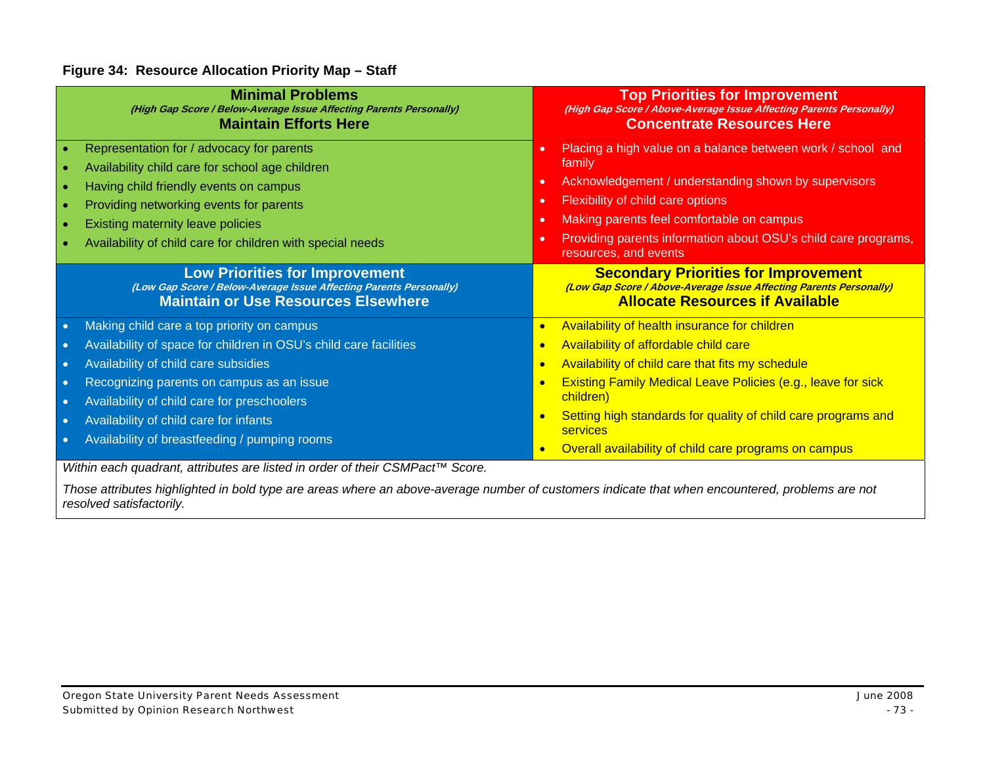#### **Figure 34: Resource Allocation Priority Map – Staff**

| <b>Minimal Problems</b><br>(High Gap Score / Below-Average Issue Affecting Parents Personally)<br><b>Maintain Efforts Here</b>                                                                                                                                                                                                                                                                                                            | <b>Top Priorities for Improvement</b><br>(High Gap Score / Above-Average Issue Affecting Parents Personally)<br><b>Concentrate Resources Here</b>                                                                                                                                                                                                                    |
|-------------------------------------------------------------------------------------------------------------------------------------------------------------------------------------------------------------------------------------------------------------------------------------------------------------------------------------------------------------------------------------------------------------------------------------------|----------------------------------------------------------------------------------------------------------------------------------------------------------------------------------------------------------------------------------------------------------------------------------------------------------------------------------------------------------------------|
| Representation for / advocacy for parents<br>Availability child care for school age children<br>Having child friendly events on campus<br>Providing networking events for parents<br>Existing maternity leave policies<br>Availability of child care for children with special needs                                                                                                                                                      | Placing a high value on a balance between work / school and<br>۰<br>family<br>Acknowledgement / understanding shown by supervisors<br>٠<br>Flexibility of child care options<br>۰<br>Making parents feel comfortable on campus<br>Providing parents information about OSU's child care programs,<br>٠<br>resources, and events                                       |
| <b>Low Priorities for Improvement</b><br>(Low Gap Score / Below-Average Issue Affecting Parents Personally)<br><b>Maintain or Use Resources Elsewhere</b>                                                                                                                                                                                                                                                                                 | <b>Secondary Priorities for Improvement</b><br>(Low Gap Score / Above-Average Issue Affecting Parents Personally)<br><b>Allocate Resources if Available</b>                                                                                                                                                                                                          |
| Making child care a top priority on campus<br>$\bullet$<br>Availability of space for children in OSU's child care facilities<br>$\bullet$<br>Availability of child care subsidies<br>$\bullet$<br>Recognizing parents on campus as an issue<br>$\bullet$<br>Availability of child care for preschoolers<br>$\bullet$<br>Availability of child care for infants<br>$\bullet$<br>Availability of breastfeeding / pumping rooms<br>$\bullet$ | Availability of health insurance for children<br>Availability of affordable child care<br>Availability of child care that fits my schedule<br><b>Existing Family Medical Leave Policies (e.g., leave for sick</b><br>children)<br>Setting high standards for quality of child care programs and<br>services<br>Overall availability of child care programs on campus |
| Within each quadrant, attributes are listed in order of their CSMPact™ Score.                                                                                                                                                                                                                                                                                                                                                             |                                                                                                                                                                                                                                                                                                                                                                      |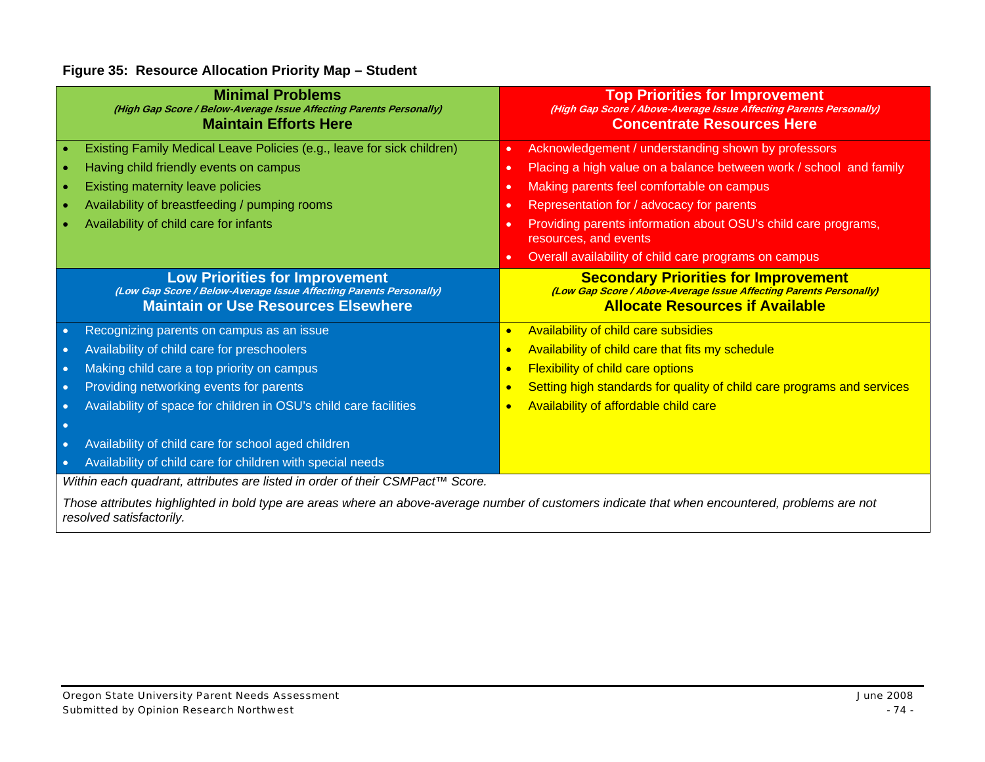#### **Figure 35: Resource Allocation Priority Map – Student**

| <b>Minimal Problems</b><br>(High Gap Score / Below-Average Issue Affecting Parents Personally)<br><b>Maintain Efforts Here</b>                            | <b>Top Priorities for Improvement</b><br>(High Gap Score / Above-Average Issue Affecting Parents Personally)<br><b>Concentrate Resources Here</b>           |
|-----------------------------------------------------------------------------------------------------------------------------------------------------------|-------------------------------------------------------------------------------------------------------------------------------------------------------------|
| Existing Family Medical Leave Policies (e.g., leave for sick children)                                                                                    | Acknowledgement / understanding shown by professors<br>٠                                                                                                    |
| Having child friendly events on campus                                                                                                                    | Placing a high value on a balance between work / school and family<br>$\bullet$                                                                             |
| Existing maternity leave policies                                                                                                                         | Making parents feel comfortable on campus<br>٠                                                                                                              |
| Availability of breastfeeding / pumping rooms                                                                                                             | Representation for / advocacy for parents<br>٠                                                                                                              |
| Availability of child care for infants                                                                                                                    | Providing parents information about OSU's child care programs,<br>٠<br>resources, and events                                                                |
|                                                                                                                                                           | Overall availability of child care programs on campus<br>$\bullet$                                                                                          |
| <b>Low Priorities for Improvement</b><br>(Low Gap Score / Below-Average Issue Affecting Parents Personally)<br><b>Maintain or Use Resources Elsewhere</b> | <b>Secondary Priorities for Improvement</b><br>(Low Gap Score / Above-Average Issue Affecting Parents Personally)<br><b>Allocate Resources if Available</b> |
| Recognizing parents on campus as an issue                                                                                                                 | <b>Availability of child care subsidies</b><br>$\bullet$                                                                                                    |
| Availability of child care for preschoolers<br>$\bullet$                                                                                                  | Availability of child care that fits my schedule<br>$\bullet$                                                                                               |
| Making child care a top priority on campus<br>$\bullet$                                                                                                   | <b>Flexibility of child care options</b><br>$\bullet$                                                                                                       |
| Providing networking events for parents<br>$\bullet$                                                                                                      | Setting high standards for quality of child care programs and services<br>$\bullet$                                                                         |
| Availability of space for children in OSU's child care facilities                                                                                         | Availability of affordable child care                                                                                                                       |
|                                                                                                                                                           |                                                                                                                                                             |
| Availability of child care for school aged children<br>$\bullet$                                                                                          |                                                                                                                                                             |
| Availability of child care for children with special needs                                                                                                |                                                                                                                                                             |
| Within each quadrant, attributes are listed in order of their CSMPact™ Score.                                                                             |                                                                                                                                                             |
| Those attributes highlighted in bold type are areas where an above-average number of customers indicate that when encountered, problems are not           |                                                                                                                                                             |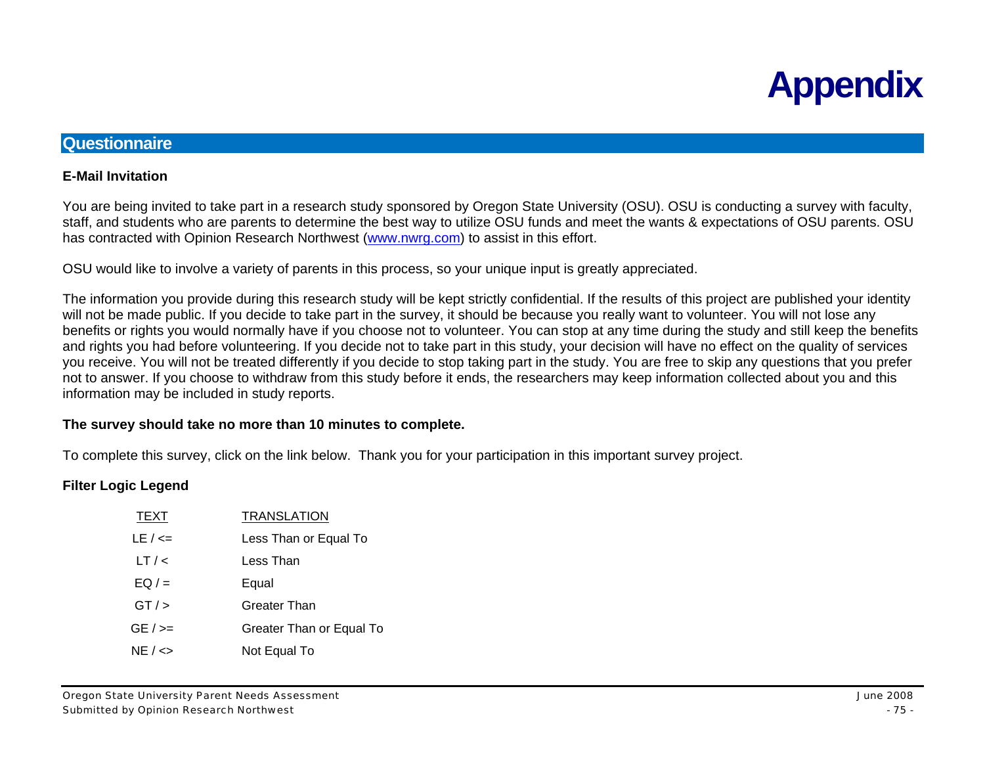# **Appendix**

# **Questionnaire**

#### **E-Mail Invitation**

You are being invited to take part in a research study sponsored by Oregon State University (OSU). OSU is conducting a survey with faculty, staff, and students who are parents to determine the best way to utilize OSU funds and meet the wants & expectations of OSU parents. OSU has contracted with Opinion Research Northwest ([www.nwrg.com](http://www.nwrg.com/)) to assist in this effort.

OSU would like to involve a variety of parents in this process, so your unique input is greatly appreciated.

The information you provide during this research study will be kept strictly confidential. If the results of this project are published your identity will not be made public. If you decide to take part in the survey, it should be because you really want to volunteer. You will not lose any benefits or rights you would normally have if you choose not to volunteer. You can stop at any time during the study and still keep the benefits and rights you had before volunteering. If you decide not to take part in this study, your decision will have no effect on the quality of services you receive. You will not be treated differently if you decide to stop taking part in the study. You are free to skip any questions that you prefer not to answer. If you choose to withdraw from this study before it ends, the researchers may keep information collected about you and this information may be included in study reports.

#### **The survey should take no more than 10 minutes to complete.**

To complete this survey, click on the link below. Thank you for your participation in this important survey project.

#### **Filter Logic Legend**

| TEXT         | <b>TRANSLATION</b>       |
|--------------|--------------------------|
| LE $/ \le$ = | Less Than or Equal To    |
| LT / <       | Less Than                |
| $EQ/=$       | Equal                    |
| GT / >       | Greater Than             |
| $GE / >=$    | Greater Than or Equal To |
| $NE / \ll$   | Not Equal To             |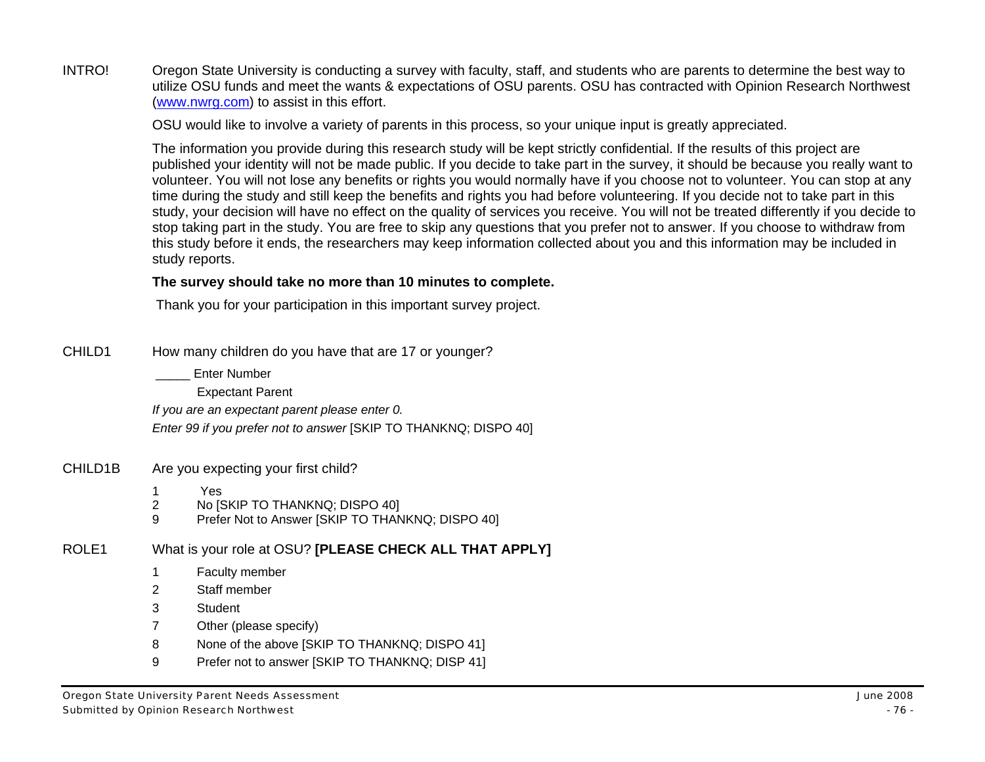INTRO! Oregon State University is conducting a survey with faculty, staff, and students who are parents to determine the best way to utilize OSU funds and meet the wants & expectations of OSU parents. OSU has contracted with Opinion Research Northwest ([www.nwrg.com\)](http://www.nwrg.com/) to assist in this effort.

OSU would like to involve a variety of parents in this process, so your unique input is greatly appreciated.

 The information you provide during this research study will be kept strictly confidential. If the results of this project are published your identity will not be made public. If you decide to take part in the survey, it should be because you really want to volunteer. You will not lose any benefits or rights you would normally have if you choose not to volunteer. You can stop at any time during the study and still keep the benefits and rights you had before volunteering. If you decide not to take part in this study, your decision will have no effect on the quality of services you receive. You will not be treated differently if you decide to stop taking part in the study. You are free to skip any questions that you prefer not to answer. If you choose to withdraw from this study before it ends, the researchers may keep information collected about you and this information may be included in study reports.

#### **The survey should take no more than 10 minutes to complete.**

Thank you for your participation in this important survey project.

CHILD1 How many children do you have that are 17 or younger?

Enter Number

Expectant Parent

*If you are an expectant parent please enter 0. Enter 99 if you prefer not to answer* [SKIP TO THANKNQ; DISPO 40]

- CHILD1B Are you expecting your first child?
	- 1 Yes
	- 2 No [SKIP TO THANKNQ; DISPO 40]
	- 9 Prefer Not to Answer [SKIP TO THANKNQ; DISPO 40]

ROLE1 What is your role at OSU? **[PLEASE CHECK ALL THAT APPLY]**

- 1 Faculty member
- 2 Staff member
- 3 Student
- 7 Other (please specify)
- 8 None of the above [SKIP TO THANKNQ; DISPO 41]
- 9 Prefer not to answer [SKIP TO THANKNQ; DISP 41]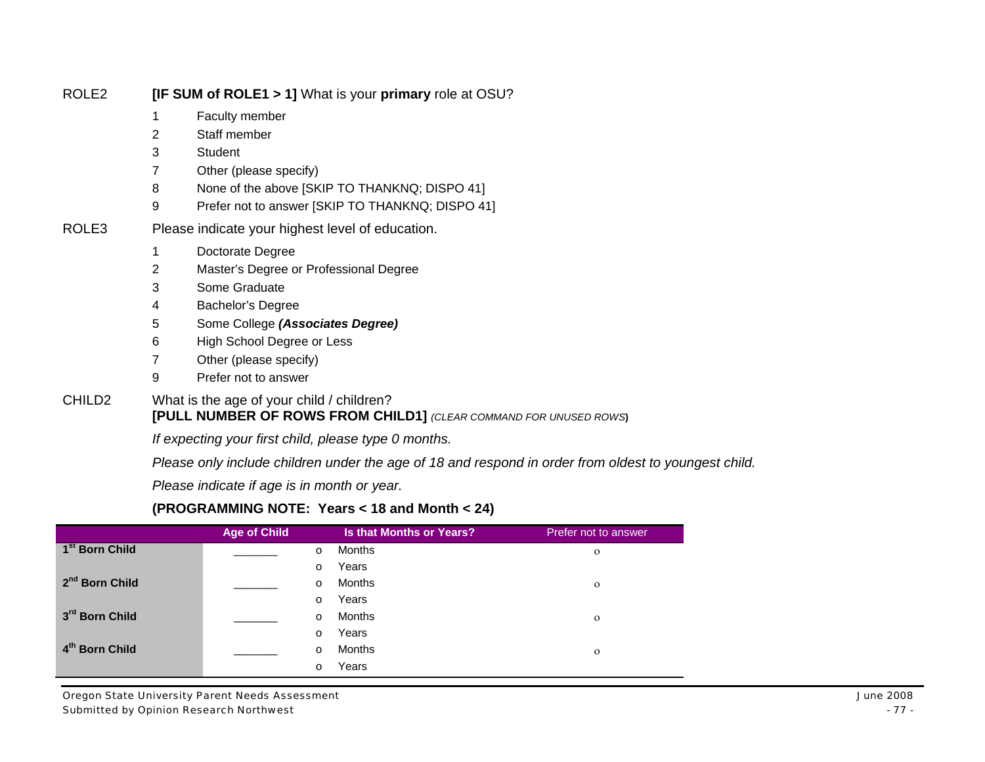| ROLE2 | [IF SUM of ROLE1 > 1] What is your primary role at OSU? |  |  |  |  |  |
|-------|---------------------------------------------------------|--|--|--|--|--|
|       | <b>Faculty member</b>                                   |  |  |  |  |  |
|       |                                                         |  |  |  |  |  |

- 2 Staff member
- 3 Student
- 7 Other (please specify)
- 8 None of the above [SKIP TO THANKNQ; DISPO 41]
- 9 Prefer not to answer [SKIP TO THANKNQ; DISPO 41]
- ROLE3 Please indicate your highest level of education.
	- 1 Doctorate Degree
	- 2 Master's Degree or Professional Degree
	- 3 Some Graduate
	- 4 Bachelor's Degree
	- 5 Some College *(Associates Degree)*
	- 6 High School Degree or Less
	- 7 Other (please specify)
	- 9 Prefer not to answer
- CHILD2 What is the age of your child / children? **[PULL NUMBER OF ROWS FROM CHILD1]** *(CLEAR COMMAND FOR UNUSED ROWS***)**

*If expecting your first child, please type 0 months.* 

*Please only include children under the age of 18 and respond in order from oldest to youngest child.* 

*Please indicate if age is in month or year.* 

# **(PROGRAMMING NOTE: Years < 18 and Month < 24)**

|                            | <b>Age of Child</b> |         | <b>Is that Months or Years?</b> | Prefer not to answer |
|----------------------------|---------------------|---------|---------------------------------|----------------------|
| 1 <sup>st</sup> Born Child |                     | $\circ$ | Months                          | $\mathbf 0$          |
|                            |                     | $\circ$ | Years                           |                      |
| 2 <sup>nd</sup> Born Child |                     | $\circ$ | Months                          | $\mathbf 0$          |
|                            |                     | $\circ$ | Years                           |                      |
| 3rd Born Child             |                     | $\circ$ | Months                          | $\mathbf 0$          |
|                            |                     | $\circ$ | Years                           |                      |
| 4 <sup>th</sup> Born Child |                     | $\circ$ | Months                          | $\mathbf 0$          |
|                            |                     | O       | Years                           |                      |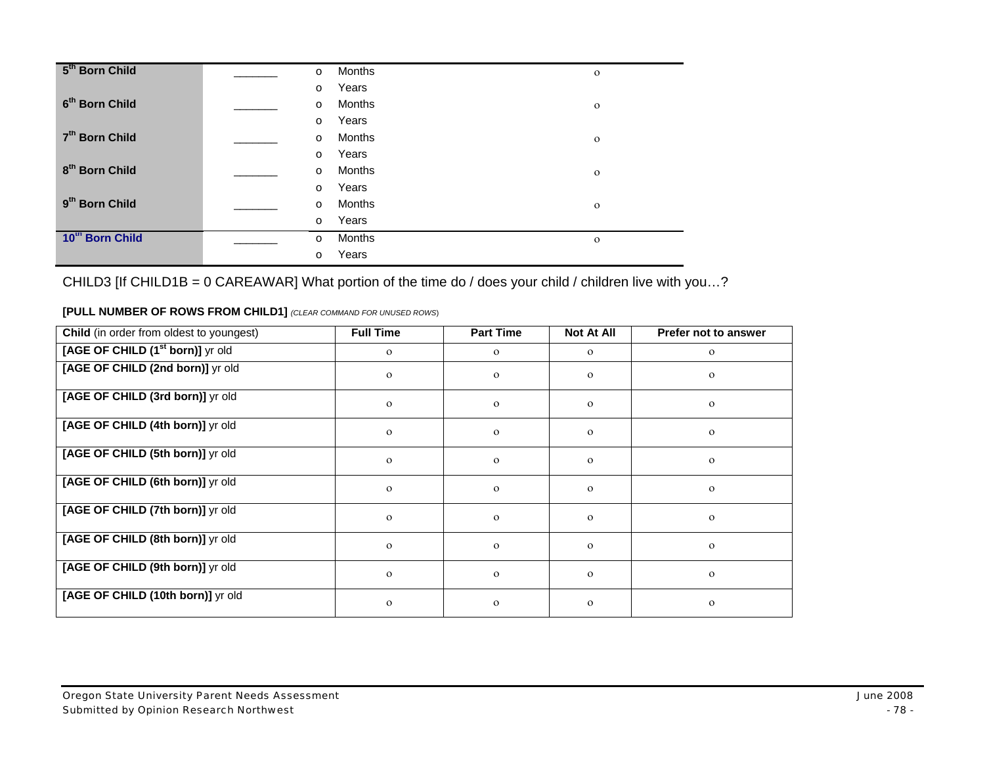| 5 <sup>th</sup> Born Child | $\circ$ | Months | $\mathbf{O}$ |
|----------------------------|---------|--------|--------------|
|                            | $\circ$ | Years  |              |
| 6 <sup>th</sup> Born Child | $\circ$ | Months | $\mathbf{O}$ |
|                            | $\circ$ | Years  |              |
| 7 <sup>th</sup> Born Child | $\circ$ | Months | $\mathbf{o}$ |
|                            | $\circ$ | Years  |              |
| 8 <sup>th</sup> Born Child | $\circ$ | Months | $\mathbf{o}$ |
|                            | $\circ$ | Years  |              |
| 9 <sup>th</sup> Born Child | $\circ$ | Months | $\mathbf{o}$ |
|                            | $\circ$ | Years  |              |
| 10th Born Child            | $\circ$ | Months | $\mathbf{o}$ |
|                            | $\circ$ | Years  |              |

## CHILD3 [If CHILD1B = 0 CAREAWAR] What portion of the time do / does your child / children live with you…?

| [PULL NUMBER OF ROWS FROM CHILD1] (CLEAR COMMAND FOR UNUSED ROWS) |  |
|-------------------------------------------------------------------|--|
|-------------------------------------------------------------------|--|

| Child (in order from oldest to youngest)     | <b>Full Time</b> | <b>Part Time</b> | <b>Not At All</b> | Prefer not to answer |
|----------------------------------------------|------------------|------------------|-------------------|----------------------|
| [AGE OF CHILD (1 <sup>st</sup> born)] yr old | $\mathbf{o}$     | $\Omega$         | $\mathbf{O}$      | $\mathbf{o}$         |
| [AGE OF CHILD (2nd born)] yr old             | $\mathbf{O}$     | $\mathbf{O}$     | $\mathbf{O}$      | $\mathbf{O}$         |
| [AGE OF CHILD (3rd born)] yr old             | $\mathbf{O}$     | $\mathbf{O}$     | $\mathbf{O}$      | $\mathbf{o}$         |
| [AGE OF CHILD (4th born)] yr old             | $\mathbf{o}$     | $\mathbf{O}$     | $\mathbf O$       | $\mathbf{o}$         |
| [AGE OF CHILD (5th born)] yr old             | $\mathbf{O}$     | $\mathbf{O}$     | $\mathbf{O}$      | $\mathbf{O}$         |
| [AGE OF CHILD (6th born)] yr old             | $\mathbf{o}$     | $\mathbf{O}$     | $\mathbf{o}$      | $\mathbf O$          |
| [AGE OF CHILD (7th born)] yr old             | $\Omega$         | $\mathbf{o}$     | $\mathbf{o}$      | $\mathbf{O}$         |
| [AGE OF CHILD (8th born)] yr old             | $\mathbf{O}$     | $\mathbf{O}$     | $\mathbf{O}$      | $\mathbf{O}$         |
| [AGE OF CHILD (9th born)] yr old             | $\mathbf{O}$     | $\mathbf{O}$     | $\mathbf{O}$      | $\mathbf{o}$         |
| [AGE OF CHILD (10th born)] yr old            | $\mathbf{O}$     | $\mathbf{O}$     | $\mathbf{o}$      | $\mathbf{o}$         |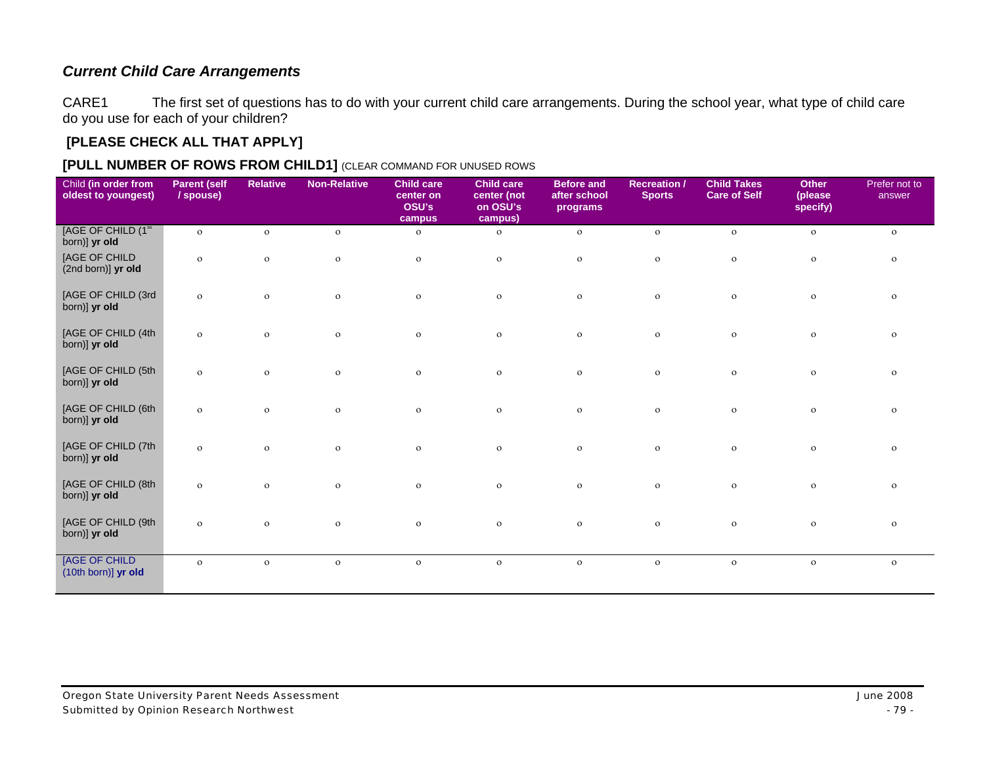# *Current Child Care Arrangements*

CARE1 The first set of questions has to do with your current child care arrangements. During the school year, what type of child care do you use for each of your children?

# **[PLEASE CHECK ALL THAT APPLY]**

## **[PULL NUMBER OF ROWS FROM CHILD1]** (CLEAR COMMAND FOR UNUSED ROWS

| Child (in order from<br>oldest to youngest) | <b>Parent (self</b><br>/ spouse) | <b>Relative</b> | <b>Non-Relative</b> | <b>Child care</b><br>center on<br>OSU's<br>campus | <b>Child care</b><br>center (not<br>on OSU's<br>campus) | <b>Before and</b><br>after school<br>programs | <b>Recreation /</b><br><b>Sports</b> | <b>Child Takes</b><br><b>Care of Self</b> | <b>Other</b><br>(please<br>specify) | Prefer not to<br>answer |
|---------------------------------------------|----------------------------------|-----------------|---------------------|---------------------------------------------------|---------------------------------------------------------|-----------------------------------------------|--------------------------------------|-------------------------------------------|-------------------------------------|-------------------------|
| [AGE OF CHILD (1st<br>born)] yr old         | $\mathbf{o}$                     | $\mathbf{o}$    | $\mathbf{o}$        | $\circ$                                           | $\mathbf{o}$                                            | $\mathbf{O}$                                  | $\mathbf{o}$                         | $\mathbf{o}$                              | $\mathbf{o}$                        | $\mathbf{o}$            |
| [AGE OF CHILD<br>(2nd born)] yr old         | $\mathbf{o}$                     | $\mathbf{o}$    | $\mathbf{o}$        | $\circ$                                           | $\mathbf{o}$                                            | $\mathbf{O}$                                  | $\mathbf{o}$                         | $\mathbf{o}$                              | $\mathbf{o}$                        | $\mathbf{o}$            |
| [AGE OF CHILD (3rd<br>born)] yr old         | $\mathbf{o}$                     | $\circ$         | $\circ$             | $\mathbf{o}$                                      | $\mathbf{o}$                                            | $\rm{O}$                                      | $\mathbf{o}$                         | $\circ$                                   | $\mathbf 0$                         | $\mathbf{o}$            |
| [AGE OF CHILD (4th<br>born)] yr old         | $\mathbf{o}$                     | $\mathbf{o}$    | $\mathbf{o}$        | $\circ$                                           | $\mathbf{o}$                                            | $\mathbf{O}$                                  | $\mathbf{o}$                         | $\mathbf{o}$                              | $\mathbf{o}$                        | $\circ$                 |
| [AGE OF CHILD (5th<br>born)] yr old         | $\mathbf{o}$                     | $\circ$         | $\circ$             | $\mathbf{o}$                                      | $\circ$                                                 | $\rm{O}$                                      | $\mathbf{o}$                         | $\mathbf{o}$                              | $\mathbf 0$                         | $\mathbf O$             |
| [AGE OF CHILD (6th<br>born)] yr old         | $\mathbf{o}$                     | $\mathbf{o}$    | $\mathbf{o}$        | $\circ$                                           | $\mathbf{o}$                                            | $\mathbf{O}$                                  | $\mathbf O$                          | $\mathbf{o}$                              | $\mathbf{o}$                        | $\rm{O}$                |
| [AGE OF CHILD (7th<br>born)] yr old         | $\circ$                          | $\circ$         | $\mathbf{o}$        | $\mathbf{o}$                                      | $\mathbf{o}$                                            | $\mathbf O$                                   | $\mathbf{o}$                         | $\mathbf{o}$                              | $\mathbf 0$                         | $\mathbf{o}$            |
| [AGE OF CHILD (8th<br>born)] yr old         | $\mathbf{o}$                     | $\mathbf{o}$    | $\mathbf{o}$        | $\mathbf{o}$                                      | $\mathbf{o}$                                            | $\mathbf O$                                   | $\mathbf{o}$                         | $\mathbf{o}$                              | $\mathbf{o}$                        | $\circ$                 |
| [AGE OF CHILD (9th<br>born)] yr old         | $\mathbf 0$                      | $\circ$         | $\mathbf{o}$        | $\circ$                                           | $\mathbf{o}$                                            | $\mathbf{o}$                                  | $\mathbf 0$                          | $\mathbf{o}$                              | $\mathbf 0$                         | $\mathbf{o}$            |
| [AGE OF CHILD<br>(10th born)] yr old        | $\circ$                          | $\circ$         | $\circ$             | $\circ$                                           | $\circ$                                                 | $\rm{O}$                                      | $\mathbf{o}$                         | $\mathbf{o}$                              | $\mathbf 0$                         | $\circ$                 |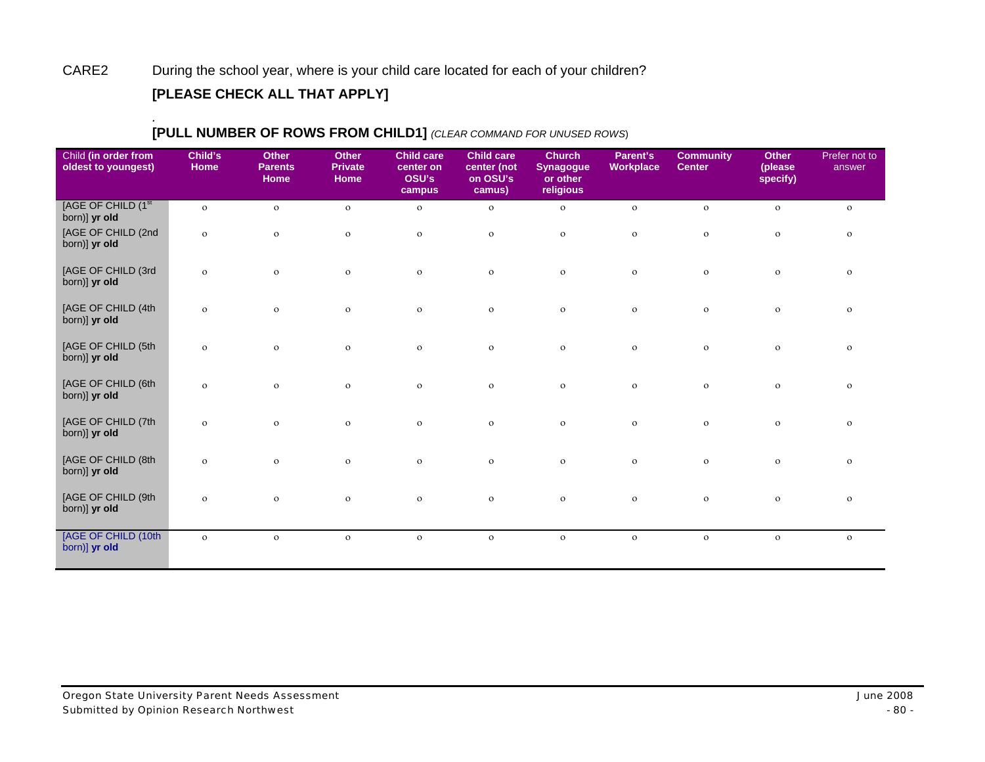# CARE2 During the school year, where is your child care located for each of your children?

## **[PLEASE CHECK ALL THAT APPLY]**

# *.* **[PULL NUMBER OF ROWS FROM CHILD1]** *(CLEAR COMMAND FOR UNUSED ROWS*)

| Child (in order from<br>oldest to youngest)     | Child's<br><b>Home</b> | <b>Other</b><br><b>Parents</b><br>Home | <b>Other</b><br><b>Private</b><br>Home | <b>Child care</b><br>center on<br>OSU's<br>campus | <b>Child care</b><br>center (not<br>on OSU's<br>camus) | <b>Church</b><br><b>Synagogue</b><br>or other<br>religious | Parent's<br>Workplace | <b>Community</b><br><b>Center</b> | <b>Other</b><br>(please<br>specify) | Prefer not to<br>answer |
|-------------------------------------------------|------------------------|----------------------------------------|----------------------------------------|---------------------------------------------------|--------------------------------------------------------|------------------------------------------------------------|-----------------------|-----------------------------------|-------------------------------------|-------------------------|
| [AGE OF CHILD (1 <sup>st</sup><br>born)] yr old | $\circ$                | $\circ$                                | $\circ$                                | $\mathbf 0$                                       | $\mathbf{o}$                                           | $\circ$                                                    | $\circ$               | $\mathbf{o}$                      | $\circ$                             | $\mathbf{o}$            |
| [AGE OF CHILD (2nd<br>born)] yr old             | $\mathbf{o}$           | $\mathbf{o}$                           | $\mathbf O$                            | $\mathbf{o}$                                      | $\mathbf{O}$                                           | $\rm{O}$                                                   | $\mathbf{o}$          | $\mathbf O$                       | $\mathbf{o}$                        | $\mathbf O$             |
| [AGE OF CHILD (3rd<br>born)] yr old             | $\mathbf{o}$           | $\circ$                                | $\mathbf{o}$                           | $\mathbf{o}$                                      | $\mathbf{O}$                                           | $\mathbf{o}$                                               | $\mathbf{o}$          | $\mathbf 0$                       | $\mathbf{o}$                        | $\mathbf{o}$            |
| [AGE OF CHILD (4th<br>born)] yr old             | $\mathbf{o}$           | $\circ$                                | $\mathbf{o}$                           | $\mathbf{o}$                                      | $\circ$                                                | $\mathbf{o}$                                               | $\mathbf{o}$          | $\mathbf{o}$                      | $\mathbf{o}$                        | $\mathbf{o}$            |
| [AGE OF CHILD (5th<br>born)] yr old             | $\mathbf{o}$           | $\circ$                                | $\mathbf{o}$                           | $\mathbf{o}$                                      | $\mathbf{o}$                                           | $\mathbf{o}$                                               | $\circ$               | $\mathbf 0$                       | $\mathbf{o}$                        | $\mathbf O$             |
| [AGE OF CHILD (6th<br>born)] yr old             | $\circ$                | $\circ$                                | $\mathbf{o}$                           | $\mathbf{o}$                                      | $\mathbf{O}$                                           | $\mathbf{o}$                                               | $\mathbf{o}$          | $\mathbf 0$                       | $\mathbf{o}$                        | $\mathbf 0$             |
| [AGE OF CHILD (7th<br>born)] yr old             | $\mathbf{o}$           | $\circ$                                | $\mathbf{o}$                           | $\mathbf{o}$                                      | $\circ$                                                | $\mathbf{o}$                                               | $\mathbf{o}$          | $\mathbf O$                       | $\mathbf{o}$                        | $\mathbf{o}$            |
| [AGE OF CHILD (8th<br>born)] yr old             | $\mathbf{o}$           | $\circ$                                | $\mathbf{o}$                           | $\mathbf{o}$                                      | $\mathbf{O}$                                           | $\mathbf{o}$                                               | $\mathbf{o}$          | $\mathbf{o}$                      | $\mathbf{o}$                        | $\mathbf{o}$            |
| [AGE OF CHILD (9th<br>born)] yr old             | $\mathbf{o}$           | $\circ$                                | $\mathbf{o}$                           | $\mathbf{o}$                                      | $\circ$                                                | $\mathbf{o}$                                               | $\mathbf{o}$          | $\mathbf 0$                       | $\mathbf{o}$                        | $\mathbf{o}$            |
| [AGE OF CHILD (10th<br>born)] yr old            | $\circ$                | $\mathbf{o}$                           | $\mathbf O$                            | $\mathbf 0$                                       | $\mathbf{o}$                                           | $\mathbf{o}$                                               | $\mathbf{o}$          | $\mathbf O$                       | $\mathbf{o}$                        | $\circ$                 |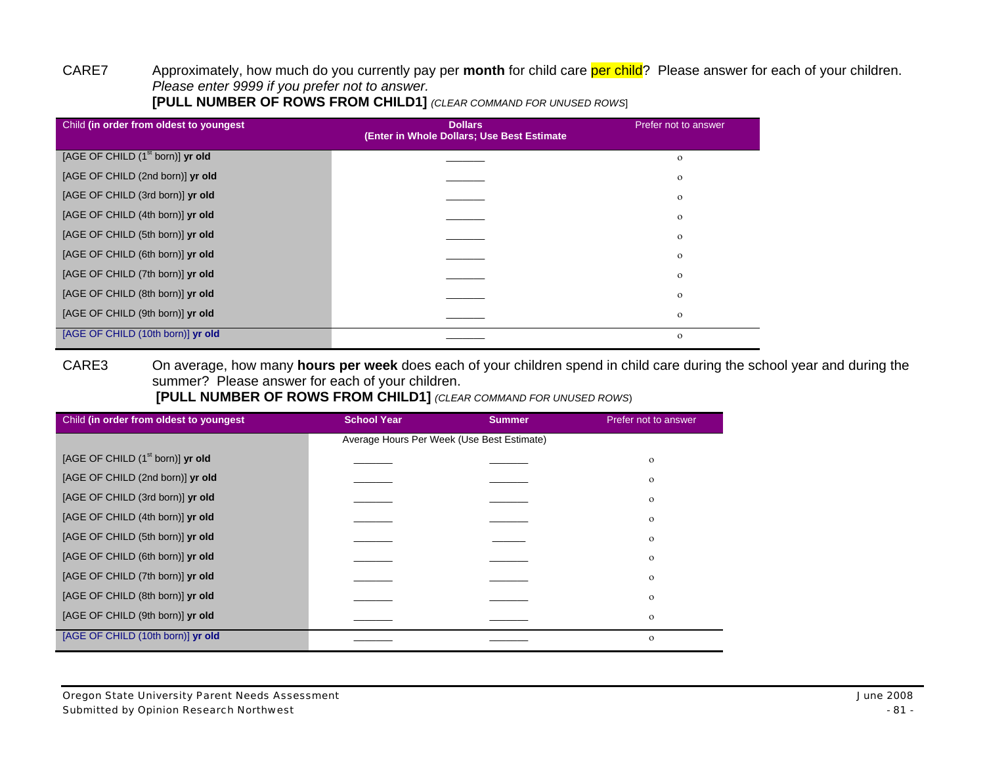CARE7 Approximately, how much do you currently pay per **month** for child care per child? Please answer for each of your children. *Please enter 9999 if you prefer not to answer.*

| Child (in order from oldest to youngest      | <b>Dollars</b><br>(Enter in Whole Dollars; Use Best Estimate | Prefer not to answer |
|----------------------------------------------|--------------------------------------------------------------|----------------------|
| [AGE OF CHILD (1 <sup>st</sup> born)] yr old |                                                              | $\mathbf{o}$         |
| [AGE OF CHILD (2nd born)] yr old             |                                                              | $\mathbf{o}$         |
| [AGE OF CHILD (3rd born)] yr old             |                                                              | $\mathbf{o}$         |
| [AGE OF CHILD (4th born)] yr old             |                                                              | $\mathbf{o}$         |
| [AGE OF CHILD (5th born)] yr old             |                                                              | $\mathbf{o}$         |
| [AGE OF CHILD (6th born)] yr old             |                                                              | $\mathbf{o}$         |
| [AGE OF CHILD (7th born)] yr old             |                                                              | $\mathbf{o}$         |
| [AGE OF CHILD (8th born)] yr old             |                                                              | $\mathbf{o}$         |
| [AGE OF CHILD (9th born)] yr old             |                                                              | $\mathbf{O}$         |
| [AGE OF CHILD (10th born)] yr old            |                                                              | $\circ$              |

**[PULL NUMBER OF ROWS FROM CHILD1]** *(CLEAR COMMAND FOR UNUSED ROWS*]

CARE3 On average, how many **hours per week** does each of your children spend in child care during the school year and during the summer? Please answer for each of your children.

### **[PULL NUMBER OF ROWS FROM CHILD1]** *(CLEAR COMMAND FOR UNUSED ROWS*)

| Child (in order from oldest to youngest      | <b>School Year</b> | <b>Summer</b>                              | Prefer not to answer |
|----------------------------------------------|--------------------|--------------------------------------------|----------------------|
|                                              |                    | Average Hours Per Week (Use Best Estimate) |                      |
| [AGE OF CHILD (1 <sup>st</sup> born)] yr old |                    |                                            | $\mathbf{o}$         |
| [AGE OF CHILD (2nd born)] yr old             |                    |                                            | $\circ$              |
| [AGE OF CHILD (3rd born)] yr old             |                    |                                            | $\circ$              |
| [AGE OF CHILD (4th born)] yr old             |                    |                                            | $\circ$              |
| [AGE OF CHILD (5th born)] yr old             |                    |                                            | $\circ$              |
| [AGE OF CHILD (6th born)] yr old             |                    |                                            | $\circ$              |
| [AGE OF CHILD (7th born)] yr old             |                    |                                            | $\circ$              |
| [AGE OF CHILD (8th born)] yr old             |                    |                                            | $\circ$              |
| [AGE OF CHILD (9th born)] yr old             |                    |                                            | $\mathbf{o}$         |
| [AGE OF CHILD (10th born)] yr old            |                    |                                            | $\circ$              |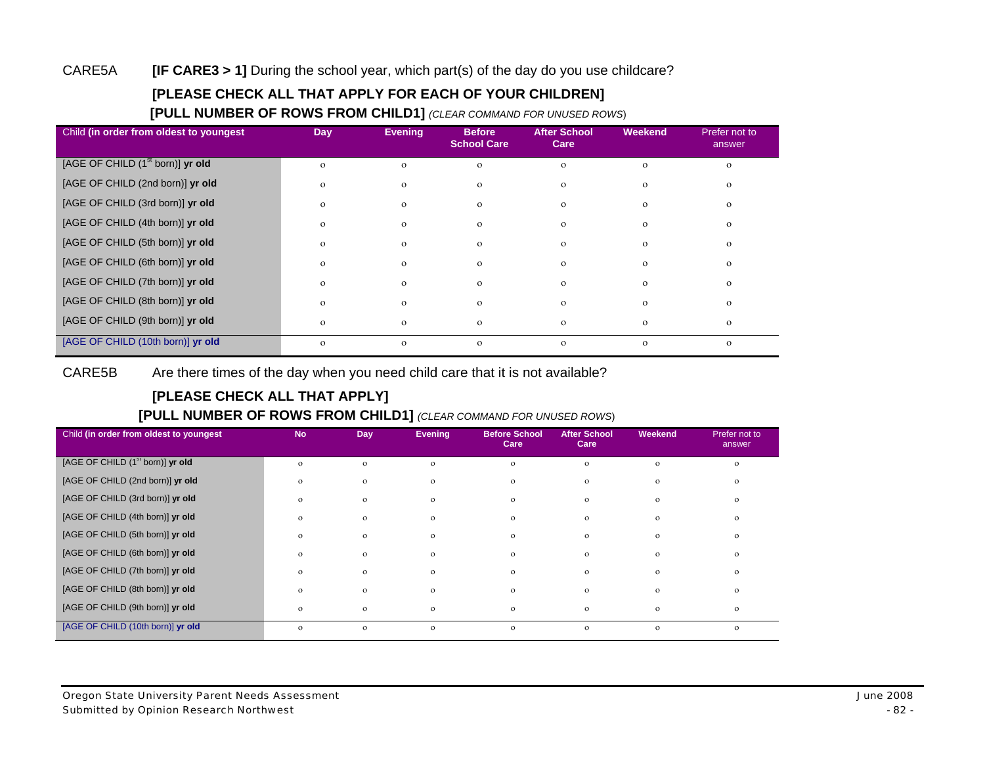#### CARE5A **[IF CARE3 > 1]** During the school year, which part(s) of the day do you use childcare?

# **[PLEASE CHECK ALL THAT APPLY FOR EACH OF YOUR CHILDREN]**

#### **[PULL NUMBER OF ROWS FROM CHILD1]** *(CLEAR COMMAND FOR UNUSED ROWS*)

| Child (in order from oldest to youngest | Day          | <b>Evening</b> | <b>Before</b><br><b>School Care</b> | <b>After School</b><br>Care | Weekend      | Prefer not to<br>answer |
|-----------------------------------------|--------------|----------------|-------------------------------------|-----------------------------|--------------|-------------------------|
| [AGE OF CHILD $(1st born)$ ] yr old     | $\Omega$     | $\mathbf{o}$   | $\mathbf{o}$                        | $\mathbf{o}$                | $\circ$      | $\circ$                 |
| [AGE OF CHILD (2nd born)] yr old        | $\Omega$     | $\mathbf{o}$   | $\circ$                             | $\mathbf{o}$                | $\circ$      | $\circ$                 |
| [AGE OF CHILD (3rd born)] yr old        | $\Omega$     | $\mathbf{o}$   | $\mathbf{o}$                        | $\mathbf{o}$                | $\circ$      | $\circ$                 |
| [AGE OF CHILD (4th born)] yr old        | $\Omega$     | $\mathbf{o}$   | $\circ$                             | $\mathbf{o}$                | $\circ$      | $\mathbf{o}$            |
| [AGE OF CHILD (5th born)] yr old        | $\Omega$     | $\mathbf{o}$   | $\circ$                             | $\mathbf{o}$                | $\circ$      | $\mathbf{o}$            |
| [AGE OF CHILD (6th born)] yr old        | $\mathbf{O}$ | $\mathbf{o}$   | $\mathbf{o}$                        | $\mathbf{o}$                | $\circ$      | $\circ$                 |
| [AGE OF CHILD (7th born)] yr old        | $\mathbf{O}$ | $\mathbf{o}$   | $\mathbf{o}$                        | $\mathbf{o}$                | $\circ$      | $\circ$                 |
| [AGE OF CHILD (8th born)] yr old        | $\mathbf{o}$ | $\mathbf{o}$   | $\mathbf{o}$                        | $\mathbf{o}$                | $\circ$      | $\mathbf{o}$            |
| [AGE OF CHILD (9th born)] yr old        | $\Omega$     | $\mathbf{o}$   | $\circ$                             | $\mathbf{o}$                | $\circ$      | $\mathbf{o}$            |
| [AGE OF CHILD (10th born)] yr old       | $\Omega$     | $\mathbf{o}$   | $\mathbf{O}$                        | $\mathbf{o}$                | $\mathbf{o}$ | $\mathbf{o}$            |

CARE5B Are there times of the day when you need child care that it is not available?

# **[PLEASE CHECK ALL THAT APPLY] [PULL NUMBER OF ROWS FROM CHILD1]** *(CLEAR COMMAND FOR UNUSED ROWS*)

| Child (in order from oldest to youngest      | <b>No</b>    | Day          | Evening      | <b>Before School</b><br>Care | <b>After School</b><br>Care | Weekend      | Prefer not to<br>answer |
|----------------------------------------------|--------------|--------------|--------------|------------------------------|-----------------------------|--------------|-------------------------|
| [AGE OF CHILD (1 <sup>st</sup> born)] yr old | $\mathbf{o}$ | $\mathbf{o}$ | $\mathbf{o}$ | $\mathbf{o}$                 | $\mathbf{o}$                | $\mathbf{o}$ | $\mathbf{o}$            |
| [AGE OF CHILD (2nd born)] yr old             | $\circ$      | $\mathbf{o}$ | $\mathbf{o}$ | $\circ$                      | $\mathbf{o}$                | $\circ$      | $\circ$                 |
| [AGE OF CHILD (3rd born)] yr old             | $\Omega$     | $\mathbf{o}$ | $\mathbf{o}$ | $\circ$                      | $\circ$                     | $\circ$      | $\mathbf{o}$            |
| [AGE OF CHILD (4th born)] yr old             | $\circ$      | $\mathbf{o}$ | $\mathbf{o}$ | $\mathbf{o}$                 | $\mathbf{o}$                | $\mathbf{o}$ | $\mathbf{o}$            |
| [AGE OF CHILD (5th born)] yr old             | $\circ$      | $\mathbf{o}$ | $\mathbf{o}$ | $\circ$                      | $\mathbf{o}$                | $\mathbf{o}$ | $\mathbf{o}$            |
| [AGE OF CHILD (6th born)] yr old             | $\circ$      | $\mathbf{o}$ | $\mathbf{o}$ | $\circ$                      | $\mathbf{o}$                | $\mathbf{o}$ | $\circ$                 |
| [AGE OF CHILD (7th born)] yr old             | $\mathbf{o}$ | $\mathbf{o}$ | $\mathbf{o}$ | $\mathbf{o}$                 | $\circ$                     | $\mathbf{o}$ | $\mathbf{o}$            |
| [AGE OF CHILD (8th born)] yr old             | $\Omega$     | $\mathbf{o}$ | $\circ$      | $\circ$                      | $\circ$                     | $\mathbf{o}$ | $\mathbf{o}$            |
| [AGE OF CHILD (9th born)] yr old             | $\circ$      | $\mathbf{o}$ | $\mathbf{o}$ | $\mathbf{o}$                 | $\mathbf{o}$                | $\mathbf{o}$ | $\mathbf{o}$            |
| [AGE OF CHILD (10th born)] yr old            | $\circ$      | $\mathbf{o}$ | $\mathbf{o}$ | $\circ$                      | $\mathbf{o}$                | $\mathbf{o}$ | $\mathbf{o}$            |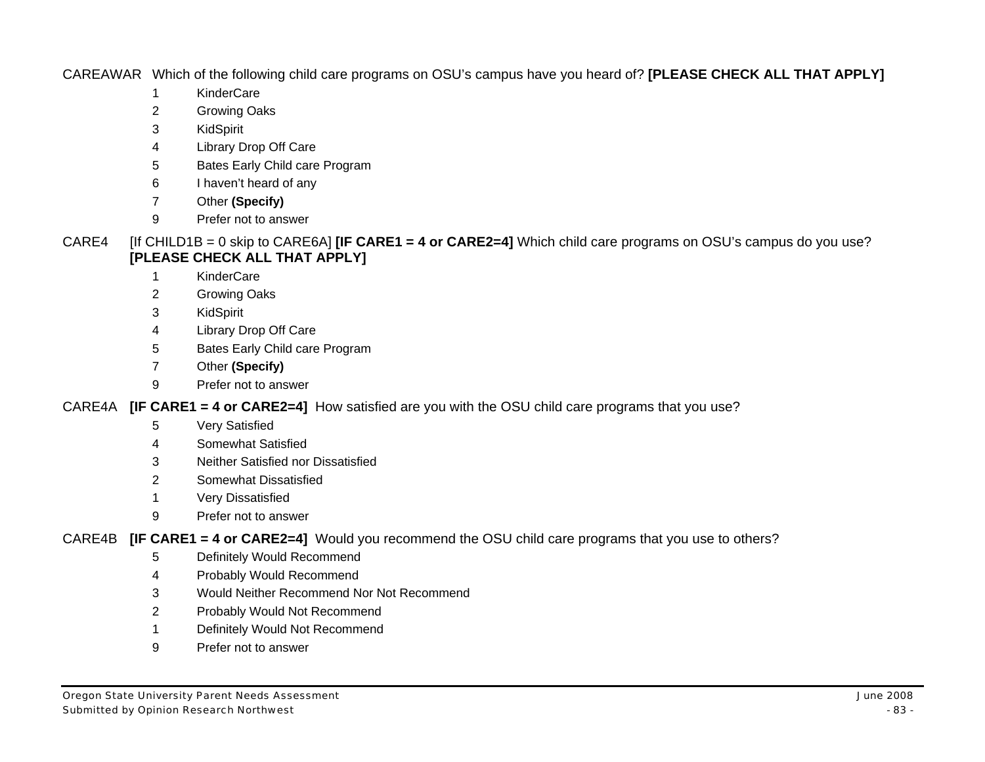CAREAWAR Which of the following child care programs on OSU's campus have you heard of? **[PLEASE CHECK ALL THAT APPLY]** 

- 1 KinderCare
- 2 Growing Oaks
- 3 KidSpirit
- 4 Library Drop Off Care
- 5 Bates Early Child care Program
- 6 I haven't heard of any
- 7 Other **(Specify)**
- 9 Prefer not to answer

## CARE4 [If CHILD1B = 0 skip to CARE6A] **[IF CARE1 = 4 or CARE2=4]** Which child care programs on OSU's campus do you use? **[PLEASE CHECK ALL THAT APPLY]**

- 1 KinderCare
- 2 Growing Oaks
- 3 KidSpirit
- 4 Library Drop Off Care
- 5 Bates Early Child care Program
- 7 Other **(Specify)**
- 9 Prefer not to answer

## CARE4A **[IF CARE1 = 4 or CARE2=4]** How satisfied are you with the OSU child care programs that you use?

- 5 Very Satisfied
- 4 Somewhat Satisfied
- 3 Neither Satisfied nor Dissatisfied
- 2 Somewhat Dissatisfied
- 1 Very Dissatisfied
- 9 Prefer not to answer

CARE4B **[IF CARE1 = 4 or CARE2=4]** Would you recommend the OSU child care programs that you use to others?

- 5 Definitely Would Recommend
- 4 Probably Would Recommend
- 3 Would Neither Recommend Nor Not Recommend
- 2 Probably Would Not Recommend
- 1 Definitely Would Not Recommend
- 9 Prefer not to answer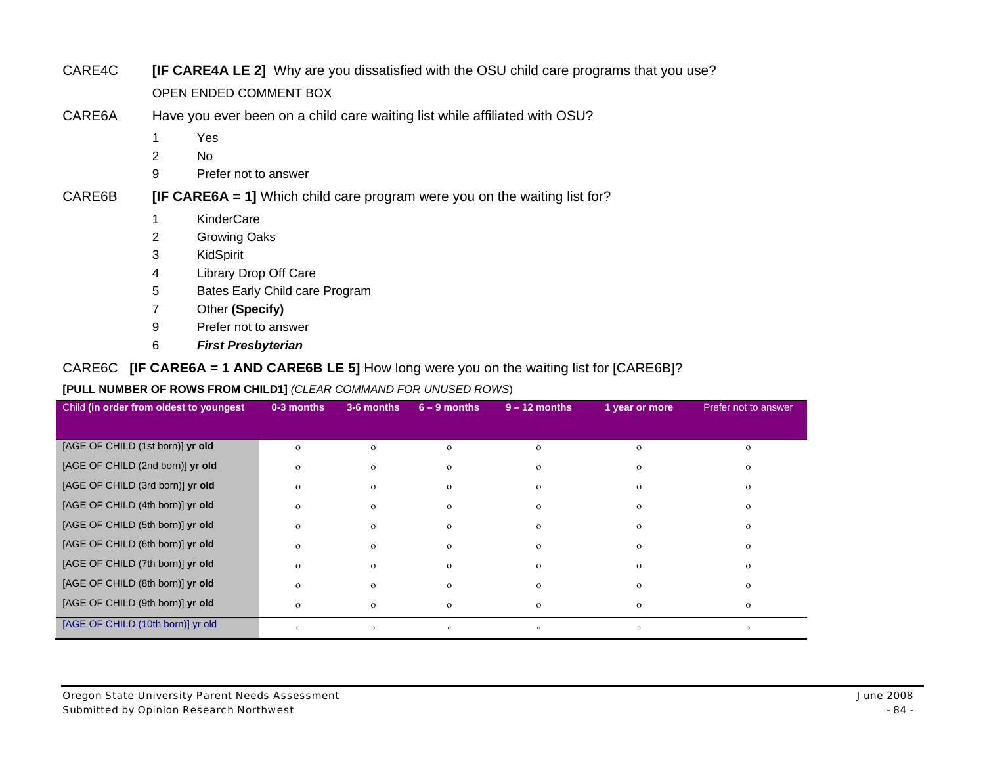CARE4C **[IF CARE4A LE 2]** Why are you dissatisfied with the OSU child care programs that you use? OPEN ENDED COMMENT BOX

- CARE6A Have you ever been on a child care waiting list while affiliated with OSU?
	- 1 Yes
	- 2 No
	- 9 Prefer not to answer
- CARE6B **[IF CARE6A = 1]** Which child care program were you on the waiting list for?
	- 1 KinderCare
	- 2 Growing Oaks
	- 3 KidSpirit
	- 4 Library Drop Off Care
	- 5 Bates Early Child care Program
	- 7 Other **(Specify)**
	- 9 Prefer not to answer
	- 6 *First Presbyterian*

## CARE6C **[IF CARE6A = 1 AND CARE6B LE 5]** How long were you on the waiting list for [CARE6B]?

#### **[PULL NUMBER OF ROWS FROM CHILD1]** *(CLEAR COMMAND FOR UNUSED ROWS*)

| Child (in order from oldest to youngest | 0-3 months   | 3-6 months   | $6 - 9$ months | $9 - 12$ months | 1 year or more | Prefer not to answer |
|-----------------------------------------|--------------|--------------|----------------|-----------------|----------------|----------------------|
|                                         |              |              |                |                 |                |                      |
| [AGE OF CHILD (1st born)] yr old        | $\circ$      | $\mathbf{o}$ | $\mathbf{o}$   | $\mathbf{o}$    | $\mathbf{o}$   | $\mathbf{O}$         |
| [AGE OF CHILD (2nd born)] yr old        | $\mathbf{o}$ | $\mathbf{o}$ | $\circ$        | $\mathbf{o}$    | $\mathbf{o}$   | $\circ$              |
| [AGE OF CHILD (3rd born)] yr old        | $\circ$      | $\circ$      | $\mathbf{o}$   | $\circ$         | $\circ$        | $\circ$              |
| [AGE OF CHILD (4th born)] yr old        | $\Omega$     | $\mathbf{o}$ | $\mathbf{o}$   | $\mathbf{o}$    | $\circ$        | $\circ$              |
| [AGE OF CHILD (5th born)] yr old        | $\Omega$     | $\circ$      | $\circ$        | $\circ$         | $\circ$        | $\Omega$             |
| [AGE OF CHILD (6th born)] yr old        | $\circ$      | $\circ$      | $\circ$        | $\circ$         | $\circ$        | $\circ$              |
| [AGE OF CHILD (7th born)] yr old        | $\circ$      | $\circ$      | $\circ$        | $\circ$         | $\Omega$       | $\Omega$             |
| [AGE OF CHILD (8th born)] yr old        | $\Omega$     | $\circ$      | $\circ$        | $\circ$         | $\circ$        | $\Omega$             |
| [AGE OF CHILD (9th born)] yr old        | $\mathbf{O}$ | $\mathbf{o}$ | $\mathbf{o}$   | $\mathbf{o}$    | $\mathbf{o}$   | $\mathbf{o}$         |
| [AGE OF CHILD (10th born)] yr old       | $\circ$      | $\circ$      | $\circ$        | $\circ$         | $\circ$        | $\circ$              |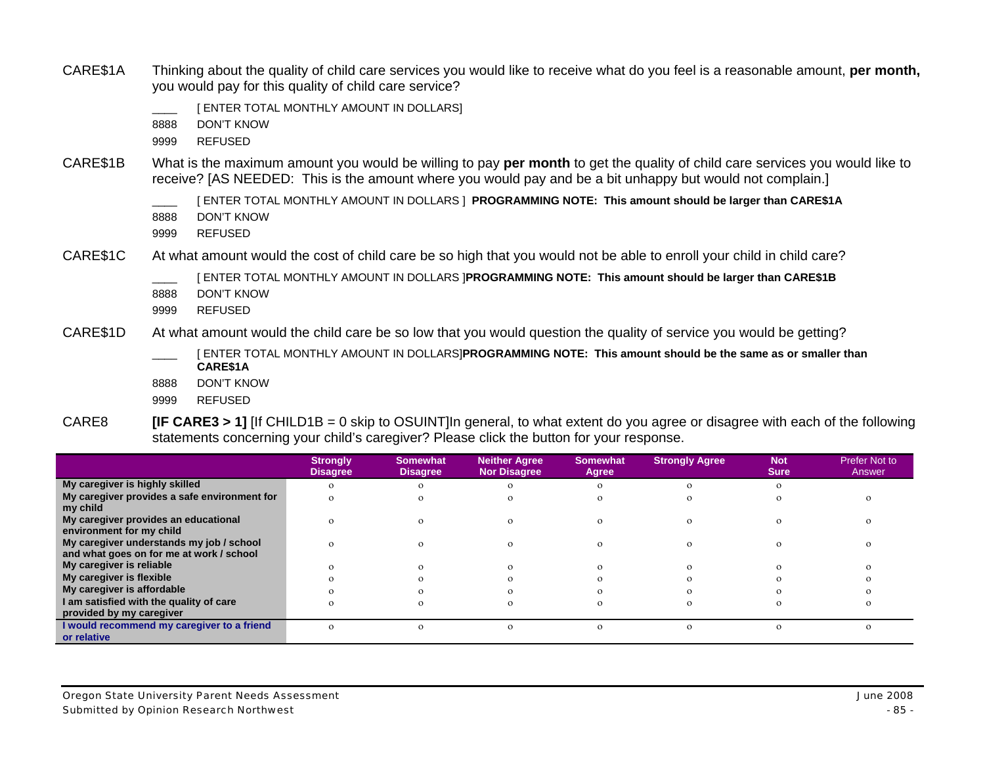- CARE\$1A Thinking about the quality of child care services you would like to receive what do you feel is a reasonable amount, **per month,** you would pay for this quality of child care service?
	- [ ENTER TOTAL MONTHLY AMOUNT IN DOLLARS]
	- 8888 DON'T KNOW
	- 9999 REFUSED
- CARE\$1B What is the maximum amount you would be willing to pay **per month** to get the quality of child care services you would like to receive? [AS NEEDED: This is the amount where you would pay and be a bit unhappy but would not complain.]
	- \_\_\_\_ [ ENTER TOTAL MONTHLY AMOUNT IN DOLLARS ] **PROGRAMMING NOTE: This amount should be larger than CARE\$1A**
	- 8888 DON'T KNOW
	- 9999 REFUSED

CARE\$1C At what amount would the cost of child care be so high that you would not be able to enroll your child in child care?

\_\_\_\_ [ ENTER TOTAL MONTHLY AMOUNT IN DOLLARS ]**PROGRAMMING NOTE: This amount should be larger than CARE\$1B** 

- 8888 DON'T KNOW
- 9999 REFUSED
- CARE\$1D At what amount would the child care be so low that you would question the quality of service you would be getting?
	- \_\_\_\_ [ ENTER TOTAL MONTHLY AMOUNT IN DOLLARS]**PROGRAMMING NOTE: This amount should be the same as or smaller than CARE\$1A**
	- 8888 DON'T KNOW
	- 9999 REFUSED
- CARE8 **[IF CARE3 > 1]** [If CHILD1B = 0 skip to OSUINT]In general, to what extent do you agree or disagree with each of the following statements concerning your child's caregiver? Please click the button for your response.

|                                              | <b>Strongly</b><br><b>Disagree</b> | <b>Somewhat</b><br><b>Disagree</b> | Neither Agree<br><b>Nor Disagree</b> | <b>Somewhat</b><br>Agree | <b>Strongly Agree</b> | <b>Not</b><br><b>Sure</b> | Prefer Not to<br>Answer |
|----------------------------------------------|------------------------------------|------------------------------------|--------------------------------------|--------------------------|-----------------------|---------------------------|-------------------------|
| My caregiver is highly skilled               | $\Omega$                           | $\Omega$                           |                                      | $\Omega$                 | $\Omega$              | $\Omega$                  |                         |
| My caregiver provides a safe environment for | $\Omega$                           | $\Omega$                           |                                      |                          |                       | $\Omega$                  | $\Omega$                |
| my child                                     |                                    |                                    |                                      |                          |                       |                           |                         |
| My caregiver provides an educational         | $\Omega$                           | $\Omega$                           | $\Omega$                             | $\Omega$                 | $\Omega$              | $\Omega$                  | $\Omega$                |
| environment for my child                     |                                    |                                    |                                      |                          |                       |                           |                         |
| My caregiver understands my job / school     | $\Omega$                           | $\Omega$                           | $\Omega$                             | $\Omega$                 | $\Omega$              | $\Omega$                  | $\Omega$                |
| and what goes on for me at work / school     |                                    |                                    |                                      |                          |                       |                           |                         |
| My caregiver is reliable                     | $\Omega$                           | $\Omega$                           | $\Omega$                             | $\Omega$                 | $\Omega$              | $\Omega$                  | $\Omega$                |
| My caregiver is flexible                     |                                    | $\Omega$                           |                                      |                          |                       | $\Omega$                  | $\Omega$                |
| My caregiver is affordable                   |                                    | $\Omega$                           |                                      |                          |                       | $\Omega$                  | $\Omega$                |
| I am satisfied with the quality of care      | $\Omega$                           | $\Omega$                           | $\Omega$                             | $\Omega$                 | $\Omega$              | $\Omega$                  | $\Omega$                |
| provided by my caregiver                     |                                    |                                    |                                      |                          |                       |                           |                         |
| I would recommend my caregiver to a friend   | $\Omega$                           | $\Omega$                           | $\Omega$                             | $\Omega$                 | $\Omega$              | $\Omega$                  | $\Omega$                |
| or relative                                  |                                    |                                    |                                      |                          |                       |                           |                         |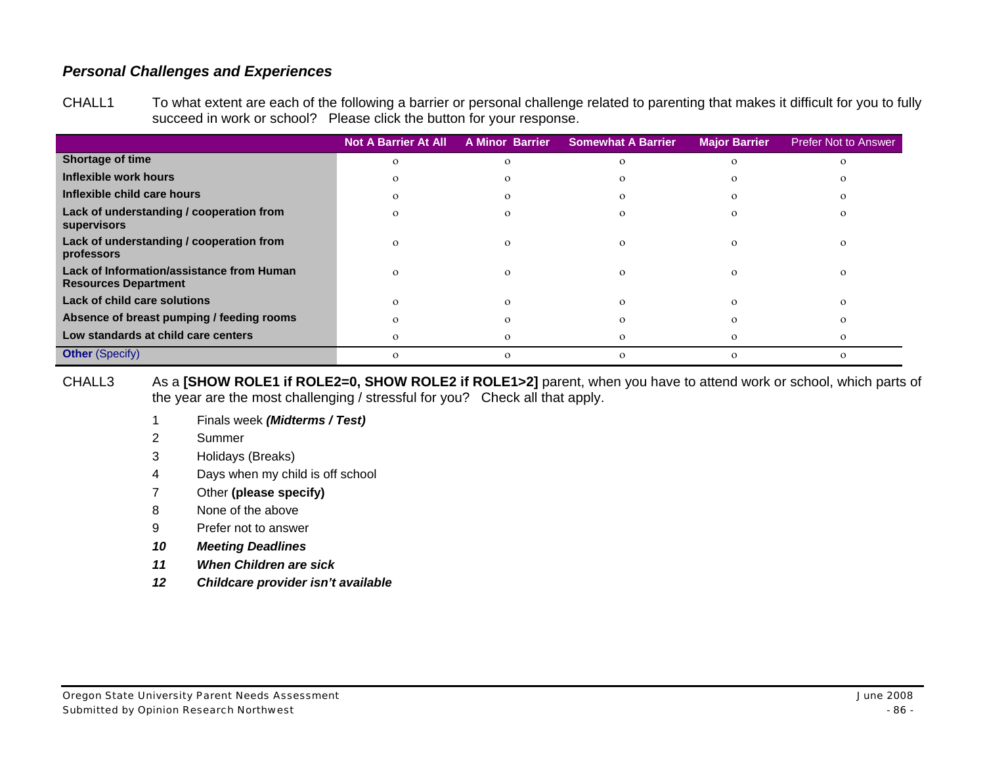# *Personal Challenges and Experiences*

CHALL1 To what extent are each of the following a barrier or personal challenge related to parenting that makes it difficult for you to fully succeed in work or school? Please click the button for your response.

|                                                                          | <b>Not A Barrier At All</b> | <b>A Minor Barrier</b> | <b>Somewhat A Barrier</b> | <b>Major Barrier</b> | <b>Prefer Not to Answer</b> |
|--------------------------------------------------------------------------|-----------------------------|------------------------|---------------------------|----------------------|-----------------------------|
| <b>Shortage of time</b>                                                  | $\Omega$                    | $\Omega$               | $\Omega$                  | $\Omega$             | $\Omega$                    |
| Inflexible work hours                                                    |                             |                        |                           |                      |                             |
| Inflexible child care hours                                              | $\Omega$                    |                        | $\Omega$                  | $\Omega$             |                             |
| Lack of understanding / cooperation from<br>supervisors                  | $\Omega$                    | $\Omega$               | $\Omega$                  | $\Omega$             | $\Omega$                    |
| Lack of understanding / cooperation from<br>professors                   | $\Omega$                    | $\Omega$               | $\Omega$                  | $\Omega$             | $\circ$                     |
| Lack of Information/assistance from Human<br><b>Resources Department</b> | $\Omega$                    | $\Omega$               | $\Omega$                  | $\Omega$             | $\Omega$                    |
| Lack of child care solutions                                             | $\Omega$                    |                        | $\Omega$                  | $\Omega$             |                             |
| Absence of breast pumping / feeding rooms                                | $\Omega$                    | $\Omega$               | $\Omega$                  | $\Omega$             | ∩                           |
| Low standards at child care centers                                      | $\Omega$                    | $\Omega$               | $\Omega$                  | $\Omega$             | $\Omega$                    |
| <b>Other (Specify)</b>                                                   | $\Omega$                    | $\Omega$               | $\Omega$                  | $\Omega$             | $\Omega$                    |

CHALL3 As a **[SHOW ROLE1 if ROLE2=0, SHOW ROLE2 if ROLE1>2]** parent, when you have to attend work or school, which parts of the year are the most challenging / stressful for you? Check all that apply.

- 1 Finals week *(Midterms / Test)*
- 2 Summer
- 3 Holidays (Breaks)
- 4 Days when my child is off school
- 7 Other **(please specify)**
- 8 None of the above
- 9 Prefer not to answer
- *10 Meeting Deadlines*
- *11 When Children are sick*
- *12 Childcare provider isn't available*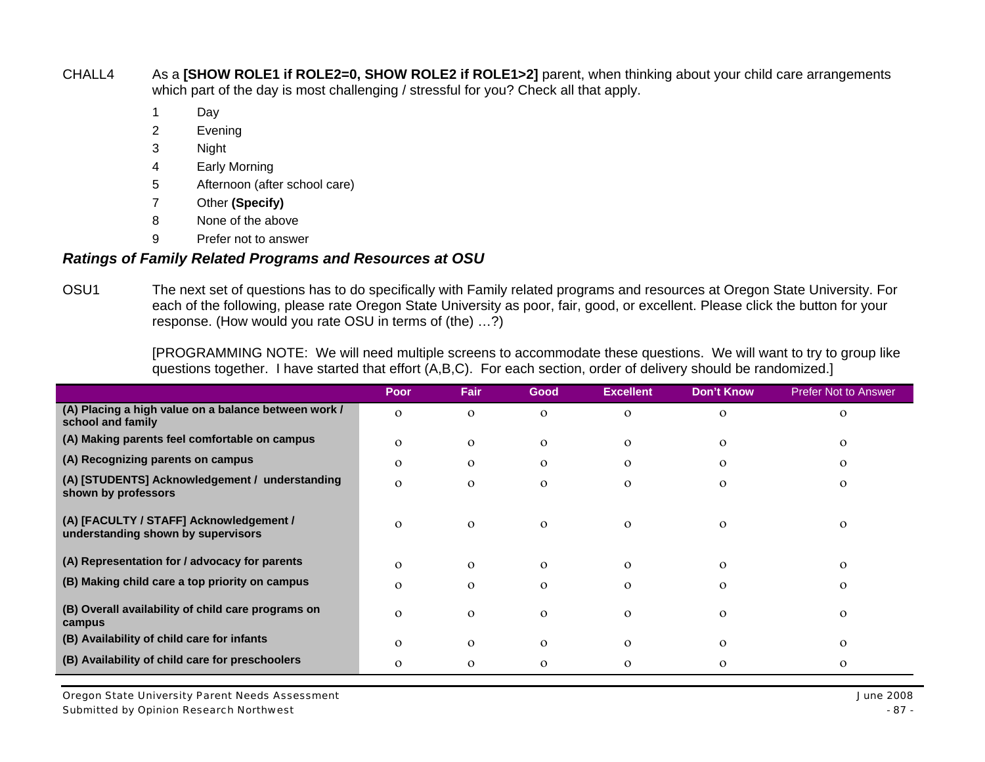CHALL4 As a **[SHOW ROLE1 if ROLE2=0, SHOW ROLE2 if ROLE1>2]** parent, when thinking about your child care arrangements which part of the day is most challenging / stressful for you? Check all that apply.

- 1 Day
- 2 Evening
- 3 Night
- 4 Early Morning
- 5 Afternoon (after school care)
- 7 Other **(Specify)**
- 8 None of the above
- 9 Prefer not to answer

## *Ratings of Family Related Programs and Resources at OSU*

OSU1 The next set of questions has to do specifically with Family related programs and resources at Oregon State University. For each of the following, please rate Oregon State University as poor, fair, good, or excellent. Please click the button for your response. (How would you rate OSU in terms of (the) …?)

> [PROGRAMMING NOTE: We will need multiple screens to accommodate these questions. We will want to try to group like questions together. I have started that effort (A,B,C). For each section, order of delivery should be randomized.]

|                                                                               | Poor     | Fair           | Good         | <b>Excellent</b> | <b>Don't Know</b> | <b>Prefer Not to Answer</b> |
|-------------------------------------------------------------------------------|----------|----------------|--------------|------------------|-------------------|-----------------------------|
| (A) Placing a high value on a balance between work /<br>school and family     | $\Omega$ | $\overline{O}$ | $\Omega$     | $\Omega$         | $\Omega$          | $\Omega$                    |
| (A) Making parents feel comfortable on campus                                 | $\Omega$ | $\mathbf{O}$   | $\mathbf{O}$ | $\Omega$         | $\mathbf{O}$      | $\mathbf{O}$                |
| (A) Recognizing parents on campus                                             | $\Omega$ | $\Omega$       | $\Omega$     | $\Omega$         | $\Omega$          | $\Omega$                    |
| (A) [STUDENTS] Acknowledgement / understanding<br>shown by professors         | $\Omega$ | $\mathbf{O}$   | $\mathbf{O}$ | $\Omega$         | $\mathbf{O}$      | $\mathbf{o}$                |
| (A) [FACULTY / STAFF] Acknowledgement /<br>understanding shown by supervisors | $\Omega$ | $\mathbf{O}$   | $\Omega$     | $\Omega$         | $\Omega$          | $\Omega$                    |
| (A) Representation for / advocacy for parents                                 | $\Omega$ | $\mathbf{O}$   | $\Omega$     | $\Omega$         | $\Omega$          | $\Omega$                    |
| (B) Making child care a top priority on campus                                | $\Omega$ | $\mathbf{O}$   | $\Omega$     | $\Omega$         | $\Omega$          | $\Omega$                    |
| (B) Overall availability of child care programs on<br>campus                  | $\Omega$ | $\mathbf{O}$   | $\mathbf{O}$ | $\Omega$         | $\Omega$          | $\Omega$                    |
| (B) Availability of child care for infants                                    | $\Omega$ | $\mathbf{O}$   | $\Omega$     | $\Omega$         | $\mathbf{O}$      | $\Omega$                    |
| (B) Availability of child care for preschoolers                               | $\Omega$ | $\Omega$       | $\mathbf{O}$ | $\Omega$         | $\Omega$          | $\Omega$                    |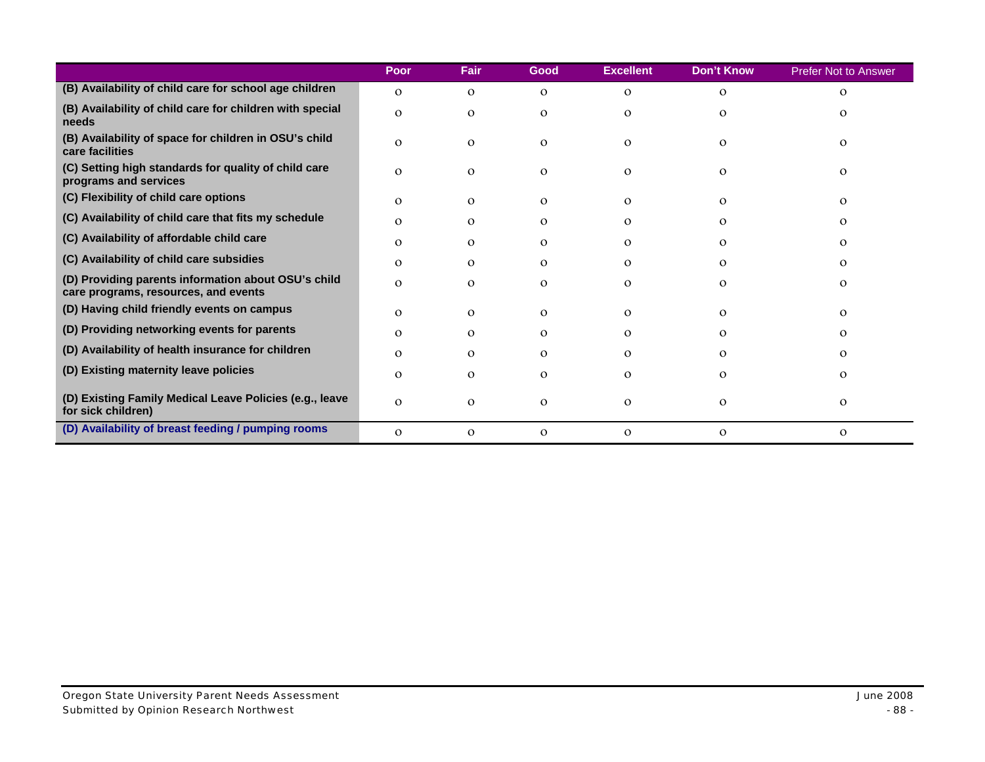|                                                                                             | Poor     | Fair     | Good         | <b>Excellent</b> | <b>Don't Know</b> | <b>Prefer Not to Answer</b> |
|---------------------------------------------------------------------------------------------|----------|----------|--------------|------------------|-------------------|-----------------------------|
| (B) Availability of child care for school age children                                      | $\Omega$ | $\Omega$ | $\mathbf{O}$ | $\Omega$         | $\Omega$          | $\Omega$                    |
| (B) Availability of child care for children with special<br>needs                           | $\Omega$ | $\Omega$ | $\mathbf{O}$ | $\Omega$         | $\Omega$          | $\Omega$                    |
| (B) Availability of space for children in OSU's child<br>care facilities                    | $\Omega$ | $\Omega$ | $\Omega$     | $\Omega$         | $\Omega$          | $\Omega$                    |
| (C) Setting high standards for quality of child care<br>programs and services               | $\Omega$ | $\Omega$ | $\Omega$     | $\Omega$         | $\Omega$          | $\Omega$                    |
| (C) Flexibility of child care options                                                       | $\Omega$ | $\Omega$ | $\Omega$     | $\Omega$         | 0                 | $\Omega$                    |
| (C) Availability of child care that fits my schedule                                        | $\Omega$ | $\Omega$ | $\Omega$     | $\Omega$         | $\Omega$          | $\Omega$                    |
| (C) Availability of affordable child care                                                   | $\Omega$ | $\Omega$ | $\Omega$     | $\Omega$         | $\Omega$          | $\Omega$                    |
| (C) Availability of child care subsidies                                                    | $\Omega$ | $\Omega$ | $\Omega$     | $\Omega$         | $\Omega$          | $\Omega$                    |
| (D) Providing parents information about OSU's child<br>care programs, resources, and events | $\Omega$ | $\Omega$ | $\Omega$     | $\Omega$         | $\Omega$          | $\Omega$                    |
| (D) Having child friendly events on campus                                                  | $\Omega$ | $\Omega$ | $\Omega$     | $\Omega$         | $\Omega$          | $\Omega$                    |
| (D) Providing networking events for parents                                                 | $\Omega$ | $\Omega$ | $\Omega$     | $\Omega$         | $\Omega$          | $\Omega$                    |
| (D) Availability of health insurance for children                                           | $\Omega$ | $\Omega$ | $\Omega$     | $\Omega$         | $\Omega$          | $\Omega$                    |
| (D) Existing maternity leave policies                                                       | $\Omega$ | $\Omega$ | $\Omega$     | $\Omega$         | $\Omega$          | $\Omega$                    |
| (D) Existing Family Medical Leave Policies (e.g., leave<br>for sick children)               | $\Omega$ | $\Omega$ | $\mathbf{O}$ | $\mathbf{o}$     | $\Omega$          | $\mathbf{O}$                |
| (D) Availability of breast feeding / pumping rooms                                          | $\Omega$ | $\Omega$ | $\Omega$     | $\mathbf{o}$     | $\Omega$          | $\mathbf{O}$                |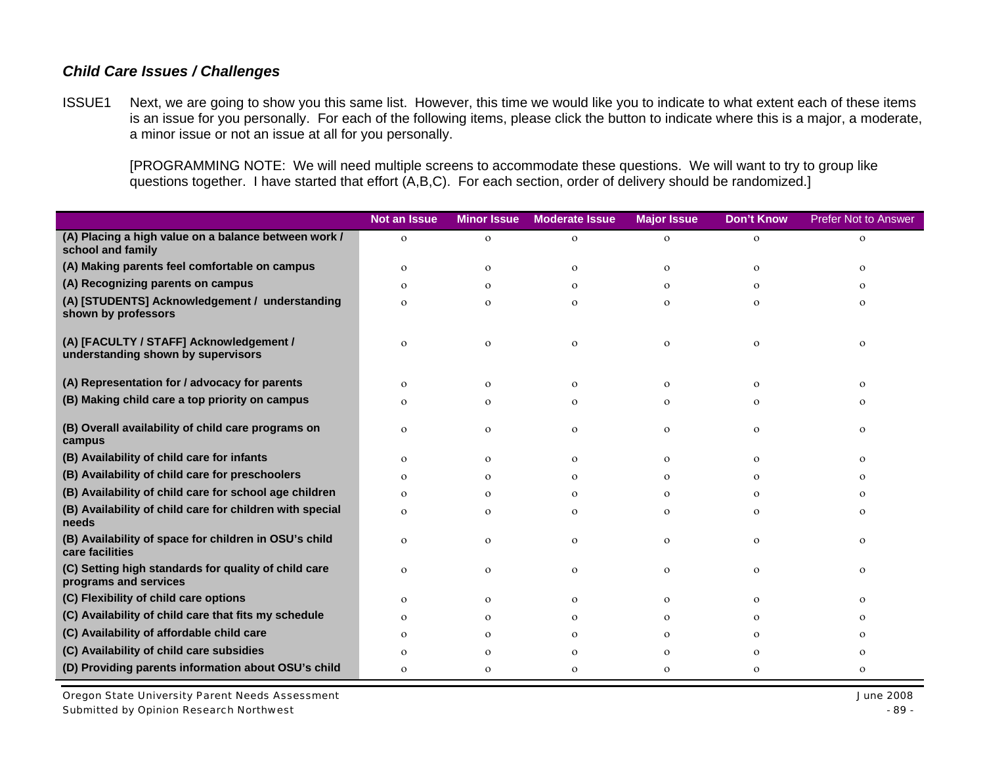# *Child Care Issues / Challenges*

ISSUE1 Next, we are going to show you this same list. However, this time we would like you to indicate to what extent each of these items is an issue for you personally. For each of the following items, please click the button to indicate where this is a major, a moderate, a minor issue or not an issue at all for you personally.

[PROGRAMMING NOTE: We will need multiple screens to accommodate these questions. We will want to try to group like questions together. I have started that effort (A,B,C). For each section, order of delivery should be randomized.]

|                                                                               | <b>Not an Issue</b> | <b>Minor Issue</b> | <b>Moderate Issue</b> | <b>Major Issue</b> | <b>Don't Know</b> | <b>Prefer Not to Answer</b> |
|-------------------------------------------------------------------------------|---------------------|--------------------|-----------------------|--------------------|-------------------|-----------------------------|
| (A) Placing a high value on a balance between work /<br>school and family     | $\mathbf{O}$        | $\mathbf O$        | $\mathbf O$           | $\mathbf{O}$       | $\mathbf O$       | $\mathbf O$                 |
| (A) Making parents feel comfortable on campus                                 | $\Omega$            | $\mathbf{o}$       | $\mathbf{o}$          | $\mathbf{O}$       | $\mathbf{O}$      | $\Omega$                    |
| (A) Recognizing parents on campus                                             | $\Omega$            | $\mathbf{o}$       | $\Omega$              | $\circ$            | O                 | $\Omega$                    |
| (A) [STUDENTS] Acknowledgement / understanding<br>shown by professors         | $\Omega$            | $\mathbf{o}$       | $\Omega$              | $\mathbf{O}$       | $\Omega$          | $\Omega$                    |
| (A) [FACULTY / STAFF] Acknowledgement /<br>understanding shown by supervisors | $\Omega$            | $\mathbf{o}$       | $\mathbf{O}$          | $\mathbf{O}$       | $\mathbf O$       | $\mathbf{o}$                |
| (A) Representation for / advocacy for parents                                 | $\Omega$            | $\mathbf{o}$       | $\mathbf{O}$          | $\mathbf{O}$       | $\Omega$          | $\Omega$                    |
| (B) Making child care a top priority on campus                                | $\Omega$            | $\mathbf{o}$       | $\mathbf{O}$          | $\mathbf{O}$       | $\mathbf O$       | $\Omega$                    |
| (B) Overall availability of child care programs on<br>campus                  | $\mathbf{O}$        | $\mathbf{o}$       | $\mathbf O$           | $\mathbf O$        | $\mathbf O$       | $\mathbf{o}$                |
| (B) Availability of child care for infants                                    | $\Omega$            | $\mathbf{o}$       | $\mathbf{O}$          | $\mathbf{O}$       | $\mathbf O$       | $\circ$                     |
| (B) Availability of child care for preschoolers                               | $\Omega$            | $\Omega$           | $\mathbf{o}$          | $\mathbf{o}$       | O                 | $\circ$                     |
| (B) Availability of child care for school age children                        | $\Omega$            | $\mathbf{o}$       | $\mathbf{o}$          | $\mathbf{O}$       | $\mathbf{O}$      | $\circ$                     |
| (B) Availability of child care for children with special<br>needs             | $\Omega$            | $\mathbf{o}$       | $\mathbf{O}$          | $\mathbf{O}$       | O                 | $\circ$                     |
| (B) Availability of space for children in OSU's child<br>care facilities      | $\Omega$            | $\mathbf{o}$       | $\mathbf{O}$          | $\mathbf{O}$       | $\mathbf O$       | $\circ$                     |
| (C) Setting high standards for quality of child care<br>programs and services | $\Omega$            | $\mathbf{o}$       | $\mathbf{O}$          | $\mathbf{O}$       | $\mathbf O$       | $\circ$                     |
| (C) Flexibility of child care options                                         | $\Omega$            | $\mathbf{o}$       | $\mathbf{O}$          | $\mathbf{O}$       | $\mathbf O$       | $\circ$                     |
| (C) Availability of child care that fits my schedule                          | $\Omega$            | $\mathbf{o}$       | $\mathbf{o}$          | $\mathbf{o}$       | O                 | $\circ$                     |
| (C) Availability of affordable child care                                     | $\Omega$            | $\mathbf{o}$       | $\mathbf{o}$          | $\mathbf{o}$       | O                 | $\circ$                     |
| (C) Availability of child care subsidies                                      | $\Omega$            | $\mathbf{o}$       | $\mathbf{o}$          | $\mathbf{o}$       | $\mathbf{O}$      | $\circ$                     |
| (D) Providing parents information about OSU's child                           | $\mathbf{O}$        | $\mathbf{o}$       | $\mathbf{O}$          | $\mathbf{O}$       | $\mathbf O$       | $\Omega$                    |

Oregon State University Parent Needs Assessment June 2008 Submitted by Opinion Research Northwest - 89 -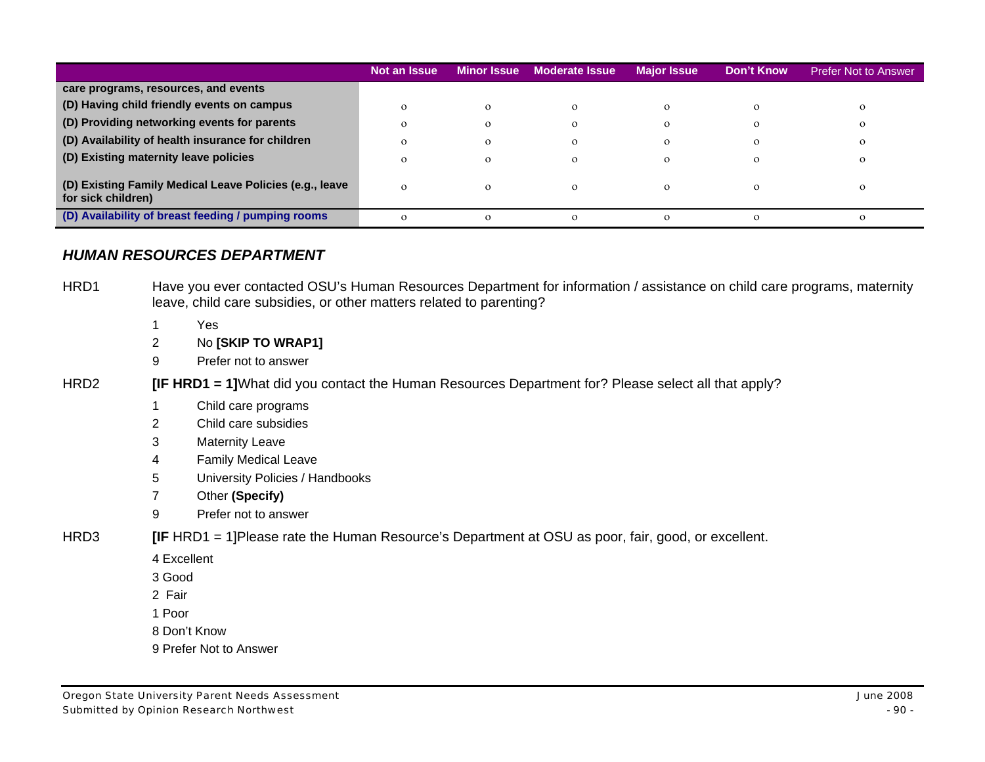|                                                                               | Not an Issue | <b>Minor Issue</b> | <b>Moderate Issue</b> | <b>Major Issue</b> | <b>Don't Know</b> | <b>Prefer Not to Answer</b> |
|-------------------------------------------------------------------------------|--------------|--------------------|-----------------------|--------------------|-------------------|-----------------------------|
| care programs, resources, and events                                          |              |                    |                       |                    |                   |                             |
| (D) Having child friendly events on campus                                    | $\Omega$     | $\Omega$           | $\Omega$              | $\Omega$           | $\Omega$          |                             |
| (D) Providing networking events for parents                                   | $\Omega$     | $\Omega$           | $\Omega$              | $\Omega$           | $\circ$           |                             |
| (D) Availability of health insurance for children                             | $\Omega$     | $\Omega$           | $\Omega$              | $\Omega$           | O                 |                             |
| (D) Existing maternity leave policies                                         | $\Omega$     | $\Omega$           | $\Omega$              | $\Omega$           |                   |                             |
| (D) Existing Family Medical Leave Policies (e.g., leave<br>for sick children) | $\Omega$     | $\Omega$           | $\Omega$              | $\Omega$           |                   |                             |
| (D) Availability of breast feeding / pumping rooms                            | $\Omega$     | $\Omega$           | $\Omega$              | $\Omega$           | $\Omega$          |                             |

## *HUMAN RESOURCES DEPARTMENT*

HRD1 Have you ever contacted OSU's Human Resources Department for information / assistance on child care programs, maternity leave, child care subsidies, or other matters related to parenting?

- 1 Yes
- 2 No **[SKIP TO WRAP1]**
- 9 Prefer not to answer

HRD2 **[IF HRD1 = 1]**What did you contact the Human Resources Department for? Please select all that apply?

- 1 Child care programs
- 2 Child care subsidies
- 3 Maternity Leave
- 4 Family Medical Leave
- 5 University Policies / Handbooks
- 7 Other **(Specify)**
- 9 Prefer not to answer

HRD3 **[IF** HRD1 = 1]Please rate the Human Resource's Department at OSU as poor, fair, good, or excellent.

- 4 Excellent
- 3 Good
- 2 Fair

1 Poor

- 8 Don't Know
- 9 Prefer Not to Answer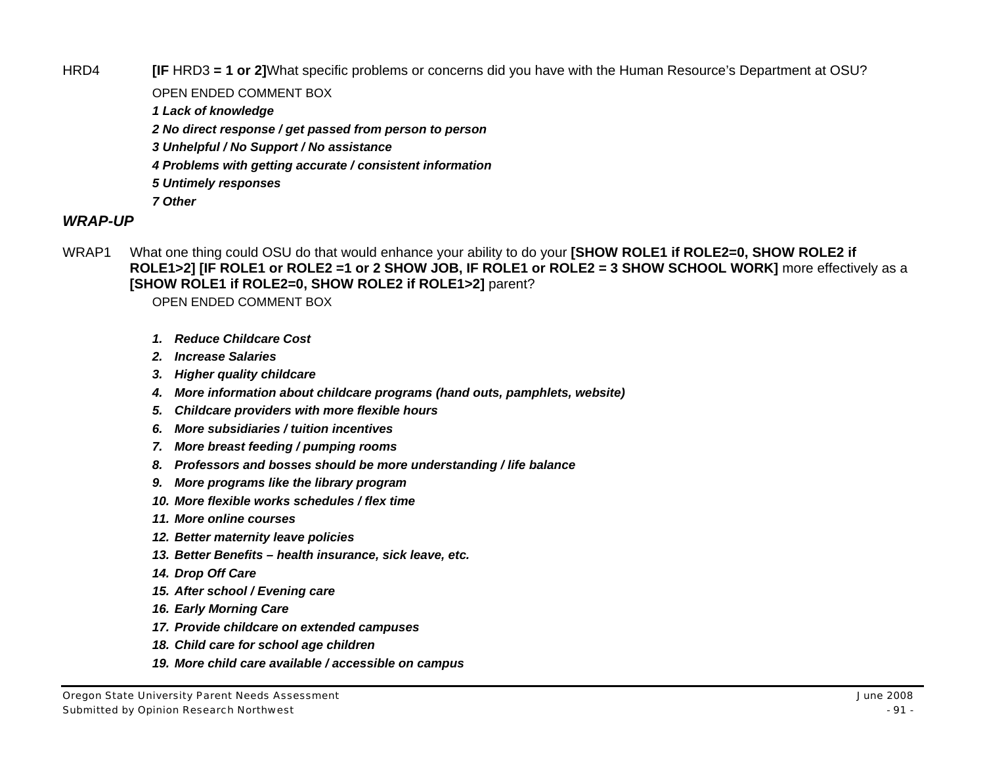HRD4 **[IF** HRD3 **= 1 or 2]**What specific problems or concerns did you have with the Human Resource's Department at OSU?

OPEN ENDED COMMENT BOX

*1 Lack of knowledge* 

*2 No direct response / get passed from person to person* 

*3 Unhelpful / No Support / No assistance* 

*4 Problems with getting accurate / consistent information* 

*5 Untimely responses* 

*7 Other* 

# *WRAP-UP*

WRAP1 What one thing could OSU do that would enhance your ability to do your **[SHOW ROLE1 if ROLE2=0, SHOW ROLE2 if ROLE1>2] [IF ROLE1 or ROLE2 =1 or 2 SHOW JOB, IF ROLE1 or ROLE2 = 3 SHOW SCHOOL WORK]** more effectively as a **[SHOW ROLE1 if ROLE2=0, SHOW ROLE2 if ROLE1>2]** parent?

OPEN ENDED COMMENT BOX

- *1. Reduce Childcare Cost*
- *2. Increase Salaries*
- *3. Higher quality childcare*
- *4. More information about childcare programs (hand outs, pamphlets, website)*
- *5. Childcare providers with more flexible hours*
- *6. More subsidiaries / tuition incentives*
- *7. More breast feeding / pumping rooms*
- *8. Professors and bosses should be more understanding / life balance*
- *9. More programs like the library program*
- *10. More flexible works schedules / flex time*
- *11. More online courses*
- *12. Better maternity leave policies*
- *13. Better Benefits health insurance, sick leave, etc.*
- *14. Drop Off Care*
- *15. After school / Evening care*
- *16. Early Morning Care*
- *17. Provide childcare on extended campuses*
- *18. Child care for school age children*
- *19. More child care available / accessible on campus*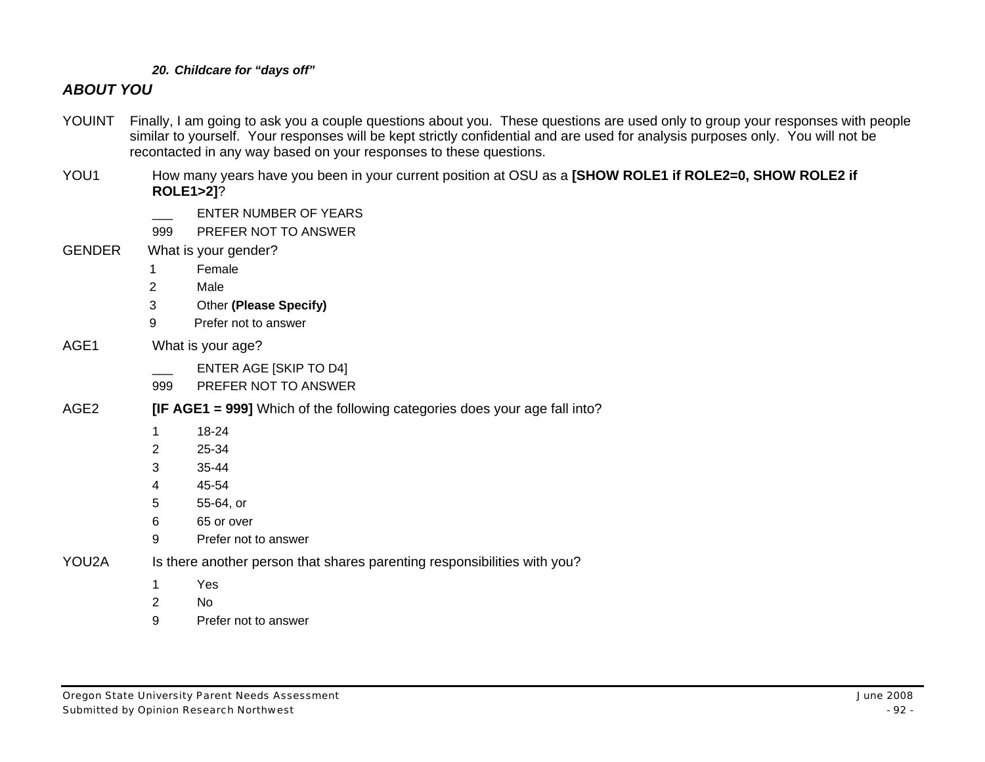#### *20. Childcare for "days off"*

# *ABOUT YOU*

- YOUINT Finally, I am going to ask you a couple questions about you. These questions are used only to group your responses with people similar to yourself. Your responses will be kept strictly confidential and are used for analysis purposes only. You will not be recontacted in any way based on your responses to these questions.
- YOU1 How many years have you been in your current position at OSU as a **[SHOW ROLE1 if ROLE2=0, SHOW ROLE2 if ROLE1>2]**?
	- ENTER NUMBER OF YEARS
	- 999 PREFER NOT TO ANSWER
- GENDER What is your gender?
	- 1 Female
	- 2 Male
	- 3 Other **(Please Specify)**
	- 9 Prefer not to answer
- AGE1 What is your age?
	- ENTER AGE [SKIP TO D4]
	- 999 PREFER NOT TO ANSWER
- AGE2 **[IF AGE1 = 999]** Which of the following categories does your age fall into?
	- 1 18-24
	- 2 25-34
	- 3 35-44
	- 4 45-54
	- 5 55-64, or
	- 6 65 or over
	- 9 Prefer not to answer
- YOU2A Is there another person that shares parenting responsibilities with you?
	- 1 Yes
	- 2 No
	- 9 Prefer not to answer